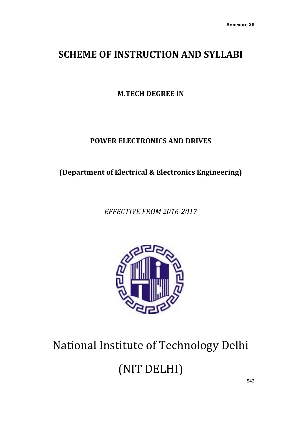## **SCHEME OF INSTRUCTION AND SYLLABI**

**M.TECH DEGREE IN**

## **POWER ELECTRONICS AND DRIVES**

**(Department of Electrical & Electronics Engineering)**

*EFFECTIVE FROM 2016-2017*



# National Institute of Technology Delhi (NIT DELHI)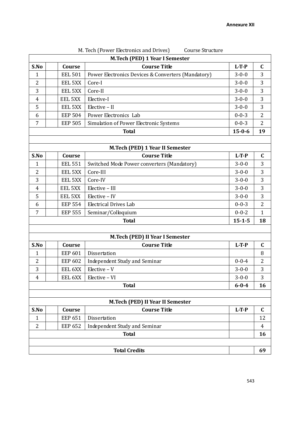| M. TCCH IT OWCL LICCUOINCS AND DITYCS.<br>GUUISC DU UCHIC<br>M.Tech (PED) 1 Year I Semester |  |                |                                                    |              |                |  |  |  |  |
|---------------------------------------------------------------------------------------------|--|----------------|----------------------------------------------------|--------------|----------------|--|--|--|--|
| S.No<br>$L-T-P$<br>Course<br><b>Course Title</b><br>$\mathbf C$                             |  |                |                                                    |              |                |  |  |  |  |
| $\mathbf{1}$                                                                                |  | <b>EEL 501</b> | Power Electronics Devices & Converters (Mandatory) | $3 - 0 - 0$  | 3              |  |  |  |  |
| 2                                                                                           |  | EEL 5XX        | Core-I                                             | $3 - 0 - 0$  | 3              |  |  |  |  |
| 3                                                                                           |  | EEL 5XX        | Core-II                                            | $3 - 0 - 0$  | 3              |  |  |  |  |
| 4                                                                                           |  | EEL 5XX        | Elective-I                                         | $3 - 0 - 0$  | 3              |  |  |  |  |
| 5                                                                                           |  | EEL 5XX        | Elective - II                                      | $3 - 0 - 0$  | 3              |  |  |  |  |
| 6                                                                                           |  | <b>EEP 504</b> | Power Electronics Lab                              | $0 - 0 - 3$  | $\overline{2}$ |  |  |  |  |
| $\overline{7}$                                                                              |  | <b>EEP 505</b> | Simulation of Power Electronic Systems             | $0 - 0 - 3$  | $\overline{2}$ |  |  |  |  |
|                                                                                             |  |                | <b>Total</b>                                       | $15 - 0 - 6$ | 19             |  |  |  |  |
|                                                                                             |  |                |                                                    |              |                |  |  |  |  |
|                                                                                             |  |                | M.Tech (PED) 1 Year II Semester                    |              |                |  |  |  |  |
| S.No                                                                                        |  | Course         | <b>Course Title</b>                                | $L-T-P$      | $\mathbf C$    |  |  |  |  |
| 1                                                                                           |  | <b>EEL 551</b> | Switched Mode Power converters (Mandatory)         | $3 - 0 - 0$  | 3              |  |  |  |  |
| 2                                                                                           |  | EEL 5XX        | Core-III                                           | $3 - 0 - 0$  | 3              |  |  |  |  |
| 3                                                                                           |  | EEL 5XX        | Core-IV                                            | $3 - 0 - 0$  | 3              |  |  |  |  |
| 4                                                                                           |  | EEL 5XX        | Elective - III                                     | $3 - 0 - 0$  | 3              |  |  |  |  |
| 5                                                                                           |  | EEL 5XX        | Elective - IV                                      | $3 - 0 - 0$  | 3              |  |  |  |  |
| 6                                                                                           |  | <b>EEP 554</b> | <b>Electrical Drives Lab</b>                       | $0 - 0 - 3$  | $\overline{2}$ |  |  |  |  |
| 7                                                                                           |  | $0 - 0 - 2$    | $\mathbf{1}$                                       |              |                |  |  |  |  |
|                                                                                             |  |                | <b>Total</b>                                       | $15 - 1 - 5$ | 18             |  |  |  |  |
|                                                                                             |  |                |                                                    |              |                |  |  |  |  |
|                                                                                             |  |                | M.Tech (PED) II Year I Semester                    |              |                |  |  |  |  |
| S.No                                                                                        |  | Course         | <b>Course Title</b>                                | $L-T-P$      | $\mathbf C$    |  |  |  |  |
| $\mathbf{1}$                                                                                |  | <b>EEP 601</b> | Dissertation                                       |              | 8              |  |  |  |  |
| 2                                                                                           |  | <b>EEP 602</b> | Independent Study and Seminar                      | $0 - 0 - 4$  | 2              |  |  |  |  |
| 3                                                                                           |  | EEL 6XX        | $Elective - V$                                     | $3 - 0 - 0$  | 3              |  |  |  |  |
| $\overline{4}$                                                                              |  | EEL 6XX        | Elective - VI                                      | $3 - 0 - 0$  | 3              |  |  |  |  |
|                                                                                             |  |                | <b>Total</b>                                       | $6 - 0 - 4$  | 16             |  |  |  |  |
|                                                                                             |  |                |                                                    |              |                |  |  |  |  |
|                                                                                             |  |                | M.Tech (PED) II Year II Semester                   |              |                |  |  |  |  |
| S.No                                                                                        |  | Course         | <b>Course Title</b>                                | $L-T-P$      | $\mathbf C$    |  |  |  |  |
| $\mathbf{1}$                                                                                |  | <b>EEP 651</b> | Dissertation                                       |              | 12             |  |  |  |  |
| $\overline{2}$                                                                              |  | <b>EEP 652</b> | Independent Study and Seminar                      |              | $\overline{4}$ |  |  |  |  |
|                                                                                             |  |                | <b>Total</b>                                       |              | 16             |  |  |  |  |
|                                                                                             |  |                |                                                    |              |                |  |  |  |  |
|                                                                                             |  |                | <b>Total Credits</b>                               |              | 69             |  |  |  |  |

## M. Tech (Power Electronics and Drives) Course Structure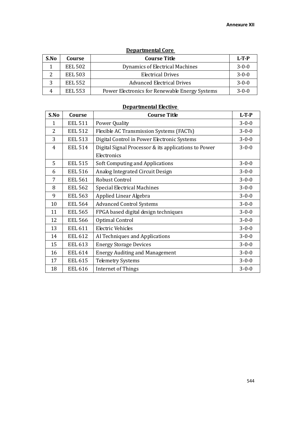| <b>Departmental Core</b> |                |                                                |             |  |  |  |  |  |
|--------------------------|----------------|------------------------------------------------|-------------|--|--|--|--|--|
| S.No                     | Course         | <b>Course Title</b>                            | $L-T-P$     |  |  |  |  |  |
|                          | <b>EEL 502</b> | Dynamics of Electrical Machines                | $3 - 0 - 0$ |  |  |  |  |  |
| າ                        | <b>EEL 503</b> | <b>Electrical Drives</b>                       | $3 - 0 - 0$ |  |  |  |  |  |
| 3                        | <b>EEL 552</b> | <b>Advanced Electrical Drives</b>              | $3 - 0 - 0$ |  |  |  |  |  |
|                          | <b>EEL 553</b> | Power Electronics for Renewable Energy Systems | $3 - 0 - 0$ |  |  |  |  |  |

## **Departmental Elective**

| S.No         | Course         | <b>Course Title</b>                                  | $L-T-P$     |
|--------------|----------------|------------------------------------------------------|-------------|
| $\mathbf{1}$ | <b>EEL 511</b> | Power Quality                                        | $3 - 0 - 0$ |
| 2            | <b>EEL 512</b> | Flexible AC Transmission Systems (FACTs)             | $3 - 0 - 0$ |
| 3            | <b>EEL 513</b> | Digital Control in Power Electronic Systems          | $3 - 0 - 0$ |
| 4            | <b>EEL 514</b> | Digital Signal Processor & its applications to Power | $3 - 0 - 0$ |
|              |                | Electronics                                          |             |
| 5            | <b>EEL 515</b> | <b>Soft Computing and Applications</b>               | $3 - 0 - 0$ |
| 6            | <b>EEL 516</b> | Analog Integrated Circuit Design                     | $3 - 0 - 0$ |
| 7            | <b>EEL 561</b> | Robust Control                                       | $3 - 0 - 0$ |
| 8            | <b>EEL 562</b> | <b>Special Electrical Machines</b>                   | $3 - 0 - 0$ |
| 9            | <b>EEL 563</b> | Applied Linear Algebra                               | $3 - 0 - 0$ |
| 10           | <b>EEL 564</b> | <b>Advanced Control Systems</b>                      | $3 - 0 - 0$ |
| 11           | <b>EEL 565</b> | FPGA based digital design techniques                 | $3 - 0 - 0$ |
| 12           | <b>EEL 566</b> | Optimal Control                                      | $3 - 0 - 0$ |
| 13           | <b>EEL 611</b> | <b>Electric Vehicles</b>                             | $3 - 0 - 0$ |
| 14           | <b>EEL 612</b> | AI Techniques and Applications                       | $3 - 0 - 0$ |
| 15           | <b>EEL 613</b> | <b>Energy Storage Devices</b>                        | $3 - 0 - 0$ |
| 16           | <b>EEL 614</b> | <b>Energy Auditing and Management</b>                | $3 - 0 - 0$ |
| 17           | <b>EEL 615</b> | <b>Telemetry Systems</b>                             | $3 - 0 - 0$ |
| 18           | <b>EEL 616</b> | Internet of Things                                   | $3 - 0 - 0$ |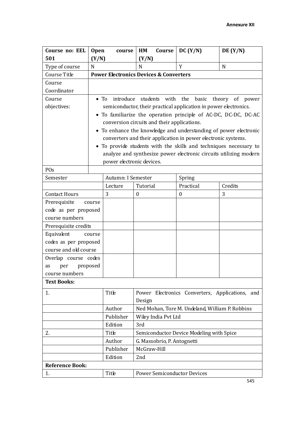| Course no: EEL         | <b>Open</b>                                 | course                    | HM<br>Course                                      | DC (Y/N)                                                          | DE(Y/N) |  |  |
|------------------------|---------------------------------------------|---------------------------|---------------------------------------------------|-------------------------------------------------------------------|---------|--|--|
| 501                    | (Y/N)                                       |                           | (Y/N)                                             |                                                                   |         |  |  |
| Type of course         | N                                           |                           | N                                                 | Y                                                                 | N       |  |  |
| Course Title           |                                             |                           | <b>Power Electronics Devices &amp; Converters</b> |                                                                   |         |  |  |
| Course                 |                                             |                           |                                                   |                                                                   |         |  |  |
| Coordinator            |                                             |                           |                                                   |                                                                   |         |  |  |
| Course                 | $\bullet$ To                                |                           |                                                   | introduce students with the basic theory of power                 |         |  |  |
| objectives:            |                                             |                           |                                                   | semiconductor, their practical application in power electronics.  |         |  |  |
|                        |                                             |                           |                                                   | • To familiarize the operation principle of AC-DC, DC-DC, DC-AC   |         |  |  |
|                        | conversion circuits and their applications. |                           |                                                   |                                                                   |         |  |  |
|                        |                                             |                           |                                                   | • To enhance the knowledge and understanding of power electronic  |         |  |  |
|                        |                                             |                           |                                                   | converters and their application in power electronic systems.     |         |  |  |
|                        |                                             |                           |                                                   | • To provide students with the skills and techniques necessary to |         |  |  |
|                        |                                             |                           |                                                   | analyze and synthesize power electronic circuits utilizing modern |         |  |  |
|                        |                                             | power electronic devices. |                                                   |                                                                   |         |  |  |
| POs                    |                                             |                           |                                                   |                                                                   |         |  |  |
| Semester               |                                             | Autumn: I Semester        |                                                   | Spring                                                            |         |  |  |
|                        |                                             | Lecture                   | Tutorial                                          | Practical                                                         | Credits |  |  |
| <b>Contact Hours</b>   | 3                                           |                           | $\boldsymbol{0}$                                  | $\boldsymbol{0}$                                                  | 3       |  |  |
| Prerequisite           | course                                      |                           |                                                   |                                                                   |         |  |  |
| code as per proposed   |                                             |                           |                                                   |                                                                   |         |  |  |
| course numbers         |                                             |                           |                                                   |                                                                   |         |  |  |
| Prerequisite credits   |                                             |                           |                                                   |                                                                   |         |  |  |
| Equivalent             | course                                      |                           |                                                   |                                                                   |         |  |  |
| codes as per proposed  |                                             |                           |                                                   |                                                                   |         |  |  |
| course and old course  |                                             |                           |                                                   |                                                                   |         |  |  |
| Overlap course codes   |                                             |                           |                                                   |                                                                   |         |  |  |
| as<br>per              | proposed                                    |                           |                                                   |                                                                   |         |  |  |
| course numbers         |                                             |                           |                                                   |                                                                   |         |  |  |
| <b>Text Books:</b>     |                                             |                           |                                                   |                                                                   |         |  |  |
| 1.                     |                                             | Title                     |                                                   | Power Electronics Converters, Applications, and                   |         |  |  |
|                        |                                             |                           | Design                                            |                                                                   |         |  |  |
|                        |                                             | Author                    |                                                   | Ned Mohan, Tore M. Undeland, William P. Robbins                   |         |  |  |
|                        |                                             | Publisher                 | Wiley India Pvt Ltd                               |                                                                   |         |  |  |
|                        |                                             | Edition                   | 3rd                                               |                                                                   |         |  |  |
| 2.                     |                                             | Title                     |                                                   | Semiconductor Device Modeling with Spice                          |         |  |  |
|                        |                                             | Author                    | G. Massobrio, P. Antognetti                       |                                                                   |         |  |  |
|                        |                                             | Publisher                 | McGraw-Hill                                       |                                                                   |         |  |  |
|                        |                                             | Edition                   | 2nd                                               |                                                                   |         |  |  |
| <b>Reference Book:</b> |                                             |                           |                                                   |                                                                   |         |  |  |
| 1.                     |                                             | Title                     | <b>Power Semiconductor Devices</b>                |                                                                   |         |  |  |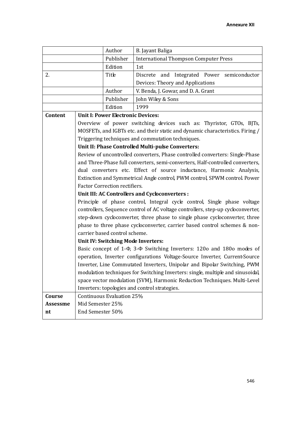|                 |                  | Author                                                                     | B. Jayant Baliga                                                                   |  |  |  |  |
|-----------------|------------------|----------------------------------------------------------------------------|------------------------------------------------------------------------------------|--|--|--|--|
|                 |                  | Publisher                                                                  | <b>International Thompson Computer Press</b>                                       |  |  |  |  |
|                 |                  | Edition                                                                    | 1st                                                                                |  |  |  |  |
| 2.              |                  | Title                                                                      | Discrete and Integrated Power<br>semiconductor                                     |  |  |  |  |
|                 |                  |                                                                            | Devices: Theory and Applications                                                   |  |  |  |  |
|                 |                  | Author                                                                     | V. Benda, J. Gowar, and D. A. Grant                                                |  |  |  |  |
|                 |                  | Publisher                                                                  | John Wiley & Sons                                                                  |  |  |  |  |
|                 |                  | Edition                                                                    | 1999                                                                               |  |  |  |  |
| Content         |                  | <b>Unit I: Power Electronic Devices:</b>                                   |                                                                                    |  |  |  |  |
|                 |                  |                                                                            | Overview of power switching devices such as: Thyristor, GTOs, BJTs,                |  |  |  |  |
|                 |                  |                                                                            | MOSFETs, and IGBTs etc. and their static and dynamic characteristics. Firing /     |  |  |  |  |
|                 |                  |                                                                            | Triggering techniques and commutation techniques.                                  |  |  |  |  |
|                 |                  |                                                                            | Unit II: Phase Controlled Multi-pulse Converters:                                  |  |  |  |  |
|                 |                  |                                                                            | Review of uncontrolled converters, Phase controlled converters: Single-Phase       |  |  |  |  |
|                 |                  |                                                                            | and Three-Phase full converters, semi-converters, Half-controlled converters,      |  |  |  |  |
|                 |                  | dual converters etc. Effect of source inductance, Harmonic Analysis,       |                                                                                    |  |  |  |  |
|                 |                  | Extinction and Symmetrical Angle control, PWM control, SPWM control. Power |                                                                                    |  |  |  |  |
|                 |                  | <b>Factor Correction rectifiers.</b>                                       |                                                                                    |  |  |  |  |
|                 |                  |                                                                            | Unit III: AC Controllers and Cycloconverters :                                     |  |  |  |  |
|                 |                  |                                                                            | Principle of phase control, Integral cycle control, Single phase voltage           |  |  |  |  |
|                 |                  |                                                                            | controllers, Sequence control of AC voltage controllers, step-up cycloconverter,   |  |  |  |  |
|                 |                  |                                                                            | step-down cycloconverter, three phase to single phase cycloconverter, three        |  |  |  |  |
|                 |                  | phase to three phase cycloconverter, carrier based control schemes & non-  |                                                                                    |  |  |  |  |
|                 |                  | carrier based control scheme.                                              |                                                                                    |  |  |  |  |
|                 |                  | Unit IV: Switching Mode Inverters:                                         |                                                                                    |  |  |  |  |
|                 |                  |                                                                            | Basic concept of 1- $\Phi$ , 3- $\Phi$ Switching Inverters: 120o and 180o modes of |  |  |  |  |
|                 |                  |                                                                            | operation, Inverter configurations Voltage-Source Inverter, Current-Source         |  |  |  |  |
|                 |                  |                                                                            | Inverter, Line Commutated Inverters, Unipolar and Bipolar Switching, PWM           |  |  |  |  |
|                 |                  |                                                                            | modulation techniques for Switching Inverters: single, multiple and sinusoidal,    |  |  |  |  |
|                 |                  |                                                                            | space vector modulation (SVM), Harmonic Reduction Techniques. Multi-Level          |  |  |  |  |
|                 |                  |                                                                            | Inverters: topologies and control strategies.                                      |  |  |  |  |
| Course          |                  | Continuous Evaluation 25%                                                  |                                                                                    |  |  |  |  |
| <b>Assessme</b> | Mid Semester 25% |                                                                            |                                                                                    |  |  |  |  |
| nt              | End Semester 50% |                                                                            |                                                                                    |  |  |  |  |
|                 |                  |                                                                            |                                                                                    |  |  |  |  |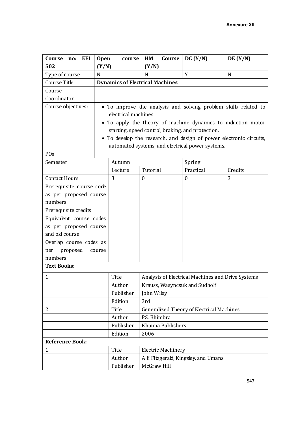| EEL<br>Course<br>no:                                                | <b>Open</b> | course                                                                                                                                                                                                                                                                                                                               | HM                        | Course | DC (Y/N)                                          | DE(Y/N) |
|---------------------------------------------------------------------|-------------|--------------------------------------------------------------------------------------------------------------------------------------------------------------------------------------------------------------------------------------------------------------------------------------------------------------------------------------|---------------------------|--------|---------------------------------------------------|---------|
| 502                                                                 | (Y/N)       |                                                                                                                                                                                                                                                                                                                                      | (Y/N)                     |        |                                                   |         |
| Type of course                                                      | N           |                                                                                                                                                                                                                                                                                                                                      | N                         |        | Y                                                 | N       |
| Course Title                                                        |             | <b>Dynamics of Electrical Machines</b>                                                                                                                                                                                                                                                                                               |                           |        |                                                   |         |
| Course                                                              |             |                                                                                                                                                                                                                                                                                                                                      |                           |        |                                                   |         |
| Coordinator                                                         |             |                                                                                                                                                                                                                                                                                                                                      |                           |        |                                                   |         |
| Course objectives:                                                  | $\bullet$   | • To improve the analysis and solving problem skills related to<br>electrical machines<br>• To apply the theory of machine dynamics to induction motor<br>starting, speed control, braking, and protection.<br>To develop the research, and design of power electronic circuits,<br>automated systems, and electrical power systems. |                           |        |                                                   |         |
| P <sub>Os</sub>                                                     |             |                                                                                                                                                                                                                                                                                                                                      |                           |        |                                                   |         |
| Semester                                                            |             | Autumn                                                                                                                                                                                                                                                                                                                               |                           |        | Spring                                            |         |
|                                                                     |             | Lecture                                                                                                                                                                                                                                                                                                                              | Tutorial                  |        | Practical                                         | Credits |
| <b>Contact Hours</b>                                                |             | 3                                                                                                                                                                                                                                                                                                                                    | $\boldsymbol{0}$          |        | $\boldsymbol{0}$                                  | 3       |
| Prerequisite course code<br>as per proposed course<br>numbers       |             |                                                                                                                                                                                                                                                                                                                                      |                           |        |                                                   |         |
| Prerequisite credits                                                |             |                                                                                                                                                                                                                                                                                                                                      |                           |        |                                                   |         |
| Equivalent course codes<br>as per proposed course<br>and old course |             |                                                                                                                                                                                                                                                                                                                                      |                           |        |                                                   |         |
| Overlap course codes as<br>proposed<br>per<br>numbers               | course      |                                                                                                                                                                                                                                                                                                                                      |                           |        |                                                   |         |
| <b>Text Books:</b>                                                  |             |                                                                                                                                                                                                                                                                                                                                      |                           |        |                                                   |         |
| 1.                                                                  |             | Title                                                                                                                                                                                                                                                                                                                                |                           |        | Analysis of Electrical Machines and Drive Systems |         |
|                                                                     |             | Author                                                                                                                                                                                                                                                                                                                               |                           |        | Krauss, Wasyncsuk and Sudholf                     |         |
|                                                                     |             | Publisher                                                                                                                                                                                                                                                                                                                            | John Wiley                |        |                                                   |         |
|                                                                     |             | Edition                                                                                                                                                                                                                                                                                                                              | 3rd                       |        |                                                   |         |
| 2.                                                                  |             | Title                                                                                                                                                                                                                                                                                                                                |                           |        | <b>Generalized Theory of Electrical Machines</b>  |         |
|                                                                     |             | Author                                                                                                                                                                                                                                                                                                                               | PS. Bhimbra               |        |                                                   |         |
|                                                                     |             | Publisher                                                                                                                                                                                                                                                                                                                            | Khanna Publishers         |        |                                                   |         |
|                                                                     |             | Edition                                                                                                                                                                                                                                                                                                                              | 2006                      |        |                                                   |         |
| <b>Reference Book:</b>                                              |             |                                                                                                                                                                                                                                                                                                                                      |                           |        |                                                   |         |
| 1.                                                                  |             | Title                                                                                                                                                                                                                                                                                                                                | <b>Electric Machinery</b> |        |                                                   |         |
|                                                                     |             | Author                                                                                                                                                                                                                                                                                                                               |                           |        | A E Fitzgerald, Kingsley, and Umans               |         |
|                                                                     | Publisher   | McGraw Hill                                                                                                                                                                                                                                                                                                                          |                           |        |                                                   |         |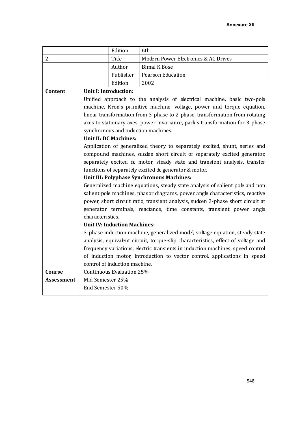|            |                  | Edition                                                                       | 6th                                                                              |  |  |
|------------|------------------|-------------------------------------------------------------------------------|----------------------------------------------------------------------------------|--|--|
| 2.         |                  | Title                                                                         | Modern Power Electronics & AC Drives                                             |  |  |
|            |                  | Author                                                                        | <b>Bimal K Bose</b>                                                              |  |  |
|            |                  | Publisher                                                                     | Pearson Education                                                                |  |  |
|            |                  | Edition                                                                       | 2002                                                                             |  |  |
| Content    |                  | <b>Unit I: Introduction:</b>                                                  |                                                                                  |  |  |
|            |                  |                                                                               | Unified approach to the analysis of electrical machine, basic two-pole           |  |  |
|            |                  |                                                                               | machine, Kron's primitive machine, voltage, power and torque equation,           |  |  |
|            |                  |                                                                               | linear transformation from 3-phase to 2-phase, transformation from rotating      |  |  |
|            |                  |                                                                               | axes to stationary axes, power invariance, park's transformation for 3-phase     |  |  |
|            |                  |                                                                               | synchronous and induction machines.                                              |  |  |
|            |                  | <b>Unit II: DC Machines:</b>                                                  |                                                                                  |  |  |
|            |                  |                                                                               | Application of generalized theory to separately excited, shunt, series and       |  |  |
|            |                  | compound machines, sudden short circuit of separately excited generator,      |                                                                                  |  |  |
|            |                  | separately excited dc motor, steady state and transient analysis, transfer    |                                                                                  |  |  |
|            |                  | functions of separately excited dc generator & motor.                         |                                                                                  |  |  |
|            |                  | Unit III: Polyphase Synchronous Machines:                                     |                                                                                  |  |  |
|            |                  | Generalized machine equations, steady state analysis of salient pole and non  |                                                                                  |  |  |
|            |                  | salient pole machines, phasor diagrams, power angle characteristics, reactive |                                                                                  |  |  |
|            |                  |                                                                               | power, short circuit ratio, transient analysis, sudden 3-phase short circuit at  |  |  |
|            |                  |                                                                               | generator terminals, reactance, time constants, transient power angle            |  |  |
|            | characteristics. |                                                                               |                                                                                  |  |  |
|            |                  | <b>Unit IV: Induction Machines:</b>                                           |                                                                                  |  |  |
|            |                  |                                                                               | 3-phase induction machine, generalized model, voltage equation, steady state     |  |  |
|            |                  |                                                                               | analysis, equivalent circuit, torque-slip characteristics, effect of voltage and |  |  |
|            |                  |                                                                               | frequency variations, electric transients in induction machines, speed control   |  |  |
|            |                  |                                                                               | of induction motor, introduction to vector control, applications in speed        |  |  |
|            |                  | control of induction machine.                                                 |                                                                                  |  |  |
| Course     | Mid Semester 25% |                                                                               | Continuous Evaluation 25%                                                        |  |  |
| Assessment | End Semester 50% |                                                                               |                                                                                  |  |  |
|            |                  |                                                                               |                                                                                  |  |  |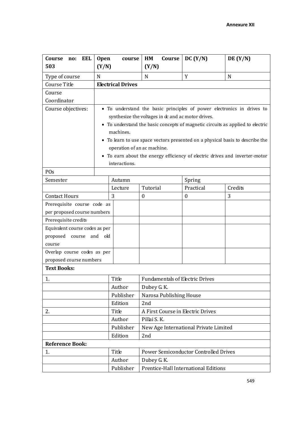| Course<br>EEL<br>no:           | <b>Open</b> | course                      | HM<br>Course                                       | DC (Y/N)                                                                     | DE(Y/N) |  |
|--------------------------------|-------------|-----------------------------|----------------------------------------------------|------------------------------------------------------------------------------|---------|--|
| 503                            | (Y/N)       |                             | (Y/N)                                              |                                                                              |         |  |
| Type of course                 | N           |                             | N                                                  | Y                                                                            | N       |  |
| Course Title                   |             | <b>Electrical Drives</b>    |                                                    |                                                                              |         |  |
| Course                         |             |                             |                                                    |                                                                              |         |  |
| Coordinator                    |             |                             |                                                    |                                                                              |         |  |
| Course objectives:             |             |                             |                                                    | • To understand the basic principles of power electronics in drives to       |         |  |
|                                |             |                             | synthesize the voltages in dc and ac motor drives. |                                                                              |         |  |
|                                |             |                             |                                                    | To understand the basic concepts of magnetic circuits as applied to electric |         |  |
|                                |             | machines.                   |                                                    |                                                                              |         |  |
|                                | $\bullet$   |                             |                                                    | To learn to use space vectors presented on a physical basis to describe the  |         |  |
|                                |             | operation of an ac machine. |                                                    |                                                                              |         |  |
|                                | $\bullet$   |                             |                                                    | To earn about the energy efficiency of electric drives and inverter-motor    |         |  |
| POs                            |             | interactions.               |                                                    |                                                                              |         |  |
| Semester                       |             | Autumn                      |                                                    |                                                                              |         |  |
|                                |             | Lecture                     | Tutorial                                           | Spring<br>Practical                                                          | Credits |  |
| <b>Contact Hours</b>           |             | 3                           | $\mathbf{0}$                                       | $\boldsymbol{0}$                                                             | 3       |  |
| Prerequisite course code as    |             |                             |                                                    |                                                                              |         |  |
| per proposed course numbers    |             |                             |                                                    |                                                                              |         |  |
| Prerequisite credits           |             |                             |                                                    |                                                                              |         |  |
| Equivalent course codes as per |             |                             |                                                    |                                                                              |         |  |
| proposed<br>course             | and<br>old  |                             |                                                    |                                                                              |         |  |
| course                         |             |                             |                                                    |                                                                              |         |  |
| Overlap course codes as per    |             |                             |                                                    |                                                                              |         |  |
| proposed course numbers        |             |                             |                                                    |                                                                              |         |  |
| <b>Text Books:</b>             |             |                             |                                                    |                                                                              |         |  |
| 1.                             |             | Title                       | <b>Fundamentals of Electric Drives</b>             |                                                                              |         |  |
|                                |             | Author                      | Dubey G. K.                                        |                                                                              |         |  |
|                                |             | Publisher                   | Narosa Publishing House                            |                                                                              |         |  |
|                                |             | Edition                     | 2nd                                                |                                                                              |         |  |
| 2.                             |             | Title                       | A First Course in Electric Drives                  |                                                                              |         |  |
|                                |             | Author                      | Pillai S. K.                                       |                                                                              |         |  |
| Publisher                      |             |                             |                                                    | New Age International Private Limited                                        |         |  |
|                                |             | Edition                     | 2nd                                                |                                                                              |         |  |
| <b>Reference Book:</b>         |             |                             |                                                    |                                                                              |         |  |
| 1.                             |             | Title                       | Power Semiconductor Controlled Drives              |                                                                              |         |  |
|                                |             | Author                      | Dubey G. K.                                        |                                                                              |         |  |
|                                |             | Publisher                   | Prentice-Hall International Editions               |                                                                              |         |  |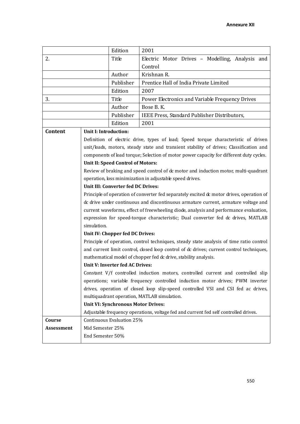|            |                                           | Edition   | 2001                                                                                     |  |  |
|------------|-------------------------------------------|-----------|------------------------------------------------------------------------------------------|--|--|
| 2.         |                                           | Title     | Electric Motor Drives - Modelling, Analysis and                                          |  |  |
|            |                                           |           | Control                                                                                  |  |  |
|            |                                           | Author    | Krishnan R.                                                                              |  |  |
|            |                                           | Publisher | Prentice Hall of India Private Limited                                                   |  |  |
|            |                                           | Edition   | 2007                                                                                     |  |  |
| 3.         |                                           | Title     | Power Electronics and Variable Frequency Drives                                          |  |  |
|            |                                           | Author    | Bose B.K.                                                                                |  |  |
|            |                                           | Publisher | IEEE Press, Standard Publisher Distributors,                                             |  |  |
|            |                                           | Edition   | 2001                                                                                     |  |  |
| Content    | Unit I: Introduction:                     |           |                                                                                          |  |  |
|            |                                           |           | Definition of electric drive, types of load; Speed torque characteristic of driven       |  |  |
|            |                                           |           | unit/loads, motors, steady state and transient stability of drives; Classification and   |  |  |
|            |                                           |           | components of load torque; Selection of motor power capacity for different duty cycles.  |  |  |
|            | <b>Unit II: Speed Control of Motors:</b>  |           |                                                                                          |  |  |
|            |                                           |           | Review of braking and speed control of dc motor and induction motor, multi-quadrant      |  |  |
|            |                                           |           | operation, loss minimization in adjustable speed drives.                                 |  |  |
|            | Unit III: Converter fed DC Drives:        |           |                                                                                          |  |  |
|            |                                           |           | Principle of operation of converter fed separately excited dc motor drives, operation of |  |  |
|            |                                           |           | dc drive under continuous and discontinuous armature current, armature voltage and       |  |  |
|            |                                           |           | current waveforms, effect of freewheeling diode, analysis and performance evaluation,    |  |  |
|            |                                           |           | expression for speed-torque characteristic; Dual converter fed dc drives, MATLAB         |  |  |
|            | simulation.                               |           |                                                                                          |  |  |
|            | Unit IV: Chopper fed DC Drives:           |           |                                                                                          |  |  |
|            |                                           |           | Principle of operation, control techniques, steady state analysis of time ratio control  |  |  |
|            |                                           |           | and current limit control, closed loop control of dc drives; current control techniques, |  |  |
|            | Unit V: Inverter fed AC Drives:           |           | mathematical model of chopper fed dc drive, stability analysis.                          |  |  |
|            |                                           |           | Constant V/f controlled induction motors, controlled current and controlled slip         |  |  |
|            |                                           |           | operations; variable frequency controlled induction motor drives; PWM inverter           |  |  |
|            |                                           |           | drives, operation of closed loop slip-speed controlled VSI and CSI fed ac drives,        |  |  |
|            |                                           |           | multiquadrant operation, MATLAB simulation.                                              |  |  |
|            | <b>Unit VI: Synchronous Motor Drives:</b> |           |                                                                                          |  |  |
|            |                                           |           | Adjustable frequency operations, voltage fed and current fed self controlled drives.     |  |  |
| Course     | Continuous Evaluation 25%                 |           |                                                                                          |  |  |
| Assessment | Mid Semester 25%                          |           |                                                                                          |  |  |
|            | End Semester 50%                          |           |                                                                                          |  |  |
|            |                                           |           |                                                                                          |  |  |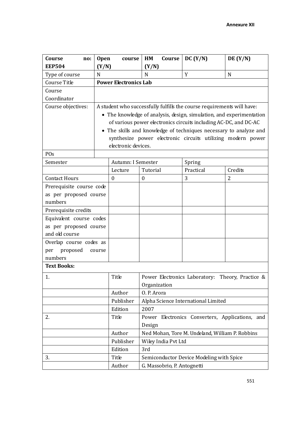| Course<br>no:            | <b>Open</b> | course                                                           | HM                                               | Course | DC(Y/N)                                                                | DE(Y/N)        |  |
|--------------------------|-------------|------------------------------------------------------------------|--------------------------------------------------|--------|------------------------------------------------------------------------|----------------|--|
| <b>EEP504</b>            | (Y/N)       |                                                                  | (Y/N)                                            |        |                                                                        |                |  |
| Type of course           | N           |                                                                  | N                                                |        | Y                                                                      | N              |  |
| Course Title             |             | <b>Power Electronics Lab</b>                                     |                                                  |        |                                                                        |                |  |
| Course                   |             |                                                                  |                                                  |        |                                                                        |                |  |
| Coordinator              |             |                                                                  |                                                  |        |                                                                        |                |  |
| Course objectives:       |             |                                                                  |                                                  |        | A student who successfully fulfills the course requirements will have: |                |  |
|                          |             |                                                                  |                                                  |        | • The knowledge of analysis, design, simulation, and experimentation   |                |  |
|                          |             | of various power electronics circuits including AC-DC, and DC-AC |                                                  |        |                                                                        |                |  |
|                          |             |                                                                  |                                                  |        | • The skills and knowledge of techniques necessary to analyze and      |                |  |
|                          |             |                                                                  |                                                  |        | synthesize power electronic circuits utilizing modern power            |                |  |
|                          |             | electronic devices.                                              |                                                  |        |                                                                        |                |  |
| POs                      |             |                                                                  |                                                  |        |                                                                        |                |  |
| Semester                 |             | Autumn: I Semester                                               |                                                  |        | Spring                                                                 |                |  |
|                          |             | Lecture                                                          | Tutorial                                         |        | Practical                                                              | Credits        |  |
| <b>Contact Hours</b>     |             | $\theta$                                                         | $\boldsymbol{0}$                                 |        | 3                                                                      | $\overline{2}$ |  |
| Prerequisite course code |             |                                                                  |                                                  |        |                                                                        |                |  |
| as per proposed course   |             |                                                                  |                                                  |        |                                                                        |                |  |
| numbers                  |             |                                                                  |                                                  |        |                                                                        |                |  |
| Prerequisite credits     |             |                                                                  |                                                  |        |                                                                        |                |  |
| Equivalent course codes  |             |                                                                  |                                                  |        |                                                                        |                |  |
| as per proposed course   |             |                                                                  |                                                  |        |                                                                        |                |  |
| and old course           |             |                                                                  |                                                  |        |                                                                        |                |  |
| Overlap course codes as  |             |                                                                  |                                                  |        |                                                                        |                |  |
| proposed<br>per          | course      |                                                                  |                                                  |        |                                                                        |                |  |
| numbers                  |             |                                                                  |                                                  |        |                                                                        |                |  |
| <b>Text Books:</b>       |             |                                                                  |                                                  |        |                                                                        |                |  |
| 1.                       |             | Title                                                            | Power Electronics Laboratory: Theory, Practice & |        |                                                                        |                |  |
|                          |             |                                                                  | Organization                                     |        |                                                                        |                |  |
|                          |             | Author                                                           | O. P. Arora                                      |        |                                                                        |                |  |
|                          |             | Publisher                                                        |                                                  |        | Alpha Science International Limited                                    |                |  |
|                          |             | Edition                                                          | 2007                                             |        |                                                                        |                |  |
| 2.                       |             | Title                                                            |                                                  |        | Power Electronics Converters, Applications, and                        |                |  |
|                          |             |                                                                  | Design                                           |        |                                                                        |                |  |
|                          |             | Author                                                           |                                                  |        | Ned Mohan, Tore M. Undeland, William P. Robbins                        |                |  |
|                          |             | Publisher                                                        | Wiley India Pvt Ltd                              |        |                                                                        |                |  |
|                          |             | Edition                                                          | 3rd                                              |        |                                                                        |                |  |
| 3.                       |             | Title                                                            |                                                  |        | Semiconductor Device Modeling with Spice                               |                |  |
|                          | Author      | G. Massobrio, P. Antognetti                                      |                                                  |        |                                                                        |                |  |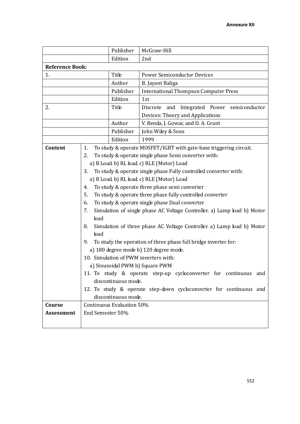|                        |                  | Publisher                 | McGraw-Hill                                                             |  |  |
|------------------------|------------------|---------------------------|-------------------------------------------------------------------------|--|--|
|                        |                  | Edition                   | 2nd                                                                     |  |  |
| <b>Reference Book:</b> |                  |                           |                                                                         |  |  |
| 1.                     |                  | Title                     | <b>Power Semiconductor Devices</b>                                      |  |  |
|                        |                  | Author                    | B. Jayant Baliga                                                        |  |  |
|                        |                  | Publisher                 | <b>International Thompson Computer Press</b>                            |  |  |
|                        |                  | Edition                   | 1st                                                                     |  |  |
| 2.                     |                  | Title                     | Integrated Power<br>Discrete and<br>semiconductor                       |  |  |
|                        |                  |                           | Devices: Theory and Applications                                        |  |  |
|                        |                  | Author                    | V. Benda, J. Gowar, and D. A. Grant                                     |  |  |
|                        |                  | Publisher                 | John Wiley & Sons                                                       |  |  |
|                        |                  | Edition                   | 1999                                                                    |  |  |
| Content                | 1.               |                           | To study & operate MOSFET/IGBT with gate-base triggering circuit.       |  |  |
|                        | 2.               |                           | To study & operate single phase Semi converter with:                    |  |  |
|                        |                  |                           | a) R Load b) RL load c) RLE (Motor) Load                                |  |  |
|                        | 3.               |                           | To study & operate single phase Fully controlled converter with:        |  |  |
|                        |                  |                           | a) R Load b) RL load c) RLE (Motor) Load                                |  |  |
|                        | 4.               |                           | To study & operate three phase semi converter                           |  |  |
|                        | 5.               |                           | To study & operate three phase fully controlled converter               |  |  |
|                        | 6.               |                           | To study & operate single phase Dual converter                          |  |  |
|                        | 7.               |                           | Simulation of single phase AC Voltage Controller. a) Lamp load b) Motor |  |  |
|                        | load             |                           |                                                                         |  |  |
|                        | 8.<br>load       |                           | Simulation of three phase AC Voltage Controller. a) Lamp load b) Motor  |  |  |
|                        | 9.               |                           | To study the operation of three phase full bridge inverter for:         |  |  |
|                        |                  |                           | a) 180 degree mode b) 120 degree mode.                                  |  |  |
|                        |                  |                           | 10. Simulation of PWM inverters with:                                   |  |  |
|                        |                  |                           | a) Sinusoidal PWM b) Square PWM                                         |  |  |
|                        |                  |                           | 11. To study & operate step-up cycloconverter for continuous and        |  |  |
|                        |                  | discontinuous mode.       |                                                                         |  |  |
|                        |                  |                           | 12. To study & operate step-down cycloconverter for continuous and      |  |  |
|                        |                  | discontinuous mode.       |                                                                         |  |  |
| Course                 |                  | Continuous Evaluation 50% |                                                                         |  |  |
| <b>Assessment</b>      | End Semester 50% |                           |                                                                         |  |  |
|                        |                  |                           |                                                                         |  |  |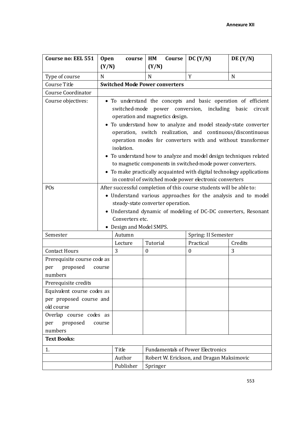| Course no: EEL 551                                                                                                                                                                                                                                                                                                                                                                                                                                                                                                                                                                                            | <b>Open</b>                                                                                                                                                                                                                                                                                        | course                                | HM               | Course                                   | DC (Y/N)                                                | DE(Y/N)     |  |
|---------------------------------------------------------------------------------------------------------------------------------------------------------------------------------------------------------------------------------------------------------------------------------------------------------------------------------------------------------------------------------------------------------------------------------------------------------------------------------------------------------------------------------------------------------------------------------------------------------------|----------------------------------------------------------------------------------------------------------------------------------------------------------------------------------------------------------------------------------------------------------------------------------------------------|---------------------------------------|------------------|------------------------------------------|---------------------------------------------------------|-------------|--|
|                                                                                                                                                                                                                                                                                                                                                                                                                                                                                                                                                                                                               | (Y/N)                                                                                                                                                                                                                                                                                              |                                       | (Y/N)            |                                          |                                                         |             |  |
| Type of course                                                                                                                                                                                                                                                                                                                                                                                                                                                                                                                                                                                                | N                                                                                                                                                                                                                                                                                                  |                                       | N                |                                          | Y                                                       | $\mathbf N$ |  |
| Course Title                                                                                                                                                                                                                                                                                                                                                                                                                                                                                                                                                                                                  |                                                                                                                                                                                                                                                                                                    | <b>Switched Mode Power converters</b> |                  |                                          |                                                         |             |  |
| <b>Course Coordinator</b>                                                                                                                                                                                                                                                                                                                                                                                                                                                                                                                                                                                     |                                                                                                                                                                                                                                                                                                    |                                       |                  |                                          |                                                         |             |  |
| Course objectives:<br>• To understand the concepts and basic operation of efficient<br>switched-mode<br>power conversion,<br>including<br>operation and magnetics design.<br>To understand how to analyze and model steady-state converter<br>operation, switch realization, and continuous/discontinuous<br>operation modes for converters with and without transformer<br>isolation.<br>• To understand how to analyze and model design techniques related<br>to magnetic components in switched-mode power converters.<br>To make practically acquainted with digital technology applications<br>$\bullet$ |                                                                                                                                                                                                                                                                                                    |                                       |                  |                                          | basic<br>circuit                                        |             |  |
|                                                                                                                                                                                                                                                                                                                                                                                                                                                                                                                                                                                                               |                                                                                                                                                                                                                                                                                                    |                                       |                  |                                          | in control of switched mode power electronic converters |             |  |
|                                                                                                                                                                                                                                                                                                                                                                                                                                                                                                                                                                                                               | POs<br>After successful completion of this course students will be able to:<br>• Understand various approaches for the analysis and to model<br>steady-state converter operation.<br>• Understand dynamic of modeling of DC-DC converters, Resonant<br>Converters etc.<br>• Design and Model SMPS. |                                       |                  |                                          |                                                         |             |  |
| Semester                                                                                                                                                                                                                                                                                                                                                                                                                                                                                                                                                                                                      |                                                                                                                                                                                                                                                                                                    | Autumn                                |                  |                                          | Spring: II Semester                                     |             |  |
|                                                                                                                                                                                                                                                                                                                                                                                                                                                                                                                                                                                                               |                                                                                                                                                                                                                                                                                                    | Lecture                               | Tutorial         |                                          | Practical                                               | Credits     |  |
| <b>Contact Hours</b>                                                                                                                                                                                                                                                                                                                                                                                                                                                                                                                                                                                          |                                                                                                                                                                                                                                                                                                    | 3                                     | $\boldsymbol{0}$ |                                          | $\boldsymbol{0}$                                        | 3           |  |
| Prerequisite course code as<br>proposed<br>per<br>course<br>numbers                                                                                                                                                                                                                                                                                                                                                                                                                                                                                                                                           |                                                                                                                                                                                                                                                                                                    |                                       |                  |                                          |                                                         |             |  |
| Prerequisite credits                                                                                                                                                                                                                                                                                                                                                                                                                                                                                                                                                                                          |                                                                                                                                                                                                                                                                                                    |                                       |                  |                                          |                                                         |             |  |
| Equivalent course codes as<br>per proposed course and<br>old course                                                                                                                                                                                                                                                                                                                                                                                                                                                                                                                                           |                                                                                                                                                                                                                                                                                                    |                                       |                  |                                          |                                                         |             |  |
| Overlap course codes as                                                                                                                                                                                                                                                                                                                                                                                                                                                                                                                                                                                       |                                                                                                                                                                                                                                                                                                    |                                       |                  |                                          |                                                         |             |  |
| proposed<br>per<br>course                                                                                                                                                                                                                                                                                                                                                                                                                                                                                                                                                                                     |                                                                                                                                                                                                                                                                                                    |                                       |                  |                                          |                                                         |             |  |
| numbers                                                                                                                                                                                                                                                                                                                                                                                                                                                                                                                                                                                                       |                                                                                                                                                                                                                                                                                                    |                                       |                  |                                          |                                                         |             |  |
| <b>Text Books:</b>                                                                                                                                                                                                                                                                                                                                                                                                                                                                                                                                                                                            |                                                                                                                                                                                                                                                                                                    |                                       |                  |                                          |                                                         |             |  |
| 1.                                                                                                                                                                                                                                                                                                                                                                                                                                                                                                                                                                                                            | Title                                                                                                                                                                                                                                                                                              |                                       |                  | <b>Fundamentals of Power Electronics</b> |                                                         |             |  |
|                                                                                                                                                                                                                                                                                                                                                                                                                                                                                                                                                                                                               |                                                                                                                                                                                                                                                                                                    | Author                                |                  |                                          | Robert W. Erickson, and Dragan Maksimovic               |             |  |
|                                                                                                                                                                                                                                                                                                                                                                                                                                                                                                                                                                                                               |                                                                                                                                                                                                                                                                                                    | Publisher                             | Springer         |                                          |                                                         |             |  |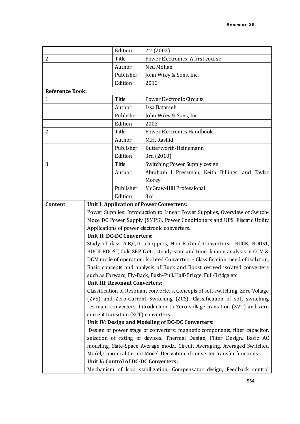|                        |           | Edition                                                                                                             | $2nd$ (2002)                                                                    |  |
|------------------------|-----------|---------------------------------------------------------------------------------------------------------------------|---------------------------------------------------------------------------------|--|
| 2.                     |           | Title                                                                                                               | Power Electronics: A first course                                               |  |
|                        |           | Author                                                                                                              | Ned Mohan                                                                       |  |
|                        | Publisher |                                                                                                                     | John Wiley & Sons, Inc.                                                         |  |
|                        |           | Edition                                                                                                             | 2012                                                                            |  |
| <b>Reference Book:</b> |           |                                                                                                                     |                                                                                 |  |
| 1.                     | Title     |                                                                                                                     | Power Electronic Circuits                                                       |  |
|                        |           | Author                                                                                                              | Issa Batarseh                                                                   |  |
|                        |           | Publisher                                                                                                           | John Wiley & Sons, Inc.                                                         |  |
|                        |           | Edition                                                                                                             | 2003                                                                            |  |
| 2.                     |           | Title                                                                                                               | <b>Power Electronics Handbook</b>                                               |  |
|                        |           | Author                                                                                                              | M.H. Rashid                                                                     |  |
|                        |           | Publisher                                                                                                           | Butterworth-Heinemann                                                           |  |
|                        |           | Edition                                                                                                             | 3rd (2010)                                                                      |  |
| 3.                     |           | Title                                                                                                               | Switching Power Supply design                                                   |  |
|                        |           | Author                                                                                                              | Abraham I Pressman, Keith Billings, and Taylor                                  |  |
|                        |           |                                                                                                                     | Morey                                                                           |  |
|                        |           | Publisher                                                                                                           | McGraw-Hill Professional                                                        |  |
|                        |           | Edition                                                                                                             | 3rd                                                                             |  |
| Content                |           |                                                                                                                     | <b>Unit I: Application of Power Converters:</b>                                 |  |
|                        |           |                                                                                                                     | Power Supplies: Introduction to Linear Power Supplies, Overview of Switch-      |  |
|                        |           |                                                                                                                     | Mode DC Power Supply (SMPS). Power Conditioners and UPS. Electric Utility       |  |
|                        |           | Applications of power electronic converters.                                                                        |                                                                                 |  |
|                        |           | <b>Unit II: DC-DC Converters:</b>                                                                                   |                                                                                 |  |
|                        |           |                                                                                                                     | Study of class A,B,C,D choppers, Non-Isolated Converters:- BUCK, BOOST,         |  |
|                        |           |                                                                                                                     | BUCK-BOOST, Cuk, SEPIC etc. steady-state and time-domain analysis in CCM &      |  |
|                        |           |                                                                                                                     | DCM mode of operation. Isolated Converter: - Classification, need of isolation, |  |
|                        |           |                                                                                                                     | Basic concepts and analysis of Buck and Boost derived isolated converters       |  |
|                        |           | <b>Unit III: Resonant Converters:</b>                                                                               | such as Forward, Fly-Back, Push-Pull, Half-Bridge, Full-Bridge etc.             |  |
|                        |           |                                                                                                                     | Classification of Resonant converters, Concepts of soft-switching, Zero-Voltage |  |
|                        |           |                                                                                                                     | (ZVS) and Zero-Current Switching (ZCS), Classification of soft switching        |  |
|                        |           |                                                                                                                     |                                                                                 |  |
|                        |           | resonant converters. Introduction to Zero-voltage transition (ZVT) and zero<br>current transition (ZCT) converters. |                                                                                 |  |
|                        |           | Unit IV: Design and Modeling of DC-DC Converters:                                                                   |                                                                                 |  |
|                        |           |                                                                                                                     | Design of power stage of converters: magnetic components, filter capacitor,     |  |
|                        |           |                                                                                                                     | selection of rating of devices, Thermal Design, Filter Design. Basic AC         |  |
|                        |           |                                                                                                                     | modeling, State-Space Average model, Circuit Averaging, Averaged Switched       |  |
|                        |           |                                                                                                                     | Model, Canonical Circuit Model. Derivation of converter transfer functions.     |  |
|                        |           |                                                                                                                     | Unit V: Control of DC-DC Converters:                                            |  |
|                        |           |                                                                                                                     | Mechanism of loop stabilization, Compensator design, Feedback control           |  |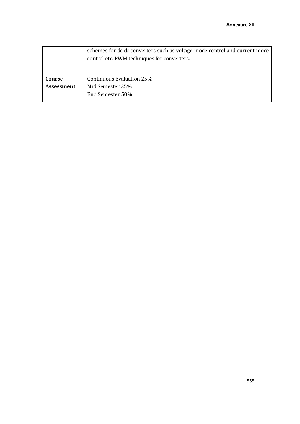|            | schemes for dc-dc converters such as voltage-mode control and current mode |
|------------|----------------------------------------------------------------------------|
|            | control etc. PWM techniques for converters.                                |
|            |                                                                            |
|            |                                                                            |
| Course     | Continuous Evaluation 25%                                                  |
| Assessment | Mid Semester 25%                                                           |
|            | End Semester 50%                                                           |
|            |                                                                            |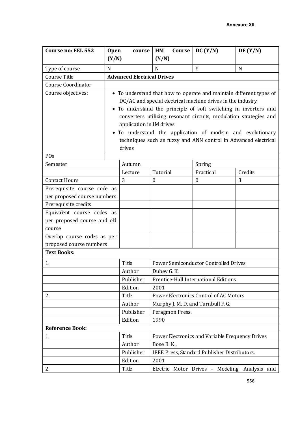| Course no: EEL 552          | <b>Open</b> | course                            | HM<br>Course     | DC (Y/N)                                                            | DE(Y/N) |
|-----------------------------|-------------|-----------------------------------|------------------|---------------------------------------------------------------------|---------|
|                             | (Y/N)       |                                   | (Y/N)            |                                                                     |         |
| Type of course              | N           |                                   | N                | Y                                                                   | N       |
| Course Title                |             | <b>Advanced Electrical Drives</b> |                  |                                                                     |         |
| <b>Course Coordinator</b>   |             |                                   |                  |                                                                     |         |
| Course objectives:          |             |                                   |                  | • To understand that how to operate and maintain different types of |         |
|                             |             |                                   |                  | DC/AC and special electrical machine drives in the industry         |         |
|                             |             |                                   |                  | • To understand the principle of soft switching in inverters and    |         |
|                             |             |                                   |                  | converters utilizing resonant circuits, modulation strategies and   |         |
|                             |             | application in IM drives          |                  |                                                                     |         |
|                             |             |                                   |                  | • To understand the application of modern and evolutionary          |         |
|                             |             |                                   |                  | techniques such as fuzzy and ANN control in Advanced electrical     |         |
|                             |             | drives                            |                  |                                                                     |         |
| POs                         |             |                                   |                  |                                                                     |         |
| Semester                    |             | Autumn                            |                  | Spring                                                              |         |
|                             |             | Lecture                           | Tutorial         | Practical                                                           | Credits |
| <b>Contact Hours</b>        |             | 3                                 | $\boldsymbol{0}$ | $\boldsymbol{0}$                                                    | 3       |
| Prerequisite course code as |             |                                   |                  |                                                                     |         |
| per proposed course numbers |             |                                   |                  |                                                                     |         |
| Prerequisite credits        |             |                                   |                  |                                                                     |         |
| Equivalent course codes as  |             |                                   |                  |                                                                     |         |
| per proposed course and old |             |                                   |                  |                                                                     |         |
| course                      |             |                                   |                  |                                                                     |         |
| Overlap course codes as per |             |                                   |                  |                                                                     |         |
| proposed course numbers     |             |                                   |                  |                                                                     |         |
| <b>Text Books:</b>          |             |                                   |                  |                                                                     |         |
| 1.                          |             | Title                             |                  | Power Semiconductor Controlled Drives                               |         |
|                             |             | Author                            | Dubey G. K.      |                                                                     |         |
|                             |             | Publisher                         |                  | Prentice-Hall International Editions                                |         |
|                             |             | Edition                           | 2001             |                                                                     |         |
| 2.                          |             | Title                             |                  | Power Electronics Control of AC Motors                              |         |
|                             |             | Author                            |                  | Murphy J. M. D. and Turnbull F. G.                                  |         |
|                             |             | Publisher                         | Peragmon Press.  |                                                                     |         |
|                             |             | Edition                           | 1990             |                                                                     |         |
| <b>Reference Book:</b>      |             |                                   |                  |                                                                     |         |
| 1.                          |             | Title                             |                  | Power Electronics and Variable Frequency Drives                     |         |
|                             |             | Author                            | Bose B.K.,       |                                                                     |         |
|                             |             | Publisher                         |                  | IEEE Press, Standard Publisher Distributors.                        |         |
|                             |             | Edition                           | 2001             |                                                                     |         |
| 2.                          |             | Title                             |                  | Electric Motor Drives - Modeling, Analysis and                      |         |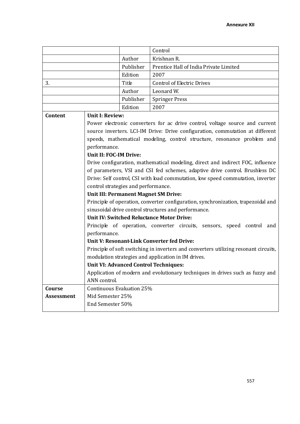|                                   |                                                                                | Control                                                                              |  |
|-----------------------------------|--------------------------------------------------------------------------------|--------------------------------------------------------------------------------------|--|
|                                   | Author                                                                         | Krishnan R.                                                                          |  |
|                                   | Publisher                                                                      | Prentice Hall of India Private Limited                                               |  |
|                                   | Edition                                                                        | 2007                                                                                 |  |
| 3.                                | Title                                                                          | <b>Control of Electric Drives</b>                                                    |  |
| Author<br>Leonard W.              |                                                                                |                                                                                      |  |
|                                   | Publisher                                                                      | <b>Springer Press</b>                                                                |  |
| Edition<br>2007                   |                                                                                |                                                                                      |  |
| <b>Unit I: Review:</b><br>Content |                                                                                |                                                                                      |  |
|                                   |                                                                                | Power electronic converters for ac drive control, voltage source and current         |  |
|                                   |                                                                                | source inverters. LCI-IM Drive: Drive configuration, commutation at different        |  |
|                                   |                                                                                | speeds, mathematical modeling, control structure, resonance problem and              |  |
|                                   | performance.                                                                   |                                                                                      |  |
|                                   | Unit II: FOC-IM Drive:                                                         |                                                                                      |  |
|                                   | Drive configuration, mathematical modeling, direct and indirect FOC, influence |                                                                                      |  |
|                                   |                                                                                | of parameters, VSI and CSI fed schemes, adaptive drive control. Brushless DC         |  |
|                                   |                                                                                | Drive: Self control, CSI with load commutation, low speed commutation, inverter      |  |
|                                   | control strategies and performance.                                            |                                                                                      |  |
|                                   | Unit III: Permanent Magnet SM Drive:                                           |                                                                                      |  |
|                                   |                                                                                | Principle of operation, converter configuration, synchronization, trapezoidal and    |  |
|                                   |                                                                                | sinusoidal drive control structures and performance.                                 |  |
|                                   | <b>Unit IV: Switched Reluctance Motor Drive:</b>                               |                                                                                      |  |
|                                   |                                                                                | Principle of operation, converter circuits, sensors, speed control and               |  |
|                                   | performance.                                                                   |                                                                                      |  |
|                                   | Unit V: Resonant-Link Converter fed Drive:                                     |                                                                                      |  |
|                                   |                                                                                | Principle of soft switching in inverters and converters utilizing resonant circuits, |  |
|                                   | modulation strategies and application in IM drives.                            |                                                                                      |  |
|                                   | <b>Unit VI: Advanced Control Techniques:</b>                                   |                                                                                      |  |
|                                   |                                                                                | Application of modern and evolutionary techniques in drives such as fuzzy and        |  |
|                                   | ANN control.                                                                   |                                                                                      |  |
| Course                            | Continuous Evaluation 25%                                                      |                                                                                      |  |
| <b>Assessment</b>                 | Mid Semester 25%                                                               |                                                                                      |  |
|                                   | End Semester 50%                                                               |                                                                                      |  |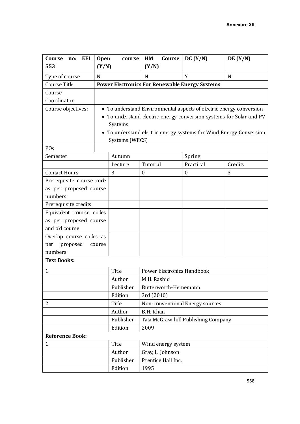| Course<br>EEL<br>no:     | <b>Open</b><br>course | Course<br>HM                                          | DC (Y/N)                                                            | DE(Y/N) |
|--------------------------|-----------------------|-------------------------------------------------------|---------------------------------------------------------------------|---------|
| 553                      | (Y/N)                 | (Y/N)                                                 |                                                                     |         |
| Type of course           | $\mathbf N$           | N                                                     | Y                                                                   | N       |
| Course Title             |                       | <b>Power Electronics For Renewable Energy Systems</b> |                                                                     |         |
| Course                   |                       |                                                       |                                                                     |         |
| Coordinator              |                       |                                                       |                                                                     |         |
| Course objectives:       |                       |                                                       | • To understand Environmental aspects of electric energy conversion |         |
|                          |                       |                                                       | • To understand electric energy conversion systems for Solar and PV |         |
|                          | Systems               |                                                       |                                                                     |         |
|                          |                       |                                                       | • To understand electric energy systems for Wind Energy Conversion  |         |
|                          | Systems (WECS)        |                                                       |                                                                     |         |
| POs                      |                       |                                                       |                                                                     |         |
| Semester                 | Autumn                |                                                       | Spring                                                              |         |
|                          | Lecture               | Tutorial                                              | Practical                                                           | Credits |
| <b>Contact Hours</b>     | 3                     | $\boldsymbol{0}$                                      | $\boldsymbol{0}$                                                    | 3       |
| Prerequisite course code |                       |                                                       |                                                                     |         |
| as per proposed course   |                       |                                                       |                                                                     |         |
| numbers                  |                       |                                                       |                                                                     |         |
| Prerequisite credits     |                       |                                                       |                                                                     |         |
| Equivalent course codes  |                       |                                                       |                                                                     |         |
| as per proposed course   |                       |                                                       |                                                                     |         |
| and old course           |                       |                                                       |                                                                     |         |
| Overlap course codes as  |                       |                                                       |                                                                     |         |
| proposed<br>per          | course                |                                                       |                                                                     |         |
| numbers                  |                       |                                                       |                                                                     |         |
| <b>Text Books:</b>       |                       |                                                       |                                                                     |         |
| 1.                       | Title                 | <b>Power Electronics Handbook</b>                     |                                                                     |         |
|                          | Author                | M.H. Rashid                                           |                                                                     |         |
|                          | Publisher             | Butterworth-Heinemann                                 |                                                                     |         |
|                          | Edition               | 3rd (2010)                                            |                                                                     |         |
| 2.                       | Title                 |                                                       | Non-conventional Energy sources                                     |         |
|                          | Author                | B.H. Khan                                             |                                                                     |         |
|                          | Publisher             |                                                       | Tata McGraw-hill Publishing Company                                 |         |
|                          | Edition               | 2009                                                  |                                                                     |         |
| <b>Reference Book:</b>   |                       |                                                       |                                                                     |         |
| 1.                       | Title                 | Wind energy system                                    |                                                                     |         |
|                          | Author                | Gray, L. Johnson                                      |                                                                     |         |
|                          | Publisher             | Prentice Hall Inc.                                    |                                                                     |         |
|                          | Edition               | 1995                                                  |                                                                     |         |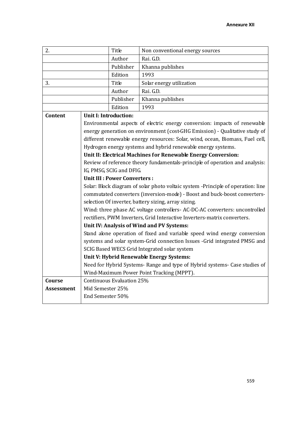| 2.                |                                                                                  | Title                                                                      | Non conventional energy sources                                               |  |
|-------------------|----------------------------------------------------------------------------------|----------------------------------------------------------------------------|-------------------------------------------------------------------------------|--|
|                   |                                                                                  | Author                                                                     | Rai. G.D.                                                                     |  |
|                   |                                                                                  | Publisher                                                                  | Khanna publishes                                                              |  |
|                   |                                                                                  | Edition                                                                    | 1993                                                                          |  |
| Title<br>3.       |                                                                                  |                                                                            | Solar energy utilization                                                      |  |
|                   |                                                                                  | Author                                                                     | Rai. G.D.                                                                     |  |
|                   |                                                                                  | Publisher                                                                  | Khanna publishes                                                              |  |
|                   |                                                                                  | Edition                                                                    | 1993                                                                          |  |
| Content           | <b>Unit I: Introduction:</b>                                                     |                                                                            |                                                                               |  |
|                   |                                                                                  |                                                                            | Environmental aspects of electric energy conversion: impacts of renewable     |  |
|                   |                                                                                  |                                                                            | energy generation on environment (cost-GHG Emission) - Qualitative study of   |  |
|                   |                                                                                  |                                                                            | different renewable energy resources: Solar, wind, ocean, Biomass, Fuel cell, |  |
|                   |                                                                                  |                                                                            | Hydrogen energy systems and hybrid renewable energy systems.                  |  |
|                   |                                                                                  |                                                                            | Unit II: Electrical Machines for Renewable Energy Conversion:                 |  |
|                   |                                                                                  |                                                                            | Review of reference theory fundamentals-principle of operation and analysis:  |  |
|                   | IG, PMSG, SCIG and DFIG.                                                         |                                                                            |                                                                               |  |
|                   | <b>Unit III: Power Converters:</b>                                               |                                                                            |                                                                               |  |
|                   | Solar: Block diagram of solar photo voltaic system -Principle of operation: line |                                                                            |                                                                               |  |
|                   |                                                                                  |                                                                            | commutated converters (inversion-mode) - Boost and buck-boost converters-     |  |
|                   |                                                                                  |                                                                            | selection Of inverter, battery sizing, array sizing.                          |  |
|                   |                                                                                  |                                                                            | Wind: three phase AC voltage controllers- AC-DC-AC converters: uncontrolled   |  |
|                   |                                                                                  |                                                                            | rectifiers, PWM Inverters, Grid Interactive Inverters-matrix converters.      |  |
|                   |                                                                                  |                                                                            | Unit IV: Analysis of Wind and PV Systems:                                     |  |
|                   |                                                                                  |                                                                            | Stand alone operation of fixed and variable speed wind energy conversion      |  |
|                   |                                                                                  |                                                                            | systems and solar system-Grid connection Issues -Grid integrated PMSG and     |  |
|                   |                                                                                  |                                                                            | SCIG Based WECS Grid Integrated solar system                                  |  |
|                   |                                                                                  |                                                                            | Unit V: Hybrid Renewable Energy Systems:                                      |  |
|                   |                                                                                  | Need for Hybrid Systems- Range and type of Hybrid systems- Case studies of |                                                                               |  |
|                   |                                                                                  | Wind-Maximum Power Point Tracking (MPPT).<br>Continuous Evaluation 25%     |                                                                               |  |
| Course            | Mid Semester 25%                                                                 |                                                                            |                                                                               |  |
| <b>Assessment</b> | End Semester 50%                                                                 |                                                                            |                                                                               |  |
|                   |                                                                                  |                                                                            |                                                                               |  |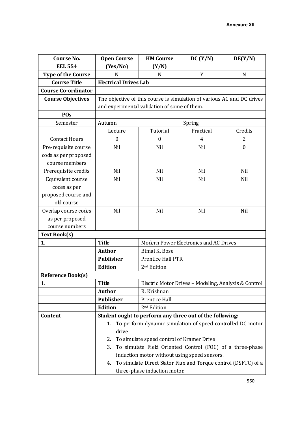| <b>Course No.</b>          | <b>Open Course</b>                                                     | <b>HM Course</b>                                     | DC (Y/N)                                                       | DE(Y/N)          |
|----------------------------|------------------------------------------------------------------------|------------------------------------------------------|----------------------------------------------------------------|------------------|
| <b>EEL 554</b>             | (Yes/No)                                                               | (Y/N)                                                |                                                                |                  |
| <b>Type of the Course</b>  | N                                                                      | N                                                    | Y                                                              | N                |
| <b>Course Title</b>        | <b>Electrical Drives Lab</b>                                           |                                                      |                                                                |                  |
| <b>Course Co-ordinator</b> |                                                                        |                                                      |                                                                |                  |
| <b>Course Objectives</b>   | The objective of this course is simulation of various AC and DC drives |                                                      |                                                                |                  |
|                            | and experimental validation of some of them.                           |                                                      |                                                                |                  |
| POs                        |                                                                        |                                                      |                                                                |                  |
| Semester                   | Autumn                                                                 |                                                      | Spring                                                         |                  |
|                            | Lecture                                                                | Tutorial                                             | Practical                                                      | Credits          |
| <b>Contact Hours</b>       | $\boldsymbol{0}$                                                       | $\boldsymbol{0}$                                     | 4                                                              | 2                |
| Pre-requisite course       | Nil                                                                    | Nil                                                  | Nil                                                            | $\boldsymbol{0}$ |
| code as per proposed       |                                                                        |                                                      |                                                                |                  |
| course members             |                                                                        |                                                      |                                                                |                  |
| Prerequisite credits       | Nil                                                                    | Nil                                                  | Nil                                                            | Nil              |
| Equivalent course          | Nil                                                                    | Nil                                                  | Nil                                                            | Nil              |
| codes as per               |                                                                        |                                                      |                                                                |                  |
| proposed course and        |                                                                        |                                                      |                                                                |                  |
| old course                 |                                                                        |                                                      |                                                                |                  |
| Overlap course codes       | Nil                                                                    | Nil                                                  | Nil                                                            | Nil              |
| as per proposed            |                                                                        |                                                      |                                                                |                  |
| course numbers             |                                                                        |                                                      |                                                                |                  |
| <b>Text Book(s)</b>        |                                                                        |                                                      |                                                                |                  |
| 1.                         | <b>Title</b>                                                           |                                                      | Modern Power Electronics and AC Drives                         |                  |
|                            | <b>Author</b>                                                          | <b>Bimal K. Bose</b>                                 |                                                                |                  |
|                            | <b>Publisher</b>                                                       | Prentice Hall PTR                                    |                                                                |                  |
|                            | <b>Edition</b>                                                         | 2 <sup>nd</sup> Edition                              |                                                                |                  |
| <b>Reference Book(s)</b>   |                                                                        |                                                      |                                                                |                  |
| 1.                         | <b>Title</b>                                                           | Electric Motor Drives - Modeling, Analysis & Control |                                                                |                  |
|                            | <b>Author</b>                                                          | R. Krishnan                                          |                                                                |                  |
|                            | <b>Publisher</b>                                                       | Prentice Hall                                        |                                                                |                  |
|                            | <b>Edition</b>                                                         | 2 <sup>nd</sup> Edition                              |                                                                |                  |
| Content                    |                                                                        |                                                      | Student ought to perform any three out of the following:       |                  |
|                            | 1.                                                                     |                                                      | To perform dynamic simulation of speed controlled DC motor     |                  |
|                            | drive                                                                  |                                                      |                                                                |                  |
|                            | 2.                                                                     | To simulate speed control of Kramer Drive            |                                                                |                  |
|                            | 3.                                                                     |                                                      | To simulate Field Oriented Control (FOC) of a three-phase      |                  |
|                            |                                                                        |                                                      | induction motor without using speed sensors.                   |                  |
|                            | 4.                                                                     |                                                      | To simulate Direct Stator Flux and Torque control (DSFTC) of a |                  |
|                            | three-phase induction motor.                                           |                                                      |                                                                |                  |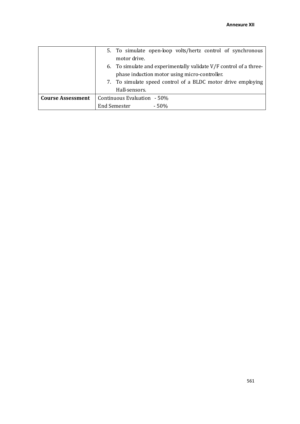|                          | 5. To simulate open-loop volts/hertz control of synchronous        |  |  |
|--------------------------|--------------------------------------------------------------------|--|--|
|                          | motor drive.                                                       |  |  |
|                          | 6. To simulate and experimentally validate V/F control of a three- |  |  |
|                          | phase induction motor using micro-controller.                      |  |  |
|                          | 7. To simulate speed control of a BLDC motor drive employing       |  |  |
|                          | Hall-sensors.                                                      |  |  |
| <b>Course Assessment</b> | Continuous Evaluation - 50%                                        |  |  |
|                          | <b>End Semester</b><br>$-50%$                                      |  |  |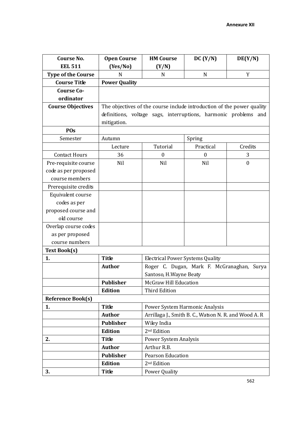| <b>Course No.</b>         | <b>Open Course</b>                                                             | <b>HM Course</b>                        | DC (Y/N)                                              | DE(Y/N)          |
|---------------------------|--------------------------------------------------------------------------------|-----------------------------------------|-------------------------------------------------------|------------------|
| <b>EEL 511</b>            | (Yes/No)                                                                       | (Y/N)                                   |                                                       |                  |
| <b>Type of the Course</b> | N                                                                              | N                                       | $\mathbf N$                                           | Y                |
| <b>Course Title</b>       | <b>Power Quality</b>                                                           |                                         |                                                       |                  |
| <b>Course Co-</b>         |                                                                                |                                         |                                                       |                  |
| ordinator                 |                                                                                |                                         |                                                       |                  |
| <b>Course Objectives</b>  | The objectives of the course include introduction of the power quality         |                                         |                                                       |                  |
|                           | definitions, voltage sags, interruptions, harmonic problems and<br>mitigation. |                                         |                                                       |                  |
|                           |                                                                                |                                         |                                                       |                  |
| POs                       |                                                                                |                                         |                                                       |                  |
| Semester                  | Autumn                                                                         |                                         | Spring                                                |                  |
|                           | Lecture                                                                        | Tutorial                                | Practical                                             | Credits          |
| <b>Contact Hours</b>      | 36                                                                             | $\boldsymbol{0}$                        | $\boldsymbol{0}$                                      | 3                |
| Pre-requisite course      | Nil                                                                            | Nil                                     | Nil                                                   | $\boldsymbol{0}$ |
| code as per proposed      |                                                                                |                                         |                                                       |                  |
| course members            |                                                                                |                                         |                                                       |                  |
| Prerequisite credits      |                                                                                |                                         |                                                       |                  |
| Equivalent course         |                                                                                |                                         |                                                       |                  |
| codes as per              |                                                                                |                                         |                                                       |                  |
| proposed course and       |                                                                                |                                         |                                                       |                  |
| old course                |                                                                                |                                         |                                                       |                  |
| Overlap course codes      |                                                                                |                                         |                                                       |                  |
| as per proposed           |                                                                                |                                         |                                                       |                  |
| course numbers            |                                                                                |                                         |                                                       |                  |
| <b>Text Book(s)</b>       |                                                                                |                                         |                                                       |                  |
| 1.                        | <b>Title</b>                                                                   | <b>Electrical Power Systems Quality</b> |                                                       |                  |
|                           | <b>Author</b>                                                                  |                                         | Roger C. Dugan, Mark F. McGranaghan, Surya            |                  |
|                           |                                                                                | Santoso, H.Wayne Beaty                  |                                                       |                  |
|                           | <b>Publisher</b>                                                               | McGraw Hill Education                   |                                                       |                  |
|                           | <b>Edition</b>                                                                 | <b>Third Edition</b>                    |                                                       |                  |
| <b>Reference Book(s)</b>  |                                                                                |                                         |                                                       |                  |
| 1.                        | <b>Title</b>                                                                   |                                         | Power System Harmonic Analysis                        |                  |
|                           | <b>Author</b>                                                                  |                                         | Arrillaga J., Smith B. C., Watson N. R. and Wood A. R |                  |
|                           | <b>Publisher</b>                                                               | Wiley India                             |                                                       |                  |
|                           | <b>Edition</b>                                                                 | 2 <sup>nd</sup> Edition                 |                                                       |                  |
| 2.                        | <b>Title</b>                                                                   | <b>Power System Analysis</b>            |                                                       |                  |
|                           | <b>Author</b>                                                                  | Arthur R.B.                             |                                                       |                  |
|                           | Publisher                                                                      | <b>Pearson Education</b>                |                                                       |                  |
|                           | <b>Edition</b>                                                                 | 2 <sup>nd</sup> Edition                 |                                                       |                  |
| 3.                        | <b>Title</b>                                                                   | Power Quality                           |                                                       |                  |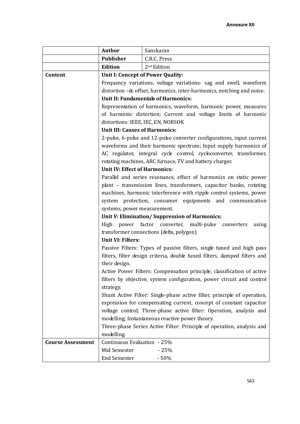|                          | Author                                                                 | Sanskaran                                                                 |  |  |
|--------------------------|------------------------------------------------------------------------|---------------------------------------------------------------------------|--|--|
|                          | Publisher                                                              | C.R.C. Press                                                              |  |  |
|                          | <b>Edition</b>                                                         | 2 <sup>nd</sup> Edition                                                   |  |  |
| Content                  | Unit I: Concept of Power Quality:                                      |                                                                           |  |  |
|                          |                                                                        | Frequency variations, voltage variations- sag and swell, waveform         |  |  |
|                          |                                                                        | distortion - c offset, harmonics, inter-harmonics, notching and noise.    |  |  |
|                          |                                                                        | <b>Unit II: Fundamentals of Harmonics:</b>                                |  |  |
|                          | Representation of harmonics, waveform, harmonic power, measures        |                                                                           |  |  |
|                          |                                                                        | of harmonic distortion; Current and voltage limits of harmonic            |  |  |
|                          |                                                                        | distortions: IEEE, IEC, EN, NORSOK                                        |  |  |
|                          | <b>Unit III: Causes of Harmonics:</b>                                  |                                                                           |  |  |
|                          |                                                                        | 2-pulse, 6-pulse and 12-pulse converter configurations, input current     |  |  |
|                          |                                                                        | waveforms and their harmonic spectrum; Input supply harmonics of          |  |  |
|                          |                                                                        | AC regulator, integral cycle control, cycloconverter, transformer,        |  |  |
|                          |                                                                        | rotating machines, ARC furnace, TV and battery charger.                   |  |  |
|                          | <b>Unit IV: Effect of Harmonics:</b>                                   |                                                                           |  |  |
|                          |                                                                        | Parallel and series resonance, effect of harmonics on static power        |  |  |
|                          |                                                                        | plant - transmission lines, transformers, capacitor banks, rotating       |  |  |
|                          |                                                                        | machines, harmonic interference with ripple control systems, power        |  |  |
|                          |                                                                        | system protection, consumer equipments and communication                  |  |  |
|                          | systems, power measurement.                                            |                                                                           |  |  |
|                          |                                                                        | Unit V: Elimination/Suppression of Harmonics:                             |  |  |
|                          | High power factor converter, multi-pulse converters<br>using           |                                                                           |  |  |
|                          |                                                                        | transformer connections (delta, polygon)                                  |  |  |
|                          | <b>Unit VI: Filters:</b>                                               |                                                                           |  |  |
|                          |                                                                        | Passive Filters: Types of passive filters, single tuned and high pass     |  |  |
|                          |                                                                        | filters, filter design criteria, double tuned filters, damped filters and |  |  |
|                          | their design.                                                          |                                                                           |  |  |
|                          |                                                                        | Active Power Filters: Compensation principle, classification of active    |  |  |
|                          |                                                                        | filters by objective, system configuration, power circuit and control     |  |  |
|                          | strategy.                                                              |                                                                           |  |  |
|                          |                                                                        | Shunt Active Filter: Single-phase active filter, principle of operation,  |  |  |
|                          |                                                                        | expression for compensating current, concept of constant capacitor        |  |  |
|                          |                                                                        | voltage control; Three-phase active filter: Operation, analysis and       |  |  |
|                          |                                                                        | modelling; Instantaneous reactive power theory.                           |  |  |
|                          | Three-phase Series Active Filter: Principle of operation, analysis and |                                                                           |  |  |
|                          | modelling.                                                             |                                                                           |  |  |
| <b>Course Assessment</b> | Continuous Evaluation - 25%                                            |                                                                           |  |  |
|                          | Mid Semester                                                           | $-25%$                                                                    |  |  |
|                          | <b>End Semester</b>                                                    | $-50%$                                                                    |  |  |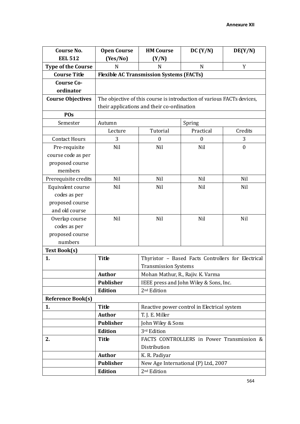| <b>Course No.</b>         | <b>Open Course</b>                                                     | <b>HM Course</b>                                   | DC (Y/N)                                    | DE(Y/N)          |  |
|---------------------------|------------------------------------------------------------------------|----------------------------------------------------|---------------------------------------------|------------------|--|
| <b>EEL 512</b>            | (Yes/No)                                                               | (Y/N)                                              |                                             |                  |  |
| <b>Type of the Course</b> | N                                                                      | N                                                  | N                                           | Y                |  |
| <b>Course Title</b>       |                                                                        | <b>Flexible AC Transmission Systems (FACTs)</b>    |                                             |                  |  |
| <b>Course Co-</b>         |                                                                        |                                                    |                                             |                  |  |
| ordinator                 |                                                                        |                                                    |                                             |                  |  |
| <b>Course Objectives</b>  | The objective of this course is introduction of various FACTs devices, |                                                    |                                             |                  |  |
|                           |                                                                        | their applications and their co-ordination         |                                             |                  |  |
| POs                       |                                                                        |                                                    |                                             |                  |  |
| Semester                  | Autumn                                                                 |                                                    | Spring                                      |                  |  |
|                           | Lecture                                                                | Tutorial                                           | Practical                                   | Credits          |  |
| <b>Contact Hours</b>      | 3                                                                      | $\boldsymbol{0}$                                   | $\boldsymbol{0}$                            | 3                |  |
| Pre-requisite             | Nil                                                                    | Nil                                                | Nil                                         | $\boldsymbol{0}$ |  |
| course code as per        |                                                                        |                                                    |                                             |                  |  |
| proposed course           |                                                                        |                                                    |                                             |                  |  |
| members                   |                                                                        |                                                    |                                             |                  |  |
| Prerequisite credits      | Nil                                                                    | Nil                                                | Nil                                         | Nil              |  |
| Equivalent course         | Nil                                                                    | Nil                                                | Nil                                         | Nil              |  |
| codes as per              |                                                                        |                                                    |                                             |                  |  |
| proposed course           |                                                                        |                                                    |                                             |                  |  |
| and old course            |                                                                        |                                                    |                                             |                  |  |
| Overlap course            | Nil                                                                    | Nil                                                | Nil                                         | Nil              |  |
| codes as per              |                                                                        |                                                    |                                             |                  |  |
| proposed course           |                                                                        |                                                    |                                             |                  |  |
| numbers                   |                                                                        |                                                    |                                             |                  |  |
| <b>Text Book(s)</b>       |                                                                        |                                                    |                                             |                  |  |
| 1.                        | <b>Title</b>                                                           | Thyristor - Based Facts Controllers for Electrical |                                             |                  |  |
|                           |                                                                        | <b>Transmission Systems</b>                        |                                             |                  |  |
|                           | <b>Author</b>                                                          |                                                    | Mohan Mathur, R., Rajiv. K. Varma           |                  |  |
|                           | <b>Publisher</b>                                                       |                                                    | IEEE press and John Wiley & Sons, Inc.      |                  |  |
|                           | <b>Edition</b>                                                         | 2 <sup>nd</sup> Edition                            |                                             |                  |  |
| <b>Reference Book(s)</b>  |                                                                        |                                                    |                                             |                  |  |
| 1.                        | <b>Title</b>                                                           |                                                    | Reactive power control in Electrical system |                  |  |
|                           | <b>Author</b>                                                          | T. J. E. Miller                                    |                                             |                  |  |
|                           | <b>Publisher</b>                                                       | John Wiley & Sons                                  |                                             |                  |  |
|                           | <b>Edition</b>                                                         | 3rd Edition                                        |                                             |                  |  |
| 2.                        | <b>Title</b>                                                           |                                                    | FACTS CONTROLLERS in Power Transmission &   |                  |  |
|                           |                                                                        | Distribution                                       |                                             |                  |  |
|                           | <b>Author</b>                                                          | K. R. Padiyar                                      |                                             |                  |  |
|                           | <b>Publisher</b>                                                       |                                                    | New Age International (P) Ltd., 2007        |                  |  |
|                           | <b>Edition</b>                                                         | 2 <sup>nd</sup> Edition                            |                                             |                  |  |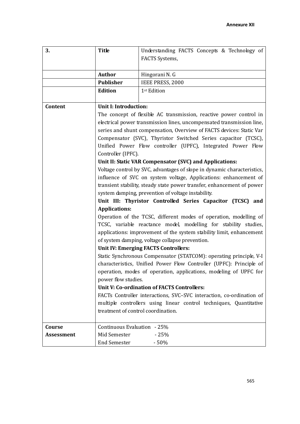| 3.                | <b>Title</b>                                                                                                                                            | Understanding FACTS Concepts & Technology of                          |  |
|-------------------|---------------------------------------------------------------------------------------------------------------------------------------------------------|-----------------------------------------------------------------------|--|
|                   |                                                                                                                                                         | FACTS Systems,                                                        |  |
|                   |                                                                                                                                                         |                                                                       |  |
|                   | <b>Author</b>                                                                                                                                           | Hingorani N. G                                                        |  |
|                   | <b>Publisher</b>                                                                                                                                        | IEEE PRESS, 2000                                                      |  |
|                   | <b>Edition</b>                                                                                                                                          | 1st Edition                                                           |  |
|                   |                                                                                                                                                         |                                                                       |  |
| Content           | <b>Unit I: Introduction:</b>                                                                                                                            |                                                                       |  |
|                   |                                                                                                                                                         | The concept of flexible AC transmission, reactive power control in    |  |
|                   |                                                                                                                                                         | electrical power transmission lines, uncompensated transmission line, |  |
|                   |                                                                                                                                                         | series and shunt compensation, Overview of FACTS devices: Static Var  |  |
|                   |                                                                                                                                                         | Compensator (SVC), Thyristor Switched Series capacitor (TCSC),        |  |
|                   | Unified Power Flow controller (UPFC), Integrated Power Flow                                                                                             |                                                                       |  |
|                   | Controller (IPFC).                                                                                                                                      |                                                                       |  |
|                   | Unit II: Static VAR Compensator (SVC) and Applications:                                                                                                 |                                                                       |  |
|                   | Voltage control by SVC, advantages of slope in dynamic characteristics,                                                                                 |                                                                       |  |
|                   | influence of SVC on system voltage, Applications: enhancement of                                                                                        |                                                                       |  |
|                   | transient stability, steady state power transfer, enhancement of power                                                                                  |                                                                       |  |
|                   | system damping, prevention of voltage instability.                                                                                                      |                                                                       |  |
|                   | Unit III: Thyristor Controlled Series Capacitor (TCSC) and<br><b>Applications:</b><br>Operation of the TCSC, different modes of operation, modelling of |                                                                       |  |
|                   |                                                                                                                                                         |                                                                       |  |
|                   |                                                                                                                                                         |                                                                       |  |
|                   | TCSC, variable reactance model, modelling for stability studies,                                                                                        |                                                                       |  |
|                   | applications: improvement of the system stability limit, enhancement                                                                                    |                                                                       |  |
|                   | of system damping, voltage collapse prevention.                                                                                                         |                                                                       |  |
|                   | Unit IV: Emerging FACTS Controllers:                                                                                                                    |                                                                       |  |
|                   | Static Synchronous Compensator (STATCOM): operating principle, V-I                                                                                      |                                                                       |  |
|                   | characteristics, Unified Power Flow Controller (UPFC): Principle of                                                                                     |                                                                       |  |
|                   | operation, modes of operation, applications, modeling of UPFC for                                                                                       |                                                                       |  |
|                   | power flow studies.                                                                                                                                     |                                                                       |  |
|                   |                                                                                                                                                         | <b>Unit V: Co-ordination of FACTS Controllers:</b>                    |  |
|                   |                                                                                                                                                         | FACTs Controller interactions, SVC-SVC interaction, co-ordination of  |  |
|                   |                                                                                                                                                         | multiple controllers using linear control techniques, Quantitative    |  |
|                   | treatment of control coordination.                                                                                                                      |                                                                       |  |
|                   |                                                                                                                                                         |                                                                       |  |
| Course            | Continuous Evaluation - 25%                                                                                                                             |                                                                       |  |
| <b>Assessment</b> |                                                                                                                                                         |                                                                       |  |
|                   | Mid Semester                                                                                                                                            | $-25%$                                                                |  |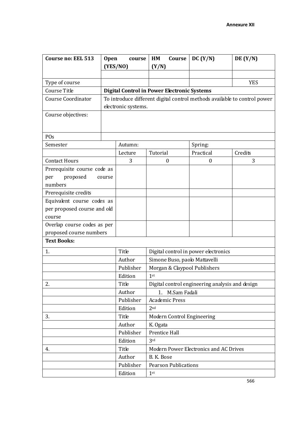| <b>Course no: EEL 513</b>                                 | <b>Open</b><br>course |                     | HM                                                 | Course          | DC (Y/N)                                                                  | DE $(Y/N)$ |
|-----------------------------------------------------------|-----------------------|---------------------|----------------------------------------------------|-----------------|---------------------------------------------------------------------------|------------|
|                                                           |                       | (YES/NO)            | (Y/N)                                              |                 |                                                                           |            |
|                                                           |                       |                     |                                                    |                 |                                                                           |            |
| Type of course                                            |                       |                     |                                                    |                 |                                                                           | <b>YES</b> |
| Course Title                                              |                       |                     | <b>Digital Control in Power Electronic Systems</b> |                 |                                                                           |            |
| <b>Course Coordinator</b>                                 |                       |                     |                                                    |                 | To introduce different digital control methods available to control power |            |
|                                                           |                       | electronic systems. |                                                    |                 |                                                                           |            |
| Course objectives:                                        |                       |                     |                                                    |                 |                                                                           |            |
|                                                           |                       |                     |                                                    |                 |                                                                           |            |
|                                                           |                       |                     |                                                    |                 |                                                                           |            |
| POs                                                       |                       |                     |                                                    |                 |                                                                           |            |
| Semester                                                  |                       | Autumn:             |                                                    |                 | Spring:                                                                   |            |
|                                                           |                       | Lecture             | Tutorial                                           |                 | Practical                                                                 | Credits    |
| <b>Contact Hours</b>                                      |                       | 3                   | 0                                                  |                 | $\Omega$                                                                  | 3          |
| Prerequisite course code as                               |                       |                     |                                                    |                 |                                                                           |            |
| proposed<br>per<br>numbers                                | course                |                     |                                                    |                 |                                                                           |            |
|                                                           |                       |                     |                                                    |                 |                                                                           |            |
| Prerequisite credits                                      |                       |                     |                                                    |                 |                                                                           |            |
| Equivalent course codes as<br>per proposed course and old |                       |                     |                                                    |                 |                                                                           |            |
| course                                                    |                       |                     |                                                    |                 |                                                                           |            |
| Overlap course codes as per                               |                       |                     |                                                    |                 |                                                                           |            |
| proposed course numbers                                   |                       |                     |                                                    |                 |                                                                           |            |
| <b>Text Books:</b>                                        |                       |                     |                                                    |                 |                                                                           |            |
|                                                           |                       |                     |                                                    |                 |                                                                           |            |
| 1.                                                        |                       | Title               | Digital control in power electronics               |                 |                                                                           |            |
|                                                           |                       | Author              | Simone Buso, paolo Mattavelli                      |                 |                                                                           |            |
|                                                           |                       | Publisher           | Morgan & Claypool Publishers                       |                 |                                                                           |            |
|                                                           |                       | Edition             | 1 <sup>st</sup>                                    |                 |                                                                           |            |
| 2.                                                        |                       | Title               | Digital control engineering analysis and design    |                 |                                                                           |            |
|                                                           |                       | Author              |                                                    | 1. M.Sam Fadali |                                                                           |            |
|                                                           |                       | Publisher           | <b>Academic Press</b>                              |                 |                                                                           |            |
|                                                           |                       | Edition             | 2 <sub>nd</sub>                                    |                 |                                                                           |            |
| 3.                                                        |                       | Title               |                                                    |                 | Modern Control Engineering                                                |            |
|                                                           |                       | Author              | K. Ogata                                           |                 |                                                                           |            |
|                                                           |                       | Publisher           | Prentice Hall                                      |                 |                                                                           |            |
|                                                           |                       | Edition             | 3rd                                                |                 |                                                                           |            |
| 4.                                                        |                       | Title               |                                                    |                 | Modern Power Electronics and AC Drives                                    |            |
|                                                           |                       | Author              | B. K. Bose                                         |                 |                                                                           |            |
|                                                           |                       | Publisher           | <b>Pearson Publications</b>                        |                 |                                                                           |            |
|                                                           |                       | Edition             | 1 <sup>st</sup>                                    |                 |                                                                           |            |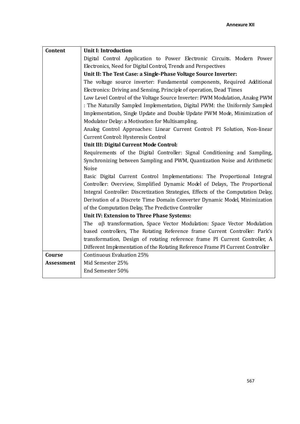| Content           | <b>Unit I: Introduction</b>                                                                                                                            |  |  |  |  |  |  |
|-------------------|--------------------------------------------------------------------------------------------------------------------------------------------------------|--|--|--|--|--|--|
|                   | Digital Control Application to Power Electronic Circuits. Modern Power                                                                                 |  |  |  |  |  |  |
|                   | Electronics, Need for Digital Control, Trends and Perspectives                                                                                         |  |  |  |  |  |  |
|                   | Unit II: The Test Case: a Single-Phase Voltage Source Inverter:                                                                                        |  |  |  |  |  |  |
|                   | The voltage source inverter: Fundamental components, Required Additional                                                                               |  |  |  |  |  |  |
|                   | Electronics: Driving and Sensing, Principle of operation, Dead Times                                                                                   |  |  |  |  |  |  |
|                   | Low Level Control of the Voltage Source Inverter: PWM Modulation, Analog PWM                                                                           |  |  |  |  |  |  |
|                   | : The Naturally Sampled Implementation, Digital PWM: the Uniformly Sampled                                                                             |  |  |  |  |  |  |
|                   | Implementation, Single Update and Double Update PWM Mode, Minimization of                                                                              |  |  |  |  |  |  |
|                   | Modulator Delay: a Motivation for Multisampling.                                                                                                       |  |  |  |  |  |  |
|                   | Analog Control Approaches: Linear Current Control: PI Solution, Non-linear                                                                             |  |  |  |  |  |  |
|                   | Current Control: Hysteresis Control                                                                                                                    |  |  |  |  |  |  |
|                   | Unit III: Digital Current Mode Control:                                                                                                                |  |  |  |  |  |  |
|                   | Requirements of the Digital Controller: Signal Conditioning and Sampling,<br>Synchronizing between Sampling and PWM, Quantization Noise and Arithmetic |  |  |  |  |  |  |
|                   |                                                                                                                                                        |  |  |  |  |  |  |
|                   | <b>Noise</b>                                                                                                                                           |  |  |  |  |  |  |
|                   | Basic Digital Current Control Implementations: The Proportional Integral                                                                               |  |  |  |  |  |  |
|                   | Controller: Overview, Simplified Dynamic Model of Delays, The Proportional                                                                             |  |  |  |  |  |  |
|                   | Integral Controller: Discretization Strategies, Effects of the Computation Delay,                                                                      |  |  |  |  |  |  |
|                   | Derivation of a Discrete Time Domain Converter Dynamic Model, Minimization                                                                             |  |  |  |  |  |  |
|                   | of the Computation Delay, The Predictive Controller                                                                                                    |  |  |  |  |  |  |
|                   | Unit IV: Extension to Three Phase Systems:                                                                                                             |  |  |  |  |  |  |
|                   | The $\alpha\beta$ transformation, Space Vector Modulation: Space Vector Modulation                                                                     |  |  |  |  |  |  |
|                   | based controllers, The Rotating Reference frame Current Controller: Park's                                                                             |  |  |  |  |  |  |
|                   | transformation, Design of rotating reference frame PI Current Controller, A                                                                            |  |  |  |  |  |  |
|                   | Different Implementation of the Rotating Reference Frame PI Current Controller                                                                         |  |  |  |  |  |  |
| Course            | Continuous Evaluation 25%<br>Mid Semester 25%                                                                                                          |  |  |  |  |  |  |
| <b>Assessment</b> | End Semester 50%                                                                                                                                       |  |  |  |  |  |  |
|                   |                                                                                                                                                        |  |  |  |  |  |  |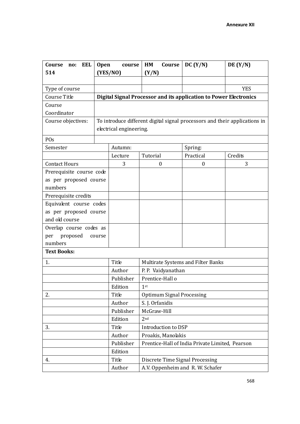| EEL<br>Course<br>no:     | <b>Open</b><br>course   | HM<br>Course                                                      | DC (Y/N)                               | DE(Y/N)                                                                    |  |  |
|--------------------------|-------------------------|-------------------------------------------------------------------|----------------------------------------|----------------------------------------------------------------------------|--|--|
| 514                      | (YES/NO)                | (Y/N)                                                             |                                        |                                                                            |  |  |
|                          |                         |                                                                   |                                        |                                                                            |  |  |
| Type of course           |                         |                                                                   |                                        | <b>YES</b>                                                                 |  |  |
| Course Title             |                         | Digital Signal Processor and its application to Power Electronics |                                        |                                                                            |  |  |
| Course                   |                         |                                                                   |                                        |                                                                            |  |  |
| Coordinator              |                         |                                                                   |                                        |                                                                            |  |  |
| Course objectives:       |                         |                                                                   |                                        | To introduce different digital signal processors and their applications in |  |  |
|                          | electrical engineering. |                                                                   |                                        |                                                                            |  |  |
| POs                      |                         |                                                                   |                                        |                                                                            |  |  |
| Semester                 | Autumn:                 |                                                                   | Spring:                                |                                                                            |  |  |
|                          | Lecture                 | Tutorial                                                          | Practical                              | Credits                                                                    |  |  |
| <b>Contact Hours</b>     | 3                       | $\boldsymbol{0}$                                                  | $\boldsymbol{0}$                       | 3                                                                          |  |  |
| Prerequisite course code |                         |                                                                   |                                        |                                                                            |  |  |
| as per proposed course   |                         |                                                                   |                                        |                                                                            |  |  |
| numbers                  |                         |                                                                   |                                        |                                                                            |  |  |
| Prerequisite credits     |                         |                                                                   |                                        |                                                                            |  |  |
| Equivalent course codes  |                         |                                                                   |                                        |                                                                            |  |  |
| as per proposed course   |                         |                                                                   |                                        |                                                                            |  |  |
| and old course           |                         |                                                                   |                                        |                                                                            |  |  |
| Overlap course codes as  |                         |                                                                   |                                        |                                                                            |  |  |
| proposed<br>per          | course                  |                                                                   |                                        |                                                                            |  |  |
| numbers                  |                         |                                                                   |                                        |                                                                            |  |  |
| <b>Text Books:</b>       |                         |                                                                   |                                        |                                                                            |  |  |
| 1.                       | Title                   | Multirate Systems and Filter Banks                                |                                        |                                                                            |  |  |
|                          | Author                  | P. P. Vaidyanathan                                                |                                        |                                                                            |  |  |
|                          | Publisher               | Prentice-Hall o                                                   |                                        |                                                                            |  |  |
|                          | Edition                 | 1 <sup>st</sup>                                                   |                                        |                                                                            |  |  |
| 2.                       | Title                   |                                                                   | <b>Optimum Signal Processing</b>       |                                                                            |  |  |
|                          | Author                  | S. J. Orfanidis                                                   |                                        |                                                                            |  |  |
|                          | Publisher               | McGraw-Hill                                                       |                                        |                                                                            |  |  |
|                          | Edition                 | 2 <sub>nd</sub>                                                   |                                        |                                                                            |  |  |
| 3.                       | Title                   | Introduction to DSP                                               |                                        |                                                                            |  |  |
|                          | Author                  | Proakis, Manolakis                                                |                                        |                                                                            |  |  |
|                          | Publisher               | Prentice-Hall of India Private Limited, Pearson                   |                                        |                                                                            |  |  |
|                          | Edition                 |                                                                   |                                        |                                                                            |  |  |
| 4.                       | Title                   |                                                                   | <b>Discrete Time Signal Processing</b> |                                                                            |  |  |
|                          | Author                  | A.V. Oppenheim and R.W. Schafer                                   |                                        |                                                                            |  |  |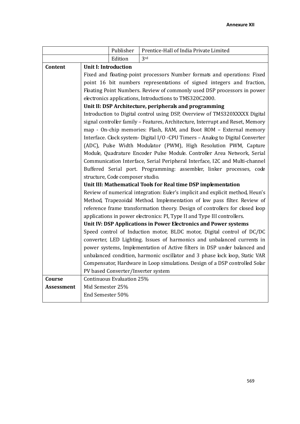|               |                                                                             | Publisher                        | Prentice-Hall of India Private Limited                                         |  |  |
|---------------|-----------------------------------------------------------------------------|----------------------------------|--------------------------------------------------------------------------------|--|--|
|               |                                                                             | Edition                          | 3rd                                                                            |  |  |
| Content       | <b>Unit I: Introduction</b>                                                 |                                  |                                                                                |  |  |
|               |                                                                             |                                  | Fixed and floating-point processors Number formats and operations: Fixed       |  |  |
|               |                                                                             |                                  | point 16 bit numbers representations of signed integers and fraction,          |  |  |
|               |                                                                             |                                  | Floating Point Numbers. Review of commonly used DSP processors in power        |  |  |
|               |                                                                             |                                  | electronics applications, Introductions to TMS320C2000.                        |  |  |
|               |                                                                             |                                  | Unit II: DSP Architecture, peripherals and programming                         |  |  |
|               |                                                                             |                                  | Introduction to Digital control using DSP, Overview of TMS320XXXXX Digital     |  |  |
|               |                                                                             |                                  | signal controller family - Features, Architecture, Interrupt and Reset, Memory |  |  |
|               |                                                                             |                                  | map - On-chip memories: Flash, RAM, and Boot ROM - External memory             |  |  |
|               |                                                                             |                                  | Interface. Clock system- Digital I/O -CPU Timers - Analog to Digital Converter |  |  |
|               |                                                                             |                                  | (ADC), Pulse Width Modulator (PWM), High Resolution PWM, Capture               |  |  |
|               |                                                                             |                                  | Module, Quadrature Encoder Pulse Module. Controller Area Network, Serial       |  |  |
|               |                                                                             |                                  | Communication Interface, Serial Peripheral Interface, I2C and Multi-channel    |  |  |
|               |                                                                             |                                  | Buffered Serial port. Programming: assembler, linker processes, code           |  |  |
|               |                                                                             | structure, Code composer studio. |                                                                                |  |  |
|               |                                                                             |                                  | Unit III: Mathematical Tools for Real time DSP implementation                  |  |  |
|               |                                                                             |                                  | Review of numerical integration: Euler's implicit and explicit method, Heun's  |  |  |
|               |                                                                             |                                  | Method, Trapezoidal Method. Implementation of low pass filter. Review of       |  |  |
|               |                                                                             |                                  | reference frame transformation theory. Design of controllers for closed loop   |  |  |
|               |                                                                             |                                  | applications in power electronics: PI, Type II and Type III controllers.       |  |  |
|               |                                                                             |                                  | Unit IV: DSP Applications in Power Electronics and Power systems               |  |  |
|               |                                                                             |                                  | Speed control of Induction motor, BLDC motor, Digital control of DC/DC         |  |  |
|               |                                                                             |                                  | converter, LED Lighting. Issues of harmonics and unbalanced currents in        |  |  |
|               |                                                                             |                                  | power systems, Implementation of Active filters in DSP under balanced and      |  |  |
|               |                                                                             |                                  | unbalanced condition, harmonic oscillator and 3 phase lock loop, Static VAR    |  |  |
|               | Compensator, Hardware in Loop simulations. Design of a DSP controlled Solar |                                  |                                                                                |  |  |
|               |                                                                             |                                  | PV based Converter/Inverter system                                             |  |  |
| <b>Course</b> |                                                                             | Continuous Evaluation 25%        |                                                                                |  |  |
| Assessment    | Mid Semester 25%                                                            |                                  |                                                                                |  |  |
|               | End Semester 50%                                                            |                                  |                                                                                |  |  |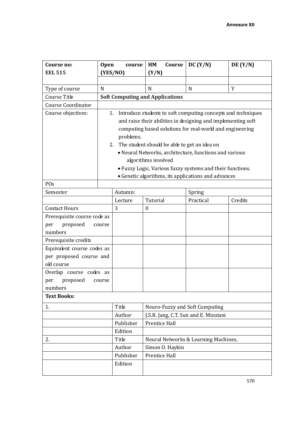| Course no:<br><b>EEL 515</b> | <b>Open</b> | course<br>(YES/NO)                                           | HM<br>Course<br>(Y/N)                        | DC (Y/N)                                                  | DE(Y/N)                                                      |  |
|------------------------------|-------------|--------------------------------------------------------------|----------------------------------------------|-----------------------------------------------------------|--------------------------------------------------------------|--|
|                              |             |                                                              |                                              |                                                           |                                                              |  |
| Type of course               | N           |                                                              | N                                            | N                                                         | Y                                                            |  |
| Course Title                 |             |                                                              | <b>Soft Computing and Applications</b>       |                                                           |                                                              |  |
| <b>Course Coordinator</b>    |             |                                                              |                                              |                                                           |                                                              |  |
| Course objectives:           |             | 1.                                                           |                                              |                                                           | Introduce students to soft computing concepts and techniques |  |
|                              |             | and raise their abilities in designing and implementing soft |                                              |                                                           |                                                              |  |
|                              |             |                                                              |                                              | computing based solutions for real-world and engineering  |                                                              |  |
|                              |             | problems.                                                    |                                              |                                                           |                                                              |  |
|                              |             | 2.                                                           | The student should be able to get an idea on |                                                           |                                                              |  |
|                              |             |                                                              |                                              | • Neural Networks, architecture, functions and various    |                                                              |  |
|                              |             |                                                              | algorithms involved                          |                                                           |                                                              |  |
|                              |             |                                                              |                                              | • Fuzzy Logic, Various fuzzy systems and their functions. |                                                              |  |
|                              |             |                                                              |                                              | • Genetic algorithms, its applications and advances       |                                                              |  |
| POs                          |             |                                                              |                                              |                                                           |                                                              |  |
| Semester                     |             | Autumn:                                                      |                                              | Spring                                                    |                                                              |  |
|                              |             | Lecture                                                      | Tutorial                                     | Practical                                                 | Credits                                                      |  |
| <b>Contact Hours</b>         |             | 3                                                            | $\boldsymbol{0}$                             |                                                           |                                                              |  |
| Prerequisite course code as  |             |                                                              |                                              |                                                           |                                                              |  |
| proposed<br>per<br>numbers   | course      |                                                              |                                              |                                                           |                                                              |  |
| Prerequisite credits         |             |                                                              |                                              |                                                           |                                                              |  |
| Equivalent course codes as   |             |                                                              |                                              |                                                           |                                                              |  |
| per proposed course and      |             |                                                              |                                              |                                                           |                                                              |  |
| old course                   |             |                                                              |                                              |                                                           |                                                              |  |
| Overlap course codes as      |             |                                                              |                                              |                                                           |                                                              |  |
| proposed<br>per              | course      |                                                              |                                              |                                                           |                                                              |  |
| numbers                      |             |                                                              |                                              |                                                           |                                                              |  |
| <b>Text Books:</b>           |             |                                                              |                                              |                                                           |                                                              |  |
| 1.                           |             | Title                                                        |                                              | Neuro-Fuzzy and Soft Computing                            |                                                              |  |
|                              |             | Author                                                       |                                              | J.S.R. Jang, C.T. Sun and E. Mizutani                     |                                                              |  |
|                              |             | Publisher                                                    | Prentice Hall                                |                                                           |                                                              |  |
|                              |             | Edition                                                      |                                              |                                                           |                                                              |  |
| 2.                           |             | Title                                                        |                                              | Neural Networks & Learning Machines,                      |                                                              |  |
|                              |             | Author                                                       | Simon O. Haykin                              |                                                           |                                                              |  |
|                              |             | Publisher                                                    | Prentice Hall                                |                                                           |                                                              |  |
|                              |             | Edition                                                      |                                              |                                                           |                                                              |  |
|                              |             |                                                              |                                              |                                                           |                                                              |  |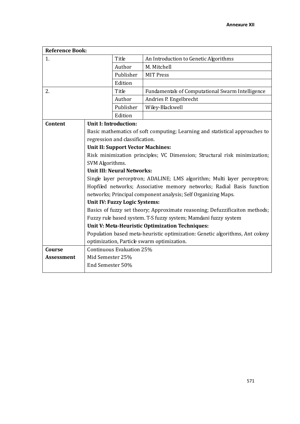| <b>Reference Book:</b> |                                          |                                   |                                                                              |
|------------------------|------------------------------------------|-----------------------------------|------------------------------------------------------------------------------|
| 1.                     |                                          | Title                             | An Introduction to Genetic Algorithms                                        |
|                        |                                          | Author                            | M. Mitchell                                                                  |
|                        |                                          | Publisher                         | <b>MIT Press</b>                                                             |
|                        |                                          | Edition                           |                                                                              |
| 2.                     |                                          | Title                             | Fundamentals of Computational Swarm Intelligence                             |
|                        |                                          | Author                            | Andries P. Engelbrecht                                                       |
|                        |                                          | Publisher                         | Wiley-Blackwell                                                              |
|                        |                                          | Edition                           |                                                                              |
| Content                |                                          | <b>Unit I: Introduction:</b>      |                                                                              |
|                        |                                          |                                   | Basic mathematics of soft computing; Learning and statistical approaches to  |
|                        |                                          | regression and classification.    |                                                                              |
|                        | <b>Unit II: Support Vector Machines:</b> |                                   |                                                                              |
|                        |                                          |                                   | Risk minimization principles; VC Dimension; Structural risk minimization;    |
|                        | SVM Algorithms.                          |                                   |                                                                              |
|                        |                                          | <b>Unit III: Neural Networks:</b> |                                                                              |
|                        |                                          |                                   | Single layer perceptron; ADALINE; LMS algorithm; Multi layer perceptron;     |
|                        |                                          |                                   | Hopfiled networks; Associative memory networks; Radial Basis function        |
|                        |                                          |                                   | networks; Principal component analysis; Self Organizing Maps.                |
|                        |                                          | Unit IV: Fuzzy Logic Systems:     |                                                                              |
|                        |                                          |                                   | Basics of fuzzy set theory; Approximate reasoning; Defuzzificaiton methods;  |
|                        |                                          |                                   | Fuzzy rule based system. T-S fuzzy system; Mamdani fuzzy system              |
|                        |                                          |                                   | Unit V: Meta-Heuristic Optimization Techniques:                              |
|                        |                                          |                                   | Population based meta-heuristic optimization: Genetic algorithms, Ant colony |
| <b>Course</b>          |                                          | Continuous Evaluation 25%         | optimization, Particle swarm optimization.                                   |
| <b>Assessment</b>      | Mid Semester 25%                         |                                   |                                                                              |
|                        | End Semester 50%                         |                                   |                                                                              |
|                        |                                          |                                   |                                                                              |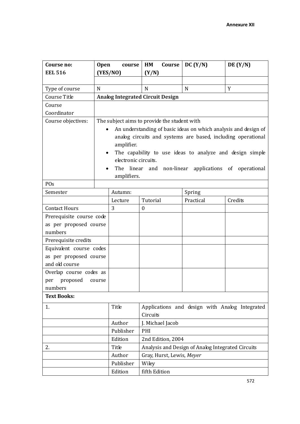| Course no:               | <b>Open</b> | course                                       | HM                        | Course | DC (Y/N)                                          | DE $(Y/N)$                                                      |
|--------------------------|-------------|----------------------------------------------|---------------------------|--------|---------------------------------------------------|-----------------------------------------------------------------|
| <b>EEL 516</b>           |             | (YES/NO)                                     | (Y/N)                     |        |                                                   |                                                                 |
|                          |             |                                              |                           |        |                                                   |                                                                 |
| Type of course           | N           |                                              | N                         |        | N                                                 | Y                                                               |
| Course Title             |             | <b>Analog Integrated Circuit Design</b>      |                           |        |                                                   |                                                                 |
| Course                   |             |                                              |                           |        |                                                   |                                                                 |
| Coordinator              |             |                                              |                           |        |                                                   |                                                                 |
| Course objectives:       |             | The subject aims to provide the student with |                           |        |                                                   |                                                                 |
|                          |             |                                              |                           |        |                                                   | An understanding of basic ideas on which analysis and design of |
|                          |             |                                              |                           |        |                                                   | analog circuits and systems are based, including operational    |
|                          |             | amplifier.                                   |                           |        |                                                   |                                                                 |
|                          | $\bullet$   |                                              |                           |        |                                                   | The capability to use ideas to analyze and design simple        |
|                          |             | electronic circuits.                         |                           |        |                                                   |                                                                 |
|                          |             | The                                          | linear and non-linear     |        | applications of                                   | operational                                                     |
|                          |             | amplifiers.                                  |                           |        |                                                   |                                                                 |
| POs                      |             |                                              |                           |        |                                                   |                                                                 |
| Semester                 |             | Autumn:                                      |                           |        | Spring                                            |                                                                 |
|                          |             | Lecture                                      | Tutorial                  |        | Practical                                         | Credits                                                         |
| <b>Contact Hours</b>     |             | 3                                            | $\boldsymbol{0}$          |        |                                                   |                                                                 |
| Prerequisite course code |             |                                              |                           |        |                                                   |                                                                 |
| as per proposed course   |             |                                              |                           |        |                                                   |                                                                 |
| numbers                  |             |                                              |                           |        |                                                   |                                                                 |
| Prerequisite credits     |             |                                              |                           |        |                                                   |                                                                 |
| Equivalent course codes  |             |                                              |                           |        |                                                   |                                                                 |
| as per proposed course   |             |                                              |                           |        |                                                   |                                                                 |
| and old course           |             |                                              |                           |        |                                                   |                                                                 |
| Overlap course codes as  |             |                                              |                           |        |                                                   |                                                                 |
| per proposed             | course      |                                              |                           |        |                                                   |                                                                 |
| numbers                  |             |                                              |                           |        |                                                   |                                                                 |
| <b>Text Books:</b>       |             |                                              |                           |        |                                                   |                                                                 |
| 1.                       |             | Title                                        |                           |        |                                                   | Applications and design with Analog Integrated                  |
|                          |             |                                              | Circuits                  |        |                                                   |                                                                 |
|                          |             | Author                                       | J. Michael Jacob          |        |                                                   |                                                                 |
|                          |             | Publisher                                    | PHI                       |        |                                                   |                                                                 |
|                          |             | Edition                                      | 2nd Edition, 2004         |        |                                                   |                                                                 |
| 2.                       |             | Title                                        |                           |        | Analysis and Design of Analog Integrated Circuits |                                                                 |
|                          |             | Author                                       | Gray, Hurst, Lewis, Meyer |        |                                                   |                                                                 |
|                          |             | Publisher                                    | Wiley                     |        |                                                   |                                                                 |
|                          |             | Edition                                      | fifth Edition             |        |                                                   |                                                                 |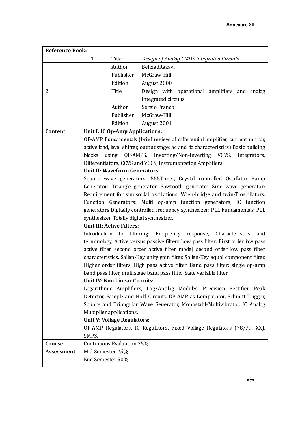| <b>Reference Book:</b> |                  |                                                         |                                                                                     |  |  |  |
|------------------------|------------------|---------------------------------------------------------|-------------------------------------------------------------------------------------|--|--|--|
|                        | 1.               | Title                                                   | Design of Analog CMOS Integrated Circuits                                           |  |  |  |
|                        |                  | Author                                                  | BehzadRazavi                                                                        |  |  |  |
|                        |                  | Publisher                                               | McGraw-Hill                                                                         |  |  |  |
|                        |                  | Edition                                                 | August 2000                                                                         |  |  |  |
| 2.                     |                  | Title                                                   | Design with operational amplifiers and analog                                       |  |  |  |
|                        |                  |                                                         | integrated circuits                                                                 |  |  |  |
|                        |                  | Author                                                  | Sergio Franco                                                                       |  |  |  |
|                        |                  | Publisher                                               | McGraw-Hill                                                                         |  |  |  |
|                        |                  | Edition                                                 | August 2001                                                                         |  |  |  |
| Content                |                  | Unit I: IC Op-Amp Applications:                         |                                                                                     |  |  |  |
|                        |                  |                                                         | OP-AMP Fundamentals (brief review of differential amplifier, current mirror,        |  |  |  |
|                        |                  |                                                         | active load, level shifter, output stage; ac and dc characteristics) Basic building |  |  |  |
|                        | blocks           |                                                         | using OP-AMPS. Inverting/Non-inverting VCVS, Integrators,                           |  |  |  |
|                        |                  |                                                         | Differentiators, CCVS and VCCS, Instrumentation Amplifiers.                         |  |  |  |
|                        |                  | <b>Unit II: Waveform Generators:</b>                    |                                                                                     |  |  |  |
|                        |                  |                                                         | Square wave generators: 555Timer, Crystal controlled Oscillator Ramp                |  |  |  |
|                        |                  |                                                         | Generator: Triangle generator, Sawtooth generator Sine wave generator:              |  |  |  |
|                        |                  |                                                         | Requirement for sinusoidal oscillations, Wien-bridge and twin-T oscillators.        |  |  |  |
|                        |                  |                                                         | Function Generators: Multi op-amp function generators, IC function                  |  |  |  |
|                        |                  |                                                         | generators Digitally controlled frequency synthesizer: PLL Fundamentals, PLL        |  |  |  |
|                        |                  |                                                         | synthesizer, Totally digital synthesizer.                                           |  |  |  |
|                        |                  | <b>Unit III: Active Filters:</b>                        |                                                                                     |  |  |  |
|                        |                  |                                                         | Introduction to filtering: Frequency response, Characteristics<br>and               |  |  |  |
|                        |                  |                                                         | terminology, Active versus passive filters Low pass filter: First order low pass    |  |  |  |
|                        |                  |                                                         | active filter, second order active filter model, second order low pass filter       |  |  |  |
|                        |                  |                                                         | characteristics, Sallen-Key unity gain filter, Sallen-Key equal component filter,   |  |  |  |
|                        |                  |                                                         | Higher order filters. High pass active filter. Band pass filter: single op-amp      |  |  |  |
|                        |                  |                                                         | band pass filter, multistage band pass filter State variable filter.                |  |  |  |
|                        |                  | <b>Unit IV: Non Linear Circuits:</b>                    |                                                                                     |  |  |  |
|                        |                  |                                                         | Logarithmic Amplifiers, Log/Antilog Modules, Precision Rectifier, Peak              |  |  |  |
|                        |                  |                                                         | Detector, Sample and Hold Circuits. OP-AMP as Comparator, Schmitt Trigger,          |  |  |  |
|                        |                  |                                                         | Square and Triangular Wave Generator, MonostableMultivibrator. IC Analog            |  |  |  |
|                        |                  | Multiplier applications.<br>Unit V: Voltage Regulators: |                                                                                     |  |  |  |
|                        |                  |                                                         | OP-AMP Regulators, IC Regulators, Fixed Voltage Regulators (78/79, XX),             |  |  |  |
|                        | SMPS.            |                                                         |                                                                                     |  |  |  |
| Course                 |                  | Continuous Evaluation 25%                               |                                                                                     |  |  |  |
| <b>Assessment</b>      | Mid Semester 25% |                                                         |                                                                                     |  |  |  |
|                        | End Semester 50% |                                                         |                                                                                     |  |  |  |
|                        |                  |                                                         |                                                                                     |  |  |  |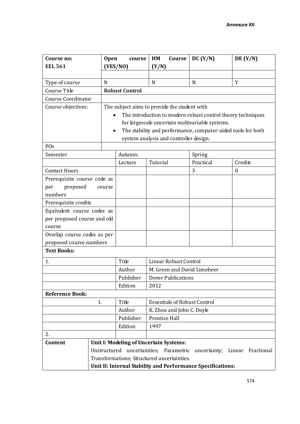| Course no:                  | <b>Open</b> | course                | HM<br>Course                                 | DC (Y/N)                                                     | DE(Y/N)              |
|-----------------------------|-------------|-----------------------|----------------------------------------------|--------------------------------------------------------------|----------------------|
| <b>EEL 561</b>              |             | (YES/NO)              | (Y/N)                                        |                                                              |                      |
|                             |             |                       |                                              |                                                              |                      |
| Type of course              | N           |                       | N                                            | $\mathbf N$                                                  | Y                    |
| Course Title                |             | <b>Robust Control</b> |                                              |                                                              |                      |
| <b>Course Coordinator</b>   |             |                       |                                              |                                                              |                      |
| Course objectives:          |             |                       | The subject aims to provide the student with |                                                              |                      |
|                             |             |                       |                                              | The introduction to modern robust control theory techniques  |                      |
|                             |             |                       |                                              | for largescale uncertain multivariable systems.              |                      |
|                             |             |                       |                                              | The stability and performance, computer-aided tools for both |                      |
|                             |             |                       | system analysis and controller design.       |                                                              |                      |
| POs                         |             |                       |                                              |                                                              |                      |
| Semester                    |             | Autumn:               |                                              | Spring                                                       |                      |
|                             |             | Lecture               | Tutorial                                     | Practical                                                    | Credits              |
| <b>Contact Hours</b>        |             |                       |                                              | 3                                                            | $\Omega$             |
| Prerequisite course code as |             |                       |                                              |                                                              |                      |
| proposed<br>per             | course      |                       |                                              |                                                              |                      |
| numbers                     |             |                       |                                              |                                                              |                      |
| Prerequisite credits        |             |                       |                                              |                                                              |                      |
| Equivalent course codes as  |             |                       |                                              |                                                              |                      |
| per proposed course and old |             |                       |                                              |                                                              |                      |
| course                      |             |                       |                                              |                                                              |                      |
| Overlap course codes as per |             |                       |                                              |                                                              |                      |
| proposed course numbers     |             |                       |                                              |                                                              |                      |
| <b>Text Books:</b>          |             |                       |                                              |                                                              |                      |
| 1.                          |             | Title                 | <b>Linear Robust Control</b>                 |                                                              |                      |
|                             |             | Author                | M. Green and David Limebeer                  |                                                              |                      |
|                             |             | Publisher             | <b>Dover Publications</b>                    |                                                              |                      |
|                             |             | Edition               | 2012                                         |                                                              |                      |
| <b>Reference Book:</b>      |             |                       |                                              |                                                              |                      |
|                             | 1.          | Title                 | <b>Essentials of Robust Control</b>          |                                                              |                      |
|                             |             | Author                | K. Zhou and John C. Doyle                    |                                                              |                      |
|                             |             |                       | Prentice Hall                                |                                                              |                      |
|                             |             | Edition               | 1997                                         |                                                              |                      |
| 2.                          |             |                       |                                              |                                                              |                      |
| Content                     |             |                       | Unit I: Modeling of Uncertain Systems:       |                                                              |                      |
|                             |             |                       | Unstructured uncertainties; Parametric       | uncertainty;                                                 | Fractional<br>Linear |
|                             |             |                       | Transformations; Structured uncertainties.   |                                                              |                      |
|                             |             |                       |                                              | Unit II: Internal Stability and Performance Specifications:  |                      |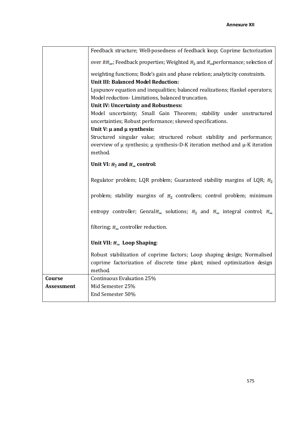|                   | Feedback structure; Well-posedness of feedback loop; Coprime factorization                                                      |  |  |  |  |  |
|-------------------|---------------------------------------------------------------------------------------------------------------------------------|--|--|--|--|--|
|                   | over $RH_{\underline{m}}$ ; Feedback properties; Weighted $H_{\underline{a}}$ and $H_{\underline{m}}$ performance; selection of |  |  |  |  |  |
|                   | weighting functions; Bode's gain and phase relation; analyticity constraints.                                                   |  |  |  |  |  |
|                   | <b>Unit III: Balanced Model Reduction:</b>                                                                                      |  |  |  |  |  |
|                   | Lyapunov equation and inequalities; balanced realizations; Hankel operators;                                                    |  |  |  |  |  |
|                   | Model reduction-Limitations, balanced truncation.                                                                               |  |  |  |  |  |
|                   | Unit IV: Uncertainty and Robustness:                                                                                            |  |  |  |  |  |
|                   | Model uncertainty; Small Gain Theorem; stability under unstructured                                                             |  |  |  |  |  |
|                   | uncertainties; Robust performance; skewed specifications.                                                                       |  |  |  |  |  |
|                   | Unit $V: \mu$ and $\mu$ synthesis:                                                                                              |  |  |  |  |  |
|                   | Structured singular value; structured robust stability and performance;                                                         |  |  |  |  |  |
|                   | overview of $\mu$ synthesis; $\mu$ synthesis-D-K iteration method and $\mu$ -K iteration                                        |  |  |  |  |  |
|                   | method                                                                                                                          |  |  |  |  |  |
|                   | Unit VI: $H_2$ and $H_{\infty}$ control:                                                                                        |  |  |  |  |  |
|                   | Regulator problem; LQR problem; Guaranteed stability margins of LQR; $\mathbb{H}_2$                                             |  |  |  |  |  |
|                   | problem; stability margins of $H_2$ controllers; control problem; minimum                                                       |  |  |  |  |  |
|                   | entropy controller; Genral $H_m$ solutions; $H_2$ and $H_m$ integral control; $H_m$                                             |  |  |  |  |  |
|                   | filtering; $H_{\text{m}}$ controller reduction.                                                                                 |  |  |  |  |  |
|                   | Unit VII: $H_{\text{max}}$ Loop Shaping:                                                                                        |  |  |  |  |  |
|                   | Robust stabilization of coprime factors; Loop shaping design; Normalised                                                        |  |  |  |  |  |
|                   | coprime factorization of discrete time plant; mixed optimization design                                                         |  |  |  |  |  |
|                   | method.                                                                                                                         |  |  |  |  |  |
| Course            | Continuous Evaluation 25%                                                                                                       |  |  |  |  |  |
| <b>Assessment</b> | Mid Semester 25%                                                                                                                |  |  |  |  |  |
|                   | End Semester 50%                                                                                                                |  |  |  |  |  |
|                   |                                                                                                                                 |  |  |  |  |  |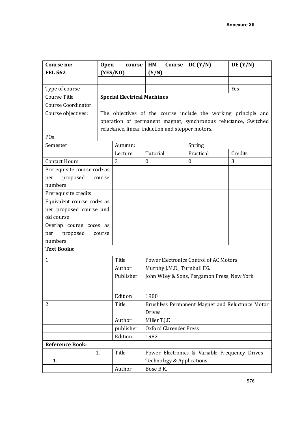| Course no:                  | <b>Open</b> | course                             | HM<br>Course                                     | DC (Y/N)                                                                                                                          | DE(Y/N) |
|-----------------------------|-------------|------------------------------------|--------------------------------------------------|-----------------------------------------------------------------------------------------------------------------------------------|---------|
| <b>EEL 562</b>              |             | (YES/NO)                           | (Y/N)                                            |                                                                                                                                   |         |
|                             |             |                                    |                                                  |                                                                                                                                   |         |
| Type of course              |             |                                    |                                                  |                                                                                                                                   | Yes     |
| Course Title                |             | <b>Special Electrical Machines</b> |                                                  |                                                                                                                                   |         |
| <b>Course Coordinator</b>   |             |                                    |                                                  |                                                                                                                                   |         |
| Course objectives:          |             |                                    |                                                  | The objectives of the course include the working principle and<br>operation of permanent magnet, synchronous reluctance, Switched |         |
|                             |             |                                    | reluctance, linear induction and stepper motors. |                                                                                                                                   |         |
| POs                         |             |                                    |                                                  |                                                                                                                                   |         |
| Semester                    |             | Autumn:                            |                                                  | Spring                                                                                                                            |         |
|                             |             | Lecture                            | Tutorial                                         | Practical                                                                                                                         | Credits |
| <b>Contact Hours</b>        |             | 3                                  | $\boldsymbol{0}$                                 | $\mathbf{0}$                                                                                                                      | 3       |
| Prerequisite course code as |             |                                    |                                                  |                                                                                                                                   |         |
| proposed<br>per             | course      |                                    |                                                  |                                                                                                                                   |         |
| numbers                     |             |                                    |                                                  |                                                                                                                                   |         |
| Prerequisite credits        |             |                                    |                                                  |                                                                                                                                   |         |
| Equivalent course codes as  |             |                                    |                                                  |                                                                                                                                   |         |
| per proposed course and     |             |                                    |                                                  |                                                                                                                                   |         |
| old course                  |             |                                    |                                                  |                                                                                                                                   |         |
| Overlap course codes as     |             |                                    |                                                  |                                                                                                                                   |         |
| proposed<br>per             | course      |                                    |                                                  |                                                                                                                                   |         |
| numbers                     |             |                                    |                                                  |                                                                                                                                   |         |
| <b>Text Books:</b>          |             |                                    |                                                  |                                                                                                                                   |         |
| 1.                          |             | Title                              |                                                  | Power Electronics Control of AC Motors                                                                                            |         |
|                             |             | Author                             | Murphy J.M.D., Turnbull F.G.                     |                                                                                                                                   |         |
|                             |             | Publisher                          |                                                  | John Wiley & Sons, Pergamon Press, New York                                                                                       |         |
|                             |             | Edition                            | 1988                                             |                                                                                                                                   |         |
| 2.                          |             | Title                              |                                                  | Brushless Permanent Magnet and Reluctance Motor                                                                                   |         |
|                             |             |                                    | <b>Drives</b>                                    |                                                                                                                                   |         |
|                             |             | Author                             | Miller T.J.E                                     |                                                                                                                                   |         |
|                             |             | publisher                          | <b>Oxford Clarender Press</b>                    |                                                                                                                                   |         |
|                             |             | Edition                            | 1982                                             |                                                                                                                                   |         |
| <b>Reference Book:</b>      |             |                                    |                                                  |                                                                                                                                   |         |
|                             | 1.          | Title                              |                                                  | Power Electronics & Variable Frequency Drives -                                                                                   |         |
| 1.                          |             |                                    | Technology & Applications                        |                                                                                                                                   |         |
|                             |             | Author                             | Bose B.K.                                        |                                                                                                                                   |         |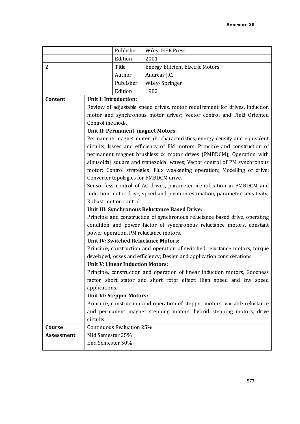|                   |                                                                          | Publisher                                                                  | <b>Wiley-IEEE Press</b>                                                      |  |  |  |  |
|-------------------|--------------------------------------------------------------------------|----------------------------------------------------------------------------|------------------------------------------------------------------------------|--|--|--|--|
|                   |                                                                          | Edition                                                                    | 2001                                                                         |  |  |  |  |
| 2.                |                                                                          | Title                                                                      | <b>Energy Efficient Electric Motors</b>                                      |  |  |  |  |
|                   |                                                                          | Author                                                                     | Andreas J.C.                                                                 |  |  |  |  |
|                   |                                                                          | Publisher                                                                  | Wiley- Springer                                                              |  |  |  |  |
|                   |                                                                          | Edition                                                                    | 1982                                                                         |  |  |  |  |
| Content           |                                                                          | <b>Unit I: Introduction:</b>                                               |                                                                              |  |  |  |  |
|                   |                                                                          |                                                                            | Review of adjustable speed drives, motor requirement for drives, induction   |  |  |  |  |
|                   |                                                                          |                                                                            | motor and synchronous motor drives; Vector control and Field Oriented        |  |  |  |  |
|                   | Control methods.                                                         |                                                                            |                                                                              |  |  |  |  |
|                   |                                                                          |                                                                            | Unit II: Permanent-magnet Motors:                                            |  |  |  |  |
|                   |                                                                          |                                                                            | Permanent- magnet materials, characteristics, energy density and equivalent  |  |  |  |  |
|                   |                                                                          |                                                                            | circuits, losses and efficiency of PM motors. Principle and construction of  |  |  |  |  |
|                   |                                                                          |                                                                            | permanent magnet brushless dc motor drives (PMBDCM); Operation with          |  |  |  |  |
|                   |                                                                          | sinusoidal, square and trapezoidal waves; Vector control of PM synchronous |                                                                              |  |  |  |  |
|                   | motor; Control strategies; Flux weakening operation; Modelling of drive; |                                                                            |                                                                              |  |  |  |  |
|                   |                                                                          |                                                                            | Converter topologies for PMBDCM drive.                                       |  |  |  |  |
|                   |                                                                          |                                                                            | Sensor-less control of AC drives, parameter identification in PMBDCM and     |  |  |  |  |
|                   |                                                                          |                                                                            | induction motor drive, speed and position estimation, parameter sensitivity; |  |  |  |  |
|                   |                                                                          | Robust motion control.                                                     |                                                                              |  |  |  |  |
|                   |                                                                          |                                                                            | Unit III: Synchronous Reluctance Based Drive:                                |  |  |  |  |
|                   |                                                                          |                                                                            | Principle and construction of synchronous reluctance based drive, operating  |  |  |  |  |
|                   |                                                                          |                                                                            | condition and power factor of synchronous reluctance motors, constant        |  |  |  |  |
|                   |                                                                          |                                                                            | power operation, PM reluctance motors.                                       |  |  |  |  |
|                   |                                                                          |                                                                            | <b>Unit IV: Switched Reluctance Motors:</b>                                  |  |  |  |  |
|                   |                                                                          |                                                                            | Principle, construction and operation of switched reluctance motors, torque  |  |  |  |  |
|                   |                                                                          |                                                                            | developed, losses and efficiency; Design and application considerations      |  |  |  |  |
|                   |                                                                          | <b>Unit V: Linear Induction Motors:</b>                                    |                                                                              |  |  |  |  |
|                   |                                                                          |                                                                            | Principle, construction and operation of linear induction motors, Goodness   |  |  |  |  |
|                   |                                                                          |                                                                            | factor, short stator and short rotor effect; High speed and low speed        |  |  |  |  |
|                   | applications.                                                            |                                                                            |                                                                              |  |  |  |  |
|                   |                                                                          | <b>Unit VI: Stepper Motors:</b>                                            |                                                                              |  |  |  |  |
|                   |                                                                          |                                                                            | Principle, construction and operation of stepper motors, variable reluctance |  |  |  |  |
|                   |                                                                          |                                                                            | and permanent magnet stepping motors, hybrid stepping motors, drive          |  |  |  |  |
|                   | circuits.                                                                |                                                                            |                                                                              |  |  |  |  |
| Course            |                                                                          | Continuous Evaluation 25%                                                  |                                                                              |  |  |  |  |
| <b>Assessment</b> | Mid Semester 25%                                                         |                                                                            |                                                                              |  |  |  |  |
|                   | End Semester 50%                                                         |                                                                            |                                                                              |  |  |  |  |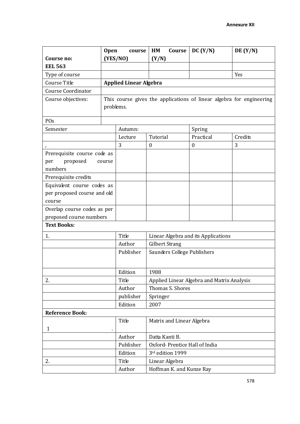|                             | <b>Open</b><br>course |                                                                      | HM<br>Course                               | DC(Y/N)                             | DE(Y/N) |  |  |
|-----------------------------|-----------------------|----------------------------------------------------------------------|--------------------------------------------|-------------------------------------|---------|--|--|
| Course no:                  | (YES/NO)              |                                                                      | (Y/N)                                      |                                     |         |  |  |
| <b>EEL 563</b>              |                       |                                                                      |                                            |                                     |         |  |  |
| Type of course              |                       |                                                                      |                                            |                                     | Yes     |  |  |
| Course Title                |                       | <b>Applied Linear Algebra</b>                                        |                                            |                                     |         |  |  |
| Course Coordinator          |                       |                                                                      |                                            |                                     |         |  |  |
| Course objectives:          |                       | This course gives the applications of linear algebra for engineering |                                            |                                     |         |  |  |
|                             |                       | problems.                                                            |                                            |                                     |         |  |  |
| POs                         |                       |                                                                      |                                            |                                     |         |  |  |
| Semester                    |                       | Autumn:                                                              |                                            | Spring                              |         |  |  |
|                             |                       | Lecture                                                              | Tutorial                                   | Practical                           | Credits |  |  |
|                             |                       | 3                                                                    | $\boldsymbol{0}$                           | $\boldsymbol{0}$                    | 3       |  |  |
| Prerequisite course code as |                       |                                                                      |                                            |                                     |         |  |  |
| proposed<br>per             | course                |                                                                      |                                            |                                     |         |  |  |
| numbers                     |                       |                                                                      |                                            |                                     |         |  |  |
| Prerequisite credits        |                       |                                                                      |                                            |                                     |         |  |  |
| Equivalent course codes as  |                       |                                                                      |                                            |                                     |         |  |  |
| per proposed course and old |                       |                                                                      |                                            |                                     |         |  |  |
| course                      |                       |                                                                      |                                            |                                     |         |  |  |
| Overlap course codes as per |                       |                                                                      |                                            |                                     |         |  |  |
| proposed course numbers     |                       |                                                                      |                                            |                                     |         |  |  |
| <b>Text Books:</b>          |                       |                                                                      |                                            |                                     |         |  |  |
| 1.                          |                       | Title                                                                |                                            | Linear Algebra and its Applications |         |  |  |
|                             |                       | Author                                                               | <b>Gilbert Strang</b>                      |                                     |         |  |  |
|                             |                       | Publisher                                                            | Saunders College Publishers                |                                     |         |  |  |
|                             |                       |                                                                      |                                            |                                     |         |  |  |
|                             |                       | Edition                                                              | 1988                                       |                                     |         |  |  |
| 2.                          |                       | Title                                                                | Applied Linear Algebra and Matrix Analysis |                                     |         |  |  |
|                             |                       | Author                                                               | Thomas S. Shores                           |                                     |         |  |  |
|                             |                       | publisher                                                            | Springer                                   |                                     |         |  |  |
|                             |                       | Edition                                                              | 2007                                       |                                     |         |  |  |
| <b>Reference Book:</b>      |                       |                                                                      |                                            |                                     |         |  |  |
|                             |                       | Title                                                                | Matrix and Linear Algebra                  |                                     |         |  |  |
| $\mathbf{1}$                |                       |                                                                      |                                            |                                     |         |  |  |
|                             |                       | Author                                                               | Datta Kanti B.                             |                                     |         |  |  |
|                             |                       | Publisher                                                            | Oxford-Prentice Hall of India              |                                     |         |  |  |
|                             |                       | Edition                                                              | 3rd edition 1999                           |                                     |         |  |  |
| 2.                          |                       | Title                                                                | Linear Algebra                             |                                     |         |  |  |
|                             |                       | Author                                                               | Hoffman K. and Kunze Ray                   |                                     |         |  |  |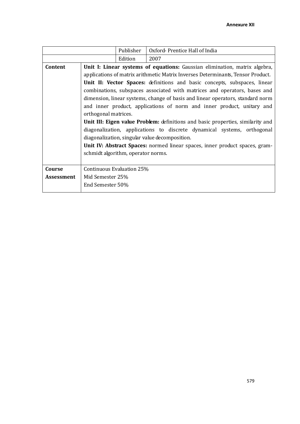|            |                                                                                 | Publisher | Oxford-Prentice Hall of India                                                          |  |  |  |
|------------|---------------------------------------------------------------------------------|-----------|----------------------------------------------------------------------------------------|--|--|--|
|            |                                                                                 | Edition   | 2007                                                                                   |  |  |  |
| Content    |                                                                                 |           | Unit I: Linear systems of equations: Gaussian elimination, matrix algebra,             |  |  |  |
|            | applications of matrix arithmetic Matrix Inverses Determinants, Tensor Product. |           |                                                                                        |  |  |  |
|            | Unit II: Vector Spaces: definitions and basic concepts, subspaces, linear       |           |                                                                                        |  |  |  |
|            |                                                                                 |           | combinations, subspaces associated with matrices and operators, bases and              |  |  |  |
|            |                                                                                 |           | dimension, linear systems, change of basis and linear operators, standard norm         |  |  |  |
|            |                                                                                 |           | and inner product, applications of norm and inner product, unitary and                 |  |  |  |
|            | orthogonal matrices.                                                            |           |                                                                                        |  |  |  |
|            |                                                                                 |           | <b>Unit III: Eigen value Problem:</b> definitions and basic properties, similarity and |  |  |  |
|            |                                                                                 |           | diagonalization, applications to discrete dynamical systems, orthogonal                |  |  |  |
|            |                                                                                 |           | diagonalization, singular value decomposition.                                         |  |  |  |
|            |                                                                                 |           | Unit IV: Abstract Spaces: normed linear spaces, inner product spaces, gram-            |  |  |  |
|            | schmidt algorithm, operator norms.                                              |           |                                                                                        |  |  |  |
|            |                                                                                 |           |                                                                                        |  |  |  |
| Course     | Continuous Evaluation 25%                                                       |           |                                                                                        |  |  |  |
| Assessment | Mid Semester 25%                                                                |           |                                                                                        |  |  |  |
|            | End Semester 50%                                                                |           |                                                                                        |  |  |  |
|            |                                                                                 |           |                                                                                        |  |  |  |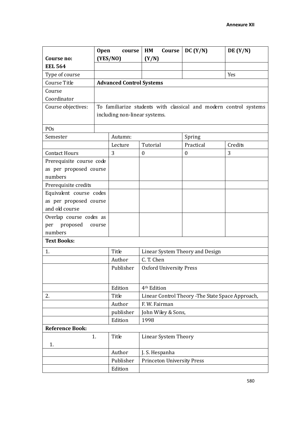|                          | <b>Open</b>                         | course                          | Course<br>HM                                      | DC (Y/N)           | DE(Y/N)                                                           |  |  |  |
|--------------------------|-------------------------------------|---------------------------------|---------------------------------------------------|--------------------|-------------------------------------------------------------------|--|--|--|
| Course no:               |                                     | (YES/NO)                        | (Y/N)                                             |                    |                                                                   |  |  |  |
| <b>EEL 564</b>           |                                     |                                 |                                                   |                    |                                                                   |  |  |  |
| Type of course           |                                     |                                 |                                                   |                    | Yes                                                               |  |  |  |
| Course Title             |                                     | <b>Advanced Control Systems</b> |                                                   |                    |                                                                   |  |  |  |
| Course                   |                                     |                                 |                                                   |                    |                                                                   |  |  |  |
| Coordinator              |                                     |                                 |                                                   |                    |                                                                   |  |  |  |
| Course objectives:       |                                     |                                 |                                                   |                    | To familiarize students with classical and modern control systems |  |  |  |
|                          |                                     | including non-linear systems.   |                                                   |                    |                                                                   |  |  |  |
|                          |                                     |                                 |                                                   |                    |                                                                   |  |  |  |
| POs                      |                                     |                                 |                                                   |                    |                                                                   |  |  |  |
| Semester                 |                                     | Autumn:                         |                                                   | Spring             |                                                                   |  |  |  |
|                          |                                     | Lecture                         | Tutorial                                          | Practical          | Credits                                                           |  |  |  |
| <b>Contact Hours</b>     |                                     | 3                               | $\boldsymbol{0}$                                  | $\boldsymbol{0}$   | 3                                                                 |  |  |  |
| Prerequisite course code |                                     |                                 |                                                   |                    |                                                                   |  |  |  |
| as per proposed course   |                                     |                                 |                                                   |                    |                                                                   |  |  |  |
| numbers                  |                                     |                                 |                                                   |                    |                                                                   |  |  |  |
| Prerequisite credits     |                                     |                                 |                                                   |                    |                                                                   |  |  |  |
| Equivalent course codes  |                                     |                                 |                                                   |                    |                                                                   |  |  |  |
| as per proposed course   |                                     |                                 |                                                   |                    |                                                                   |  |  |  |
| and old course           |                                     |                                 |                                                   |                    |                                                                   |  |  |  |
| Overlap course codes as  |                                     |                                 |                                                   |                    |                                                                   |  |  |  |
| proposed<br>per          | course                              |                                 |                                                   |                    |                                                                   |  |  |  |
| numbers                  |                                     |                                 |                                                   |                    |                                                                   |  |  |  |
| <b>Text Books:</b>       |                                     |                                 |                                                   |                    |                                                                   |  |  |  |
| 1.                       |                                     | Title                           | Linear System Theory and Design                   |                    |                                                                   |  |  |  |
|                          |                                     | Author                          | C. T. Chen                                        |                    |                                                                   |  |  |  |
|                          |                                     | Publisher                       | <b>Oxford University Press</b>                    |                    |                                                                   |  |  |  |
|                          |                                     |                                 |                                                   |                    |                                                                   |  |  |  |
|                          |                                     | Edition                         | 4 <sup>th</sup> Edition                           |                    |                                                                   |  |  |  |
| 2.                       |                                     | Title                           | Linear Control Theory - The State Space Approach, |                    |                                                                   |  |  |  |
|                          |                                     | Author                          | F. W. Fairman                                     |                    |                                                                   |  |  |  |
|                          | publisher                           |                                 |                                                   | John Wiley & Sons, |                                                                   |  |  |  |
|                          |                                     | Edition                         | 1998                                              |                    |                                                                   |  |  |  |
| <b>Reference Book:</b>   |                                     |                                 |                                                   |                    |                                                                   |  |  |  |
|                          | 1.<br>Title<br>Linear System Theory |                                 |                                                   |                    |                                                                   |  |  |  |
| 1.                       |                                     |                                 |                                                   |                    |                                                                   |  |  |  |
|                          |                                     | Author                          | J. S. Hespanha                                    |                    |                                                                   |  |  |  |
|                          |                                     | Publisher                       | <b>Princeton University Press</b>                 |                    |                                                                   |  |  |  |
|                          |                                     | Edition                         |                                                   |                    |                                                                   |  |  |  |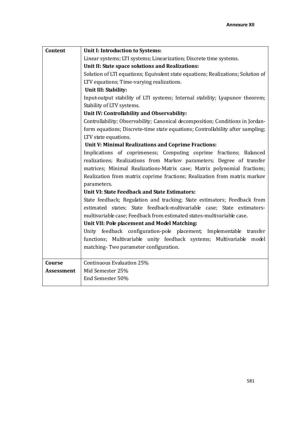| Content           | Unit I: Introduction to Systems:                                                 |  |  |  |  |  |  |  |
|-------------------|----------------------------------------------------------------------------------|--|--|--|--|--|--|--|
|                   | Linear systems; LTI systems; Linearization; Discrete time systems.               |  |  |  |  |  |  |  |
|                   | Unit II: State space solutions and Realizations:                                 |  |  |  |  |  |  |  |
|                   | Solution of LTI equations; Equivalent state equations; Realizations; Solution of |  |  |  |  |  |  |  |
|                   | LTV equations; Time-varying realizations.                                        |  |  |  |  |  |  |  |
|                   | Unit III: Stability:                                                             |  |  |  |  |  |  |  |
|                   | Input-output stability of LTI systems; Internal stability; Lyapunov theorem;     |  |  |  |  |  |  |  |
|                   | Stability of LTV systems.                                                        |  |  |  |  |  |  |  |
|                   | Unit IV: Controllability and Observability:                                      |  |  |  |  |  |  |  |
|                   | Controllability; Observability; Canonical decomposition; Conditions in Jordan-   |  |  |  |  |  |  |  |
|                   | form equations; Discrete-time state equations; Controllability after sampling;   |  |  |  |  |  |  |  |
|                   | LTV state equations.                                                             |  |  |  |  |  |  |  |
|                   | Unit V: Minimal Realizations and Coprime Fractions:                              |  |  |  |  |  |  |  |
|                   | Implications of coprimeness; Computing coprime fractions; Balanced               |  |  |  |  |  |  |  |
|                   | realizations; Realizations from Markov parameters; Degree of transfer            |  |  |  |  |  |  |  |
|                   | matrices; Minimal Realizations-Matrix case; Matrix polynomial fractions;         |  |  |  |  |  |  |  |
|                   | Realization from matrix coprime fractions; Realization from matrix markov        |  |  |  |  |  |  |  |
|                   | parameters.                                                                      |  |  |  |  |  |  |  |
|                   | <b>Unit VI: State Feedback and State Estimators:</b>                             |  |  |  |  |  |  |  |
|                   | State feedback; Regulation and tracking; State estimators; Feedback from         |  |  |  |  |  |  |  |
|                   | estimated states; State feedback-multivariable case; State estimators-           |  |  |  |  |  |  |  |
|                   | multivariable case; Feedback from estimated states-multivariable case.           |  |  |  |  |  |  |  |
|                   | Unit VII: Pole placement and Model Matching:                                     |  |  |  |  |  |  |  |
|                   | Unity feedback configuration-pole placement; Implementable transfer              |  |  |  |  |  |  |  |
|                   | functions; Multivariable unity feedback systems; Multivariable model             |  |  |  |  |  |  |  |
|                   | matching-Two parameter configuration.                                            |  |  |  |  |  |  |  |
|                   |                                                                                  |  |  |  |  |  |  |  |
| Course            | Continuous Evaluation 25%                                                        |  |  |  |  |  |  |  |
| <b>Assessment</b> | Mid Semester 25%                                                                 |  |  |  |  |  |  |  |
|                   | End Semester 50%                                                                 |  |  |  |  |  |  |  |
|                   |                                                                                  |  |  |  |  |  |  |  |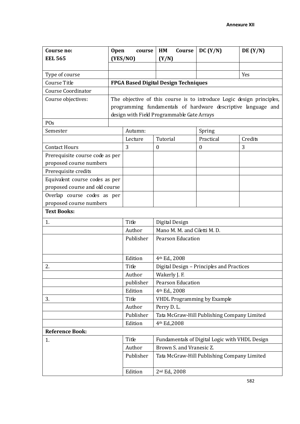| Course no:                      | <b>Open</b> | course                                      | HM                                        | Course                   | DC (Y/N)                           | DE(Y/N)                                                               |  |
|---------------------------------|-------------|---------------------------------------------|-------------------------------------------|--------------------------|------------------------------------|-----------------------------------------------------------------------|--|
| <b>EEL 565</b>                  |             | (YES/NO)                                    | (Y/N)                                     |                          |                                    |                                                                       |  |
|                                 |             |                                             |                                           |                          |                                    |                                                                       |  |
| Type of course                  |             |                                             |                                           |                          |                                    | Yes                                                                   |  |
| Course Title                    |             | <b>FPGA Based Digital Design Techniques</b> |                                           |                          |                                    |                                                                       |  |
| <b>Course Coordinator</b>       |             |                                             |                                           |                          |                                    |                                                                       |  |
| Course objectives:              |             |                                             |                                           |                          |                                    | The objective of this course is to introduce Logic design principles, |  |
|                                 |             |                                             |                                           |                          |                                    | programming fundamentals of hardware descriptive language and         |  |
|                                 |             | design with Field Programmable Gate Arrays  |                                           |                          |                                    |                                                                       |  |
| POs                             |             |                                             |                                           |                          |                                    |                                                                       |  |
| Semester                        |             | Autumn:                                     |                                           |                          | Spring                             |                                                                       |  |
|                                 |             | Lecture                                     | Tutorial                                  |                          | Practical                          | Credits                                                               |  |
| <b>Contact Hours</b>            |             | 3                                           | $\boldsymbol{0}$                          |                          | $\boldsymbol{0}$                   | 3                                                                     |  |
| Prerequisite course code as per |             |                                             |                                           |                          |                                    |                                                                       |  |
| proposed course numbers         |             |                                             |                                           |                          |                                    |                                                                       |  |
| Prerequisite credits            |             |                                             |                                           |                          |                                    |                                                                       |  |
| Equivalent course codes as per  |             |                                             |                                           |                          |                                    |                                                                       |  |
| proposed course and old course  |             |                                             |                                           |                          |                                    |                                                                       |  |
| Overlap course codes as per     |             |                                             |                                           |                          |                                    |                                                                       |  |
| proposed course numbers         |             |                                             |                                           |                          |                                    |                                                                       |  |
| <b>Text Books:</b>              |             |                                             |                                           |                          |                                    |                                                                       |  |
| 1.                              |             | Title                                       | Digital Design                            |                          |                                    |                                                                       |  |
|                                 |             | Author                                      | Mano M. M. and Ciletti M. D.              |                          |                                    |                                                                       |  |
|                                 |             | Publisher                                   | <b>Pearson Education</b>                  |                          |                                    |                                                                       |  |
|                                 |             |                                             |                                           |                          |                                    |                                                                       |  |
|                                 |             | Edition                                     | 4 <sup>th</sup> Ed., 2008                 |                          |                                    |                                                                       |  |
| 2.                              |             | Title                                       | Digital Design - Principles and Practices |                          |                                    |                                                                       |  |
|                                 |             | Author                                      | Wakerly J. F.                             |                          |                                    |                                                                       |  |
|                                 |             | publisher                                   |                                           | <b>Pearson Education</b> |                                    |                                                                       |  |
|                                 |             | Edition                                     | 4 <sup>th</sup> Ed., 2008                 |                          |                                    |                                                                       |  |
| 3.                              |             | Title                                       |                                           |                          | <b>VHDL Programming by Example</b> |                                                                       |  |
|                                 |             | Author                                      | Perry D. L.                               |                          |                                    |                                                                       |  |
|                                 |             | Publisher                                   |                                           |                          |                                    | Tata McGraw-Hill Publishing Company Limited                           |  |
|                                 |             | Edition                                     | 4th Ed., 2008                             |                          |                                    |                                                                       |  |
| <b>Reference Book:</b>          |             |                                             |                                           |                          |                                    |                                                                       |  |
| 1.                              |             | Title                                       |                                           |                          |                                    | Fundamentals of Digital Logic with VHDL Design                        |  |
|                                 |             | Author                                      |                                           | Brown S. and Vranesic Z. |                                    |                                                                       |  |
|                                 |             | Publisher                                   |                                           |                          |                                    | Tata McGraw-Hill Publishing Company Limited                           |  |
|                                 |             | Edition                                     | 2 <sup>nd</sup> Ed., 2008                 |                          |                                    |                                                                       |  |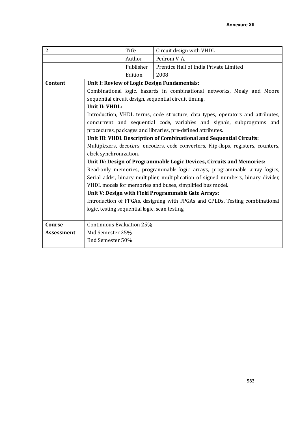| 2.            |                                                | Title                                                                | Circuit design with VHDL                                                            |  |  |  |  |
|---------------|------------------------------------------------|----------------------------------------------------------------------|-------------------------------------------------------------------------------------|--|--|--|--|
|               |                                                | Author                                                               | Pedroni V.A.                                                                        |  |  |  |  |
|               |                                                | Publisher                                                            | Prentice Hall of India Private Limited                                              |  |  |  |  |
|               |                                                | Edition                                                              | 2008                                                                                |  |  |  |  |
| Content       |                                                |                                                                      | Unit I: Review of Logic Design Fundamentals:                                        |  |  |  |  |
|               |                                                |                                                                      | Combinational logic, hazards in combinational networks, Mealy and Moore             |  |  |  |  |
|               |                                                |                                                                      | sequential circuit design, sequential circuit timing.                               |  |  |  |  |
|               | Unit II: VHDL:                                 |                                                                      |                                                                                     |  |  |  |  |
|               |                                                |                                                                      | Introduction, VHDL terms, code structure, data types, operators and attributes,     |  |  |  |  |
|               |                                                |                                                                      | concurrent and sequential code, variables and signals, subprograms and              |  |  |  |  |
|               |                                                |                                                                      | procedures, packages and libraries, pre-defined attributes.                         |  |  |  |  |
|               |                                                | Unit III: VHDL Description of Combinational and Sequential Circuits: |                                                                                     |  |  |  |  |
|               |                                                |                                                                      | Multiplexers, decoders, encoders, code converters, Flip-flops, registers, counters, |  |  |  |  |
|               | clock synchronization.                         |                                                                      |                                                                                     |  |  |  |  |
|               |                                                |                                                                      | Unit IV: Design of Programmable Logic Devices, Circuits and Memories:               |  |  |  |  |
|               |                                                |                                                                      | Read-only memories, programmable logic arrays, programmable array logics,           |  |  |  |  |
|               |                                                |                                                                      | Serial adder, binary multiplier, multiplication of signed numbers, binary divider,  |  |  |  |  |
|               |                                                |                                                                      | VHDL models for memories and buses, simplified bus model.                           |  |  |  |  |
|               |                                                |                                                                      | Unit V: Design with Field Programmable Gate Arrays:                                 |  |  |  |  |
|               |                                                |                                                                      | Introduction of FPGAs, designing with FPGAs and CPLDs, Testing combinational        |  |  |  |  |
|               | logic, testing sequential logic, scan testing. |                                                                      |                                                                                     |  |  |  |  |
|               |                                                |                                                                      |                                                                                     |  |  |  |  |
| <b>Course</b> | Continuous Evaluation 25%                      |                                                                      |                                                                                     |  |  |  |  |
| Assessment    | Mid Semester 25%                               |                                                                      |                                                                                     |  |  |  |  |
|               | End Semester 50%                               |                                                                      |                                                                                     |  |  |  |  |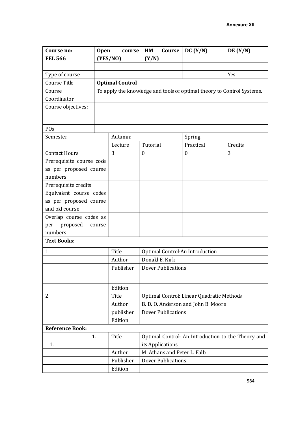| Course no:<br><b>EEL 566</b> | <b>Open</b> | course<br>(YES/NO)     | HM<br>Course<br>(Y/N)                     | DC (Y/N)         | DE(Y/N)                                                                |  |  |  |
|------------------------------|-------------|------------------------|-------------------------------------------|------------------|------------------------------------------------------------------------|--|--|--|
|                              |             |                        |                                           |                  |                                                                        |  |  |  |
| Type of course               |             |                        |                                           |                  | Yes                                                                    |  |  |  |
| Course Title                 |             | <b>Optimal Control</b> |                                           |                  |                                                                        |  |  |  |
| Course                       |             |                        |                                           |                  | To apply the knowledge and tools of optimal theory to Control Systems. |  |  |  |
| Coordinator                  |             |                        |                                           |                  |                                                                        |  |  |  |
| Course objectives:           |             |                        |                                           |                  |                                                                        |  |  |  |
| POs                          |             |                        |                                           |                  |                                                                        |  |  |  |
| Semester                     |             | Autumn:                |                                           | Spring           |                                                                        |  |  |  |
|                              |             | Lecture                | Tutorial                                  | Practical        | Credits                                                                |  |  |  |
| <b>Contact Hours</b>         |             | 3                      | $\boldsymbol{0}$                          | $\boldsymbol{0}$ | 3                                                                      |  |  |  |
| Prerequisite course code     |             |                        |                                           |                  |                                                                        |  |  |  |
| as per proposed course       |             |                        |                                           |                  |                                                                        |  |  |  |
| numbers                      |             |                        |                                           |                  |                                                                        |  |  |  |
| Prerequisite credits         |             |                        |                                           |                  |                                                                        |  |  |  |
| Equivalent course codes      |             |                        |                                           |                  |                                                                        |  |  |  |
| as per proposed course       |             |                        |                                           |                  |                                                                        |  |  |  |
| and old course               |             |                        |                                           |                  |                                                                        |  |  |  |
| Overlap course codes as      |             |                        |                                           |                  |                                                                        |  |  |  |
| proposed<br>per              | course      |                        |                                           |                  |                                                                        |  |  |  |
| numbers                      |             |                        |                                           |                  |                                                                        |  |  |  |
| <b>Text Books:</b>           |             |                        |                                           |                  |                                                                        |  |  |  |
| 1.                           |             | Title                  | Optimal Control-An Introduction           |                  |                                                                        |  |  |  |
|                              |             | Author                 | Donald E. Kirk                            |                  |                                                                        |  |  |  |
|                              |             | Publisher              | <b>Dover Publications</b>                 |                  |                                                                        |  |  |  |
|                              |             |                        |                                           |                  |                                                                        |  |  |  |
|                              |             | Edition                |                                           |                  |                                                                        |  |  |  |
| 2.                           |             | Title                  | Optimal Control: Linear Quadratic Methods |                  |                                                                        |  |  |  |
|                              |             | Author                 | B. D. O. Anderson and John B. Moore       |                  |                                                                        |  |  |  |
|                              |             | publisher              | <b>Dover Publications</b>                 |                  |                                                                        |  |  |  |
|                              |             | Edition                |                                           |                  |                                                                        |  |  |  |
| <b>Reference Book:</b>       |             |                        |                                           |                  |                                                                        |  |  |  |
|                              | 1.          | Title                  |                                           |                  | Optimal Control: An Introduction to the Theory and                     |  |  |  |
| 1.                           |             |                        | its Applications                          |                  |                                                                        |  |  |  |
|                              |             | Author                 | M. Athans and Peter L. Falb               |                  |                                                                        |  |  |  |
|                              |             | Publisher              | Dover Publications.                       |                  |                                                                        |  |  |  |
|                              |             | Edition                |                                           |                  |                                                                        |  |  |  |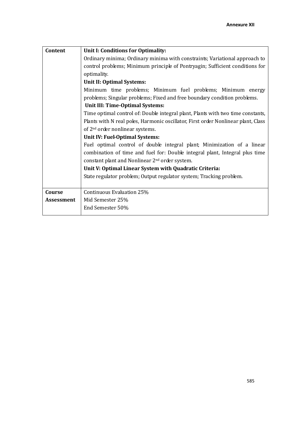| Content           | Unit I: Conditions for Optimality:                                                |  |  |  |  |  |  |  |  |  |
|-------------------|-----------------------------------------------------------------------------------|--|--|--|--|--|--|--|--|--|
|                   | Ordinary minima; Ordinary minima with constraints; Variational approach to        |  |  |  |  |  |  |  |  |  |
|                   | control problems; Minimum principle of Pontryagin; Sufficient conditions for      |  |  |  |  |  |  |  |  |  |
|                   | optimality.                                                                       |  |  |  |  |  |  |  |  |  |
|                   | Unit II: Optimal Systems:                                                         |  |  |  |  |  |  |  |  |  |
|                   | Minimum time problems; Minimum fuel problems; Minimum energy                      |  |  |  |  |  |  |  |  |  |
|                   | problems; Singular problems; Fixed and free boundary condition problems.          |  |  |  |  |  |  |  |  |  |
|                   | <b>Unit III: Time-Optimal Systems:</b>                                            |  |  |  |  |  |  |  |  |  |
|                   | Time optimal control of: Double integral plant, Plants with two time constants,   |  |  |  |  |  |  |  |  |  |
|                   | Plants with N real poles, Harmonic oscillator, First order Nonlinear plant, Class |  |  |  |  |  |  |  |  |  |
|                   | of 2 <sup>nd</sup> order nonlinear systems.                                       |  |  |  |  |  |  |  |  |  |
|                   | Unit IV: Fuel-Optimal Systems:                                                    |  |  |  |  |  |  |  |  |  |
|                   | Fuel optimal control of double integral plant; Minimization of a linear           |  |  |  |  |  |  |  |  |  |
|                   | combination of time and fuel for: Double integral plant, Integral plus time       |  |  |  |  |  |  |  |  |  |
|                   | constant plant and Nonlinear 2 <sup>nd</sup> order system.                        |  |  |  |  |  |  |  |  |  |
|                   | Unit V: Optimal Linear System with Quadratic Criteria:                            |  |  |  |  |  |  |  |  |  |
|                   | State regulator problem; Output regulator system; Tracking problem.               |  |  |  |  |  |  |  |  |  |
|                   |                                                                                   |  |  |  |  |  |  |  |  |  |
| Course            | Continuous Evaluation 25%                                                         |  |  |  |  |  |  |  |  |  |
| <b>Assessment</b> | Mid Semester 25%                                                                  |  |  |  |  |  |  |  |  |  |
|                   | End Semester 50%                                                                  |  |  |  |  |  |  |  |  |  |
|                   |                                                                                   |  |  |  |  |  |  |  |  |  |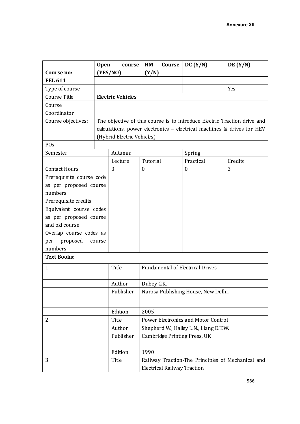|                                    | <b>Open</b> | course                                                                   | HM<br>Course                               | DC (Y/N)                                          | DE $(Y/N)$ |  |  |
|------------------------------------|-------------|--------------------------------------------------------------------------|--------------------------------------------|---------------------------------------------------|------------|--|--|
| Course no:                         |             | (YES/NO)                                                                 | (Y/N)                                      |                                                   |            |  |  |
| <b>EEL 611</b>                     |             |                                                                          |                                            |                                                   |            |  |  |
| Type of course                     |             |                                                                          |                                            |                                                   | Yes        |  |  |
| Course Title                       |             | <b>Electric Vehicles</b>                                                 |                                            |                                                   |            |  |  |
| Course                             |             |                                                                          |                                            |                                                   |            |  |  |
| Coordinator                        |             |                                                                          |                                            |                                                   |            |  |  |
| Course objectives:                 |             | The objective of this course is to introduce Electric Traction drive and |                                            |                                                   |            |  |  |
|                                    |             | calculations, power electronics - electrical machines & drives for HEV   |                                            |                                                   |            |  |  |
|                                    |             | (Hybrid Electric Vehicles)                                               |                                            |                                                   |            |  |  |
| POs                                |             |                                                                          |                                            |                                                   |            |  |  |
| Semester                           |             | Autumn:                                                                  |                                            | Spring                                            |            |  |  |
|                                    |             | Lecture                                                                  | Tutorial                                   | Practical                                         | Credits    |  |  |
| <b>Contact Hours</b>               |             | 3                                                                        | $\boldsymbol{0}$                           | $\boldsymbol{0}$                                  | 3          |  |  |
| Prerequisite course code           |             |                                                                          |                                            |                                                   |            |  |  |
| as per proposed course             |             |                                                                          |                                            |                                                   |            |  |  |
| numbers                            |             |                                                                          |                                            |                                                   |            |  |  |
| Prerequisite credits               |             |                                                                          |                                            |                                                   |            |  |  |
| Equivalent course codes            |             |                                                                          |                                            |                                                   |            |  |  |
| as per proposed course             |             |                                                                          |                                            |                                                   |            |  |  |
| and old course                     |             |                                                                          |                                            |                                                   |            |  |  |
| Overlap course codes as            |             |                                                                          |                                            |                                                   |            |  |  |
| proposed<br>per                    | course      |                                                                          |                                            |                                                   |            |  |  |
| numbers                            |             |                                                                          |                                            |                                                   |            |  |  |
| <b>Text Books:</b>                 |             |                                                                          |                                            |                                                   |            |  |  |
| 1.                                 |             | Title                                                                    | <b>Fundamental of Electrical Drives</b>    |                                                   |            |  |  |
|                                    |             |                                                                          |                                            |                                                   |            |  |  |
|                                    |             | Author                                                                   | Dubey G.K.                                 |                                                   |            |  |  |
|                                    |             | Publisher                                                                | Narosa Publishing House, New Delhi.        |                                                   |            |  |  |
|                                    |             |                                                                          |                                            |                                                   |            |  |  |
|                                    |             | Edition                                                                  | 2005                                       |                                                   |            |  |  |
| 2.                                 |             | Title                                                                    | <b>Power Electronics and Motor Control</b> |                                                   |            |  |  |
|                                    |             | Author                                                                   | Shepherd W., Halley L.N., Liang D.T.W.     |                                                   |            |  |  |
|                                    |             | Publisher                                                                | Cambridge Printing Press, UK               |                                                   |            |  |  |
|                                    |             |                                                                          |                                            |                                                   |            |  |  |
|                                    |             | Edition                                                                  | 1990                                       |                                                   |            |  |  |
| 3.                                 |             | Title                                                                    |                                            | Railway Traction-The Principles of Mechanical and |            |  |  |
| <b>Electrical Railway Traction</b> |             |                                                                          |                                            |                                                   |            |  |  |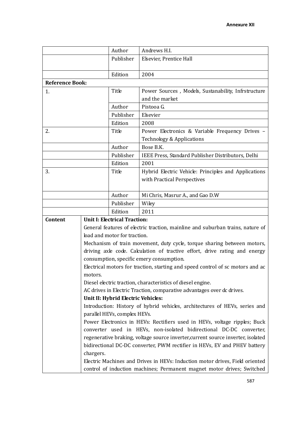|                        | Author                              |                                                                                                                                                  | Andrews H.I.                                                                   |  |  |
|------------------------|-------------------------------------|--------------------------------------------------------------------------------------------------------------------------------------------------|--------------------------------------------------------------------------------|--|--|
|                        |                                     | Publisher                                                                                                                                        | Elsevier, Prentice Hall                                                        |  |  |
|                        |                                     |                                                                                                                                                  |                                                                                |  |  |
|                        | Edition                             |                                                                                                                                                  | 2004                                                                           |  |  |
| <b>Reference Book:</b> |                                     |                                                                                                                                                  |                                                                                |  |  |
| 1.                     | Title                               |                                                                                                                                                  | Power Sources, Models, Sustanability, Infrstructure                            |  |  |
|                        |                                     |                                                                                                                                                  | and the market                                                                 |  |  |
|                        | Author                              |                                                                                                                                                  | Pistooa G.                                                                     |  |  |
|                        |                                     | Publisher                                                                                                                                        | Elsevier                                                                       |  |  |
|                        | Edition                             |                                                                                                                                                  | 2008                                                                           |  |  |
| 2.                     | Title                               |                                                                                                                                                  | Power Electronics & Variable Frequency Drives -                                |  |  |
|                        |                                     |                                                                                                                                                  | Technology & Applications                                                      |  |  |
|                        | Author                              |                                                                                                                                                  | Bose B.K.                                                                      |  |  |
|                        |                                     | Publisher                                                                                                                                        | IEEE Press, Standard Publisher Distributors, Delhi                             |  |  |
|                        | Edition                             |                                                                                                                                                  | 2001                                                                           |  |  |
| 3.                     | Title                               |                                                                                                                                                  | Hybrid Electric Vehicle: Principles and Applications                           |  |  |
|                        |                                     |                                                                                                                                                  | with Practical Perspectives                                                    |  |  |
|                        |                                     |                                                                                                                                                  |                                                                                |  |  |
|                        | Author                              |                                                                                                                                                  | Mi Chris, Masrur A., and Gao D.W                                               |  |  |
|                        |                                     | Publisher                                                                                                                                        | Wiley                                                                          |  |  |
|                        | Edition                             |                                                                                                                                                  | 2011                                                                           |  |  |
| Content                | <b>Unit I: Electrical Traction:</b> |                                                                                                                                                  |                                                                                |  |  |
|                        |                                     |                                                                                                                                                  | General features of electric traction, mainline and suburban trains, nature of |  |  |
|                        | load and motor for traction.        |                                                                                                                                                  |                                                                                |  |  |
|                        |                                     |                                                                                                                                                  | Mechanism of train movement, duty cycle, torque sharing between motors,        |  |  |
|                        |                                     |                                                                                                                                                  | driving axle code. Calculation of tractive effort, drive rating and energy     |  |  |
|                        |                                     |                                                                                                                                                  | consumption, specific emery consumption.                                       |  |  |
|                        |                                     |                                                                                                                                                  | Electrical motors for traction, starting and speed control of sc motors and ac |  |  |
|                        | motors.                             |                                                                                                                                                  |                                                                                |  |  |
|                        |                                     |                                                                                                                                                  | Diesel electric traction, characteristics of diesel engine.                    |  |  |
|                        |                                     |                                                                                                                                                  | AC drives in Electric Traction, comparative advantages over dc drives.         |  |  |
|                        | Unit II: Hybrid Electric Vehicles:  |                                                                                                                                                  |                                                                                |  |  |
|                        |                                     |                                                                                                                                                  | Introduction: History of hybrid vehicles, architectures of HEVs, series and    |  |  |
|                        |                                     | parallel HEVs, complex HEVs.                                                                                                                     |                                                                                |  |  |
|                        |                                     | Power Electronics in HEVs: Rectifiers used in HEVs, voltage ripples; Buck<br>converter used in HEVs, non-isolated bidirectional DC-DC converter, |                                                                                |  |  |
|                        |                                     | regenerative braking, voltage source inverter, current source inverter, isolated                                                                 |                                                                                |  |  |
|                        |                                     |                                                                                                                                                  | bidirectional DC-DC converter, PWM rectifier in HEVs, EV and PHEV battery      |  |  |
|                        | chargers.                           |                                                                                                                                                  |                                                                                |  |  |
|                        |                                     |                                                                                                                                                  | Electric Machines and Drives in HEVs: Induction motor drives, Field oriented   |  |  |
|                        |                                     |                                                                                                                                                  | control of induction machines; Permanent magnet motor drives; Switched         |  |  |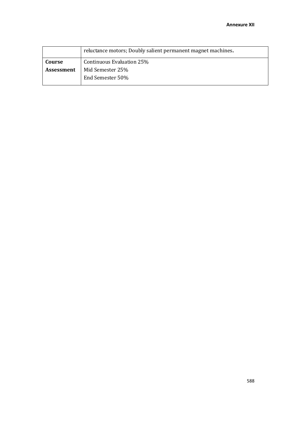|            | reluctance motors; Doubly salient permanent magnet machines. |
|------------|--------------------------------------------------------------|
| Course     | Continuous Evaluation 25%                                    |
| Assessment | Mid Semester 25%<br>End Semester 50%                         |
|            |                                                              |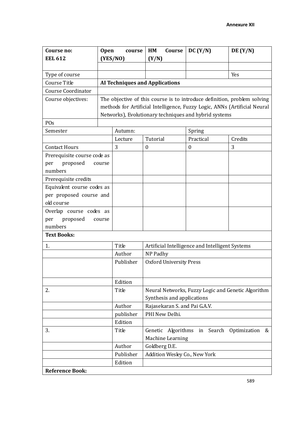| Course no:                  | <b>Open</b><br>course |                                                       | HM<br>Course                                                                     |                  | DC (Y/N)                      | DE(Y/N)                                                                   |
|-----------------------------|-----------------------|-------------------------------------------------------|----------------------------------------------------------------------------------|------------------|-------------------------------|---------------------------------------------------------------------------|
| <b>EEL 612</b>              |                       | (YES/NO)                                              | (Y/N)                                                                            |                  |                               |                                                                           |
|                             |                       |                                                       |                                                                                  |                  |                               |                                                                           |
| Type of course              |                       |                                                       |                                                                                  |                  |                               | Yes                                                                       |
| Course Title                |                       | <b>AI Techniques and Applications</b>                 |                                                                                  |                  |                               |                                                                           |
| <b>Course Coordinator</b>   |                       |                                                       |                                                                                  |                  |                               |                                                                           |
| Course objectives:          |                       |                                                       |                                                                                  |                  |                               | The objective of this course is to introduce definition, problem solving  |
|                             |                       |                                                       |                                                                                  |                  |                               | methods for Artificial Intelligence, Fuzzy Logic, ANNs (Artificial Neural |
|                             |                       | Networks), Evolutionary techniques and hybrid systems |                                                                                  |                  |                               |                                                                           |
| POs                         |                       |                                                       |                                                                                  |                  |                               |                                                                           |
| Semester                    |                       | Autumn:                                               |                                                                                  |                  | Spring                        |                                                                           |
|                             |                       | Lecture                                               | Tutorial                                                                         |                  | Practical                     | Credits                                                                   |
| <b>Contact Hours</b>        |                       | 3                                                     | $\boldsymbol{0}$                                                                 |                  | 0                             | 3                                                                         |
| Prerequisite course code as |                       |                                                       |                                                                                  |                  |                               |                                                                           |
| proposed<br>per             | course                |                                                       |                                                                                  |                  |                               |                                                                           |
| numbers                     |                       |                                                       |                                                                                  |                  |                               |                                                                           |
| Prerequisite credits        |                       |                                                       |                                                                                  |                  |                               |                                                                           |
| Equivalent course codes as  |                       |                                                       |                                                                                  |                  |                               |                                                                           |
| per proposed course and     |                       |                                                       |                                                                                  |                  |                               |                                                                           |
| old course                  |                       |                                                       |                                                                                  |                  |                               |                                                                           |
| Overlap course codes as     |                       |                                                       |                                                                                  |                  |                               |                                                                           |
| proposed<br>per             | course                |                                                       |                                                                                  |                  |                               |                                                                           |
| numbers                     |                       |                                                       |                                                                                  |                  |                               |                                                                           |
| <b>Text Books:</b>          |                       |                                                       |                                                                                  |                  |                               |                                                                           |
| 1.                          |                       | Title                                                 | Artificial Intelligence and Intelligent Systems                                  |                  |                               |                                                                           |
|                             |                       | Author                                                | NP Padhy                                                                         |                  |                               |                                                                           |
|                             |                       | Publisher                                             | <b>Oxford University Press</b>                                                   |                  |                               |                                                                           |
|                             |                       |                                                       |                                                                                  |                  |                               |                                                                           |
|                             |                       | Edition                                               |                                                                                  |                  |                               |                                                                           |
| 2.                          |                       | Title                                                 |                                                                                  |                  |                               |                                                                           |
|                             |                       |                                                       | Neural Networks, Fuzzy Logic and Genetic Algorithm<br>Synthesis and applications |                  |                               |                                                                           |
|                             |                       | Author                                                |                                                                                  |                  | Rajasekaran S. and Pai G.A.V. |                                                                           |
|                             |                       | publisher                                             |                                                                                  | PHI New Delhi.   |                               |                                                                           |
|                             |                       | Edition                                               |                                                                                  |                  |                               |                                                                           |
| 3.                          |                       | Title                                                 | Genetic                                                                          |                  |                               | Algorithms in Search Optimization<br>&                                    |
|                             |                       |                                                       |                                                                                  | Machine Learning |                               |                                                                           |
|                             |                       | Author                                                | Goldberg D.E.                                                                    |                  |                               |                                                                           |
|                             |                       | Publisher                                             |                                                                                  |                  | Addition Wesley Co., New York |                                                                           |
|                             |                       | Edition                                               |                                                                                  |                  |                               |                                                                           |
| <b>Reference Book:</b>      |                       |                                                       |                                                                                  |                  |                               |                                                                           |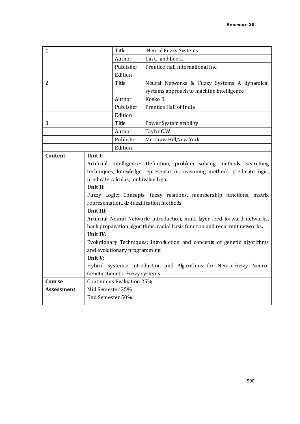| 1.         |                                                                             | Title                                                               | <b>Neural Fuzzy Systems</b>                                               |  |
|------------|-----------------------------------------------------------------------------|---------------------------------------------------------------------|---------------------------------------------------------------------------|--|
|            |                                                                             | Author                                                              | Lin C. and Lee G.                                                         |  |
|            |                                                                             | Publisher                                                           | Prentice Hall International Inc.                                          |  |
|            |                                                                             | Edition                                                             |                                                                           |  |
| 2.         |                                                                             | Title                                                               | Neural Networks & Fuzzy Systems A dynamical                               |  |
|            |                                                                             |                                                                     | systems approach to machine intelligence                                  |  |
|            |                                                                             | Author                                                              | Kosko B.                                                                  |  |
|            |                                                                             | Publisher                                                           | Prentice Hall of India                                                    |  |
|            |                                                                             | Edition                                                             |                                                                           |  |
| 3.         |                                                                             | Title                                                               | Power System stability                                                    |  |
|            |                                                                             | Author                                                              | Taylor C.W.                                                               |  |
|            |                                                                             | Publisher                                                           | Mc-Graw Hill, New York                                                    |  |
|            |                                                                             | Edition                                                             |                                                                           |  |
| Content    | Unit I:                                                                     |                                                                     |                                                                           |  |
|            | Artificial Intelligence: Definition, problem solving methods, searching     |                                                                     |                                                                           |  |
|            |                                                                             |                                                                     | techniques, knowledge representation, reasoning methods, predicate logic, |  |
|            | predicate calculus, multivalue logic.                                       |                                                                     |                                                                           |  |
|            | Unit II:                                                                    |                                                                     |                                                                           |  |
|            | Fuzzy Logic: Concepts, fuzzy relations, membership functions, matrix        |                                                                     |                                                                           |  |
|            | representation, de-fuzzification methods                                    |                                                                     |                                                                           |  |
|            | Unit III:                                                                   |                                                                     |                                                                           |  |
|            | Artificial Neural Network: Introduction, multi-layer feed forward networks, |                                                                     |                                                                           |  |
|            | back propagation algorithms, radial basis function and recurrent networks.  |                                                                     |                                                                           |  |
|            | Unit IV:                                                                    |                                                                     |                                                                           |  |
|            | Evolutionary Techniques: Introduction and concepts of genetic algorithms    |                                                                     |                                                                           |  |
|            | and evolutionary programming                                                |                                                                     |                                                                           |  |
|            | Unit V:                                                                     |                                                                     |                                                                           |  |
|            |                                                                             | Hybrid Systems: Introduction and Algorithms for Neuro-Fuzzy, Neuro- |                                                                           |  |
|            | Genetic, Genetic-Fuzzy systems                                              |                                                                     |                                                                           |  |
| Course     | Continuous Evaluation 25%                                                   |                                                                     |                                                                           |  |
| Assessment | Mid Semester 25%                                                            |                                                                     |                                                                           |  |
|            | End Semester 50%                                                            |                                                                     |                                                                           |  |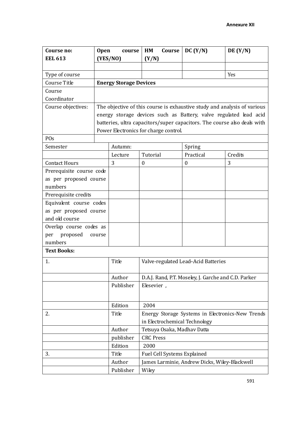| Course no:                    | <b>Open</b> | course                                                                   | HM<br>Course                                         | DC (Y/N)                                      | DE(Y/N)                                                                  |  |
|-------------------------------|-------------|--------------------------------------------------------------------------|------------------------------------------------------|-----------------------------------------------|--------------------------------------------------------------------------|--|
| <b>EEL 613</b>                |             | (YES/NO)                                                                 | (Y/N)                                                |                                               |                                                                          |  |
|                               |             |                                                                          |                                                      |                                               |                                                                          |  |
| Type of course                |             |                                                                          |                                                      |                                               | Yes                                                                      |  |
| Course Title                  |             | <b>Energy Storage Devices</b>                                            |                                                      |                                               |                                                                          |  |
| Course                        |             |                                                                          |                                                      |                                               |                                                                          |  |
| Coordinator                   |             |                                                                          |                                                      |                                               |                                                                          |  |
| Course objectives:            |             | The objective of this course is exhaustive study and analysis of various |                                                      |                                               |                                                                          |  |
|                               |             |                                                                          |                                                      |                                               | energy storage devices such as Battery, valve regulated lead acid        |  |
|                               |             |                                                                          |                                                      |                                               | batteries, ultra capacitors/super capacitors. The course also deals with |  |
|                               |             |                                                                          | Power Electronics for charge control.                |                                               |                                                                          |  |
| <b>POs</b>                    |             |                                                                          |                                                      |                                               |                                                                          |  |
| Semester                      |             | Autumn:                                                                  |                                                      | Spring                                        |                                                                          |  |
|                               |             | Lecture                                                                  | Tutorial                                             | Practical                                     | Credits                                                                  |  |
| <b>Contact Hours</b>          |             | 3                                                                        | $\boldsymbol{0}$                                     | $\boldsymbol{0}$                              | 3                                                                        |  |
| Prerequisite course code      |             |                                                                          |                                                      |                                               |                                                                          |  |
| as per proposed course        |             |                                                                          |                                                      |                                               |                                                                          |  |
| numbers                       |             |                                                                          |                                                      |                                               |                                                                          |  |
| Prerequisite credits          |             |                                                                          |                                                      |                                               |                                                                          |  |
| Equivalent course codes       |             |                                                                          |                                                      |                                               |                                                                          |  |
| as per proposed course        |             |                                                                          |                                                      |                                               |                                                                          |  |
| and old course                |             |                                                                          |                                                      |                                               |                                                                          |  |
| Overlap course codes as       |             |                                                                          |                                                      |                                               |                                                                          |  |
| proposed<br>per<br>course     |             |                                                                          |                                                      |                                               |                                                                          |  |
| numbers<br><b>Text Books:</b> |             |                                                                          |                                                      |                                               |                                                                          |  |
|                               |             |                                                                          |                                                      |                                               |                                                                          |  |
| 1.                            |             | Title                                                                    |                                                      | Valve-regulated Lead-Acid Batteries           |                                                                          |  |
|                               |             |                                                                          |                                                      |                                               |                                                                          |  |
|                               |             | Author                                                                   | D.A.J. Rand, P.T. Moseley, J. Garche and C.D. Parker |                                               |                                                                          |  |
|                               |             | Publisher                                                                | Elesevier,                                           |                                               |                                                                          |  |
|                               |             |                                                                          |                                                      |                                               |                                                                          |  |
|                               |             | Edition                                                                  | 2004                                                 |                                               |                                                                          |  |
| 2.                            |             | Title                                                                    | Energy Storage Systems in Electronics-New Trends     |                                               |                                                                          |  |
|                               |             |                                                                          | in Electrochemical Technology                        |                                               |                                                                          |  |
|                               |             | Author                                                                   | Tetsuya Osaka, Madhav Datta                          |                                               |                                                                          |  |
|                               |             | publisher                                                                | <b>CRC Press</b>                                     |                                               |                                                                          |  |
|                               |             | Edition                                                                  | 2000                                                 |                                               |                                                                          |  |
| 3.                            |             | Title                                                                    | Fuel Cell Systems Explained                          |                                               |                                                                          |  |
|                               |             | Author                                                                   |                                                      | James Larminie, Andrew Dicks, Wiley-Blackwell |                                                                          |  |
|                               |             | Publisher                                                                | Wiley                                                |                                               |                                                                          |  |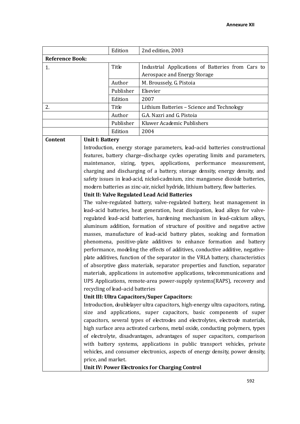|                        | Edition   | 2nd edition, 2003                                 |  |  |
|------------------------|-----------|---------------------------------------------------|--|--|
| <b>Reference Book:</b> |           |                                                   |  |  |
|                        | Title     | Industrial Applications of Batteries from Cars to |  |  |
|                        |           | Aerospace and Energy Storage                      |  |  |
|                        | Author    | M. Broussely, G. Pistoia                          |  |  |
|                        | Publisher | Elsevier                                          |  |  |
|                        | Edition   | 2007                                              |  |  |
| 2.                     | Title     | Lithium Batteries – Science and Technology        |  |  |
|                        | Author    | G.A. Nazri and G. Pistoia                         |  |  |
|                        | Publisher | Kluwer Academic Publishers                        |  |  |
|                        | Edition   | 2004                                              |  |  |

#### **Content Unit I: Battery**

Introduction, energy storage parameters, lead–acid batteries constructional features, battery charge–discharge cycles operating limits and parameters, maintenance, sizing, types, applications, performance measurement, charging and discharging of a battery, storage density, energy density, and safety issues in lead-acid, nickel-cadmium, zinc manganese dioxide batteries, modern batteries as zinc-air, nickel hydride, lithium battery, flow batteries.

### **Unit II: Valve Regulated Lead Acid Batteries**

The valve-regulated battery, valve-regulated battery, heat management in lead–acid batteries, heat generation, heat dissipation, lead alloys for valveregulated lead–acid batteries, hardening mechanism in lead–calcium alloys, aluminum addition, formation of structure of positive and negative active masses, manufacture of lead–acid battery plates, soaking and formation phenomena, positive-plate additives to enhance formation and battery performance, modeling the effects of additives, conductive additive, negativeplate additives, function of the separator in the VRLA battery, characteristics of absorptive glass materials, separator properties and function, separator materials, applications in automotive applications, telecommunications and UPS Applications, remote-area power-supply systems(RAPS), recovery and recycling of lead–acid batteries

#### **Unit III: Ultra Capacitors/Super Capacitors:**

Introduction, doublelayer ultra capacitors, high-energy ultra capacitors, rating, size and applications, super capacitors, basic components of super capacitors, several types of electrodes and electrolytes, electrode materials, high surface area activated carbons, metal oxide, conducting polymers, types of electrolyte, disadvantages, advantages of super capacitors, comparison with battery systems, applications in public transport vehicles, private vehicles, and consumer electronics, aspects of energy density, power density, price, and market.

**Unit IV: Power Electronics for Charging Control**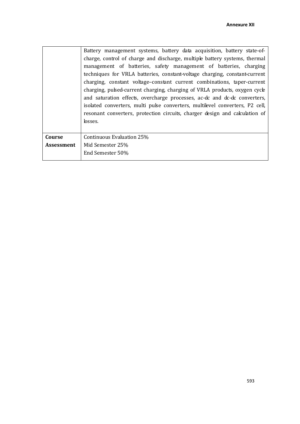|            | Battery management systems, battery data acquisition, battery state-of-      |  |  |  |  |  |  |
|------------|------------------------------------------------------------------------------|--|--|--|--|--|--|
|            | charge, control of charge and discharge, multiple battery systems, thermal   |  |  |  |  |  |  |
|            | management of batteries, safety management of batteries, charging            |  |  |  |  |  |  |
|            | techniques for VRLA batteries, constant-voltage charging, constant-current   |  |  |  |  |  |  |
|            | charging, constant voltage-constant current combinations, taper-current      |  |  |  |  |  |  |
|            | charging, pulsed-current charging, charging of VRLA products, oxygen cycle   |  |  |  |  |  |  |
|            | and saturation effects, overcharge processes, ac-dc and dc-dc converters,    |  |  |  |  |  |  |
|            | isolated converters, multi pulse converters, multilevel converters, P2 cell, |  |  |  |  |  |  |
|            | resonant converters, protection circuits, charger design and calculation of  |  |  |  |  |  |  |
|            | losses.                                                                      |  |  |  |  |  |  |
|            |                                                                              |  |  |  |  |  |  |
| Course     | Continuous Evaluation 25%                                                    |  |  |  |  |  |  |
| Assessment | Mid Semester 25%                                                             |  |  |  |  |  |  |
|            | End Semester 50%                                                             |  |  |  |  |  |  |
|            |                                                                              |  |  |  |  |  |  |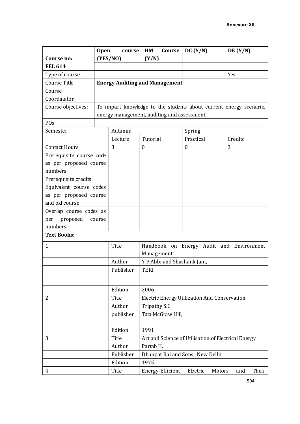|                           | <b>Open</b> | course    | HM<br>Course                                        | DC (Y/N)         | DE(Y/N)                                                            |
|---------------------------|-------------|-----------|-----------------------------------------------------|------------------|--------------------------------------------------------------------|
| Course no:                |             | (YES/NO)  | (Y/N)                                               |                  |                                                                    |
| <b>EEL 614</b>            |             |           |                                                     |                  |                                                                    |
| Type of course            |             |           |                                                     |                  | Yes                                                                |
| Course Title              |             |           | <b>Energy Auditing and Management</b>               |                  |                                                                    |
| Course                    |             |           |                                                     |                  |                                                                    |
| Coordinator               |             |           |                                                     |                  |                                                                    |
| Course objectives:        |             |           |                                                     |                  | To impart knowledge to the students about current energy scenario, |
|                           |             |           | energy management, auditing and assessment.         |                  |                                                                    |
| POs                       |             |           |                                                     |                  |                                                                    |
| Semester                  |             | Autumn:   |                                                     | Spring           |                                                                    |
|                           |             | Lecture   | Tutorial                                            | Practical        | Credits                                                            |
| <b>Contact Hours</b>      |             | 3         | $\boldsymbol{0}$                                    | $\boldsymbol{0}$ | 3                                                                  |
| Prerequisite course code  |             |           |                                                     |                  |                                                                    |
| as per proposed course    |             |           |                                                     |                  |                                                                    |
| numbers                   |             |           |                                                     |                  |                                                                    |
| Prerequisite credits      |             |           |                                                     |                  |                                                                    |
| Equivalent course codes   |             |           |                                                     |                  |                                                                    |
| as per proposed course    |             |           |                                                     |                  |                                                                    |
| and old course            |             |           |                                                     |                  |                                                                    |
| Overlap course codes as   |             |           |                                                     |                  |                                                                    |
| proposed<br>per<br>course |             |           |                                                     |                  |                                                                    |
| numbers                   |             |           |                                                     |                  |                                                                    |
| <b>Text Books:</b>        |             |           |                                                     |                  |                                                                    |
| 1.                        |             | Title     |                                                     |                  | Handbook on Energy Audit and Environment                           |
|                           |             |           | Management                                          |                  |                                                                    |
|                           |             | Author    | Y P Abbi and Shashank Jain,                         |                  |                                                                    |
|                           |             | Publisher | <b>TERI</b>                                         |                  |                                                                    |
|                           |             |           |                                                     |                  |                                                                    |
|                           |             |           |                                                     |                  |                                                                    |
|                           |             | Edition   | 2006                                                |                  |                                                                    |
| 2.                        |             | Title     | Electric Energy Utilization And Conservation        |                  |                                                                    |
|                           |             | Author    | Tripathy S.C                                        |                  |                                                                    |
|                           |             | publisher | Tata McGraw Hill,                                   |                  |                                                                    |
|                           |             | Edition   | 1991                                                |                  |                                                                    |
| 3.                        |             | Title     | Art and Science of Utilisation of Electrical Energy |                  |                                                                    |
|                           |             | Author    | Partab H.                                           |                  |                                                                    |
|                           |             | Publisher | Dhanpat Rai and Sons, New Delhi.                    |                  |                                                                    |
|                           |             | Edition   | 1975                                                |                  |                                                                    |
| 4.                        |             | Title     | Energy-Efficient                                    | Electric         | Motors<br>Their<br>and                                             |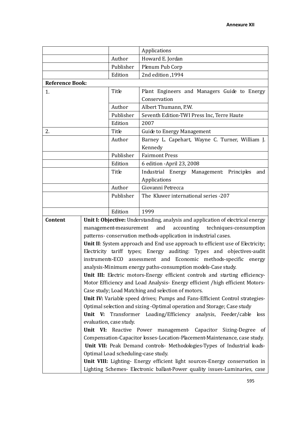|                        |                                                                                 | Applications                                                                   |                                                                              |  |  |
|------------------------|---------------------------------------------------------------------------------|--------------------------------------------------------------------------------|------------------------------------------------------------------------------|--|--|
|                        | Author                                                                          |                                                                                | Howard E. Jordan                                                             |  |  |
| Publisher              |                                                                                 |                                                                                | Plenum Pub Corp                                                              |  |  |
| Edition                |                                                                                 |                                                                                | 2nd edition, 1994                                                            |  |  |
| <b>Reference Book:</b> |                                                                                 |                                                                                |                                                                              |  |  |
| Title<br>1.            |                                                                                 |                                                                                | Plant Engineers and Managers Guide to Energy<br>Conservation                 |  |  |
|                        |                                                                                 | Author                                                                         |                                                                              |  |  |
|                        |                                                                                 | Publisher                                                                      | Albert Thumann, P.W.                                                         |  |  |
|                        |                                                                                 | Edition                                                                        | Seventh Edition-TWI Press Inc, Terre Haute<br>2007                           |  |  |
|                        |                                                                                 |                                                                                |                                                                              |  |  |
| 2.                     |                                                                                 | Title                                                                          | <b>Guide to Energy Management</b>                                            |  |  |
|                        |                                                                                 | Author                                                                         | Barney L. Capehart, Wayne C. Turner, William J.                              |  |  |
|                        |                                                                                 |                                                                                | Kennedy                                                                      |  |  |
|                        |                                                                                 | Publisher                                                                      | <b>Fairmont Press</b>                                                        |  |  |
|                        |                                                                                 | Edition                                                                        | 6 edition -April 23, 2008                                                    |  |  |
|                        |                                                                                 | Title                                                                          | Industrial Energy Management Principles<br>and                               |  |  |
|                        |                                                                                 |                                                                                | Applications                                                                 |  |  |
|                        | Author                                                                          |                                                                                | Giovanni Petrecca                                                            |  |  |
|                        | Publisher                                                                       |                                                                                | The Kluwer international series -207                                         |  |  |
|                        |                                                                                 | Edition                                                                        | 1999                                                                         |  |  |
| Content                | Unit I: Objective: Understanding, analysis and application of electrical energy |                                                                                |                                                                              |  |  |
|                        | and<br>accounting<br>techniques-consumption<br>management-measurement           |                                                                                |                                                                              |  |  |
|                        | patterns-conservation methods-application in industrial cases.                  |                                                                                |                                                                              |  |  |
|                        |                                                                                 | Unit II: System approach and End use approach to efficient use of Electricity; |                                                                              |  |  |
|                        |                                                                                 |                                                                                | Electricity tariff types; Energy auditing: Types and objectives-audit        |  |  |
|                        | instruments-ECO                                                                 |                                                                                | assessment and Economic methods-specific<br>energy                           |  |  |
|                        |                                                                                 | analysis-Minimum energy paths-consumption models-Case study.                   |                                                                              |  |  |
|                        |                                                                                 | Unit III: Electric motors-Energy efficient controls and starting efficiency-   |                                                                              |  |  |
|                        |                                                                                 | Motor Efficiency and Load Analysis- Energy efficient /high efficient Motors-   |                                                                              |  |  |
|                        |                                                                                 | Case study; Load Matching and selection of motors.                             |                                                                              |  |  |
|                        |                                                                                 |                                                                                | Unit IV: Variable speed drives; Pumps and Fans-Efficient Control strategies- |  |  |
|                        |                                                                                 | Optimal selection and sizing -Optimal operation and Storage; Case study        |                                                                              |  |  |
|                        | Unit V:                                                                         | Transformer Loading/Efficiency analysis, Feeder/cable<br>loss                  |                                                                              |  |  |
|                        |                                                                                 | evaluation, case study.                                                        |                                                                              |  |  |
|                        |                                                                                 |                                                                                | Unit VI: Reactive Power management Capacitor Sizing-Degree of                |  |  |
|                        |                                                                                 |                                                                                | Compensation-Capacitor losses-Location-Placement-Maintenance, case study.    |  |  |
|                        |                                                                                 | Unit VII: Peak Demand controls- Methodologies-Types of Industrial loads-       |                                                                              |  |  |
|                        |                                                                                 |                                                                                | Optimal Load scheduling-case study.                                          |  |  |
|                        |                                                                                 |                                                                                | Unit VIII: Lighting- Energy efficient light sources-Energy conservation in   |  |  |
|                        |                                                                                 |                                                                                | Lighting Schemes- Electronic ballast-Power quality issues-Luminaries, case   |  |  |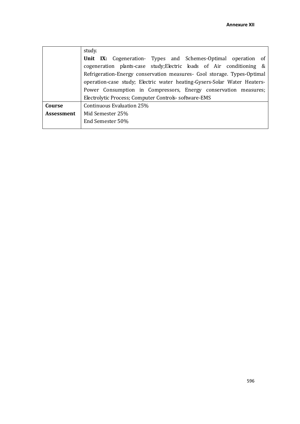|                   | study.                                                                   |  |  |  |  |
|-------------------|--------------------------------------------------------------------------|--|--|--|--|
|                   | <b>Unit IX:</b> Cogeneration- Types and Schemes-Optimal operation of     |  |  |  |  |
|                   | cogeneration plants-case study; Electric loads of Air conditioning &     |  |  |  |  |
|                   | Refrigeration-Energy conservation measures- Cool storage. Types-Optimal  |  |  |  |  |
|                   | operation-case study; Electric water heating-Gysers-Solar Water Heaters- |  |  |  |  |
|                   | Power Consumption in Compressors, Energy conservation measures;          |  |  |  |  |
|                   | Electrolytic Process; Computer Controls-software-EMS                     |  |  |  |  |
| Course            | Continuous Evaluation 25%                                                |  |  |  |  |
| <b>Assessment</b> | Mid Semester 25%                                                         |  |  |  |  |
|                   | End Semester 50%                                                         |  |  |  |  |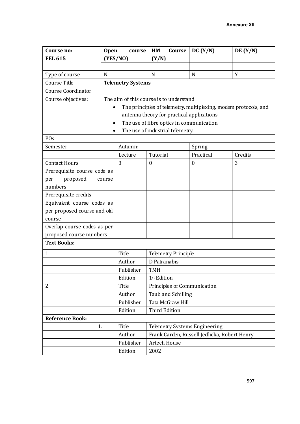| Course no:                  | <b>Open</b> | course                                  | HM<br>Course                                                    | DC (Y/N)                                     | DE(Y/N) |  |
|-----------------------------|-------------|-----------------------------------------|-----------------------------------------------------------------|----------------------------------------------|---------|--|
| <b>EEL 615</b>              |             | (YES/NO)                                | (Y/N)                                                           |                                              |         |  |
|                             |             |                                         |                                                                 |                                              |         |  |
| Type of course              | N           |                                         | N                                                               | N                                            | Y       |  |
| Course Title                |             | <b>Telemetry Systems</b>                |                                                                 |                                              |         |  |
| <b>Course Coordinator</b>   |             |                                         |                                                                 |                                              |         |  |
| Course objectives:          |             | The aim of this course is to understand |                                                                 |                                              |         |  |
|                             |             |                                         | The principles of telemetry, multiplexing, modem protocols, and |                                              |         |  |
|                             |             |                                         | antenna theory for practical applications                       |                                              |         |  |
|                             |             |                                         | The use of fibre optics in communication                        |                                              |         |  |
|                             | $\bullet$   |                                         | The use of industrial telemetry.                                |                                              |         |  |
| POs                         |             |                                         |                                                                 |                                              |         |  |
| Semester                    |             | Autumn:                                 |                                                                 | Spring                                       |         |  |
|                             |             | Lecture                                 | Tutorial                                                        | Practical                                    | Credits |  |
| <b>Contact Hours</b>        |             | 3                                       | $\boldsymbol{0}$                                                | $\boldsymbol{0}$                             | 3       |  |
| Prerequisite course code as |             |                                         |                                                                 |                                              |         |  |
| proposed<br>per             | course      |                                         |                                                                 |                                              |         |  |
| numbers                     |             |                                         |                                                                 |                                              |         |  |
| Prerequisite credits        |             |                                         |                                                                 |                                              |         |  |
| Equivalent course codes as  |             |                                         |                                                                 |                                              |         |  |
| per proposed course and old |             |                                         |                                                                 |                                              |         |  |
| course                      |             |                                         |                                                                 |                                              |         |  |
| Overlap course codes as per |             |                                         |                                                                 |                                              |         |  |
| proposed course numbers     |             |                                         |                                                                 |                                              |         |  |
| <b>Text Books:</b>          |             |                                         |                                                                 |                                              |         |  |
| 1.                          |             | Title                                   | <b>Telemetry Principle</b>                                      |                                              |         |  |
|                             |             | Author                                  | D Patranabis                                                    |                                              |         |  |
|                             |             | Publisher                               | <b>TMH</b>                                                      |                                              |         |  |
|                             |             | Edition                                 | 1 <sup>st</sup> Edition                                         |                                              |         |  |
| 2.                          |             | Title                                   | Principles of Communication                                     |                                              |         |  |
|                             |             | Author                                  | Taub and Schilling                                              |                                              |         |  |
|                             |             | Publisher                               | Tata McGraw Hill                                                |                                              |         |  |
|                             |             | Edition                                 | <b>Third Edition</b>                                            |                                              |         |  |
| <b>Reference Book:</b>      |             |                                         |                                                                 |                                              |         |  |
| 1.                          |             | Title                                   | Telemetry Systems Engineering                                   |                                              |         |  |
|                             |             | Author                                  |                                                                 | Frank Carden, Russell Jedlicka, Robert Henry |         |  |
|                             |             | Publisher                               | <b>Artech House</b>                                             |                                              |         |  |
|                             |             | Edition                                 | 2002                                                            |                                              |         |  |